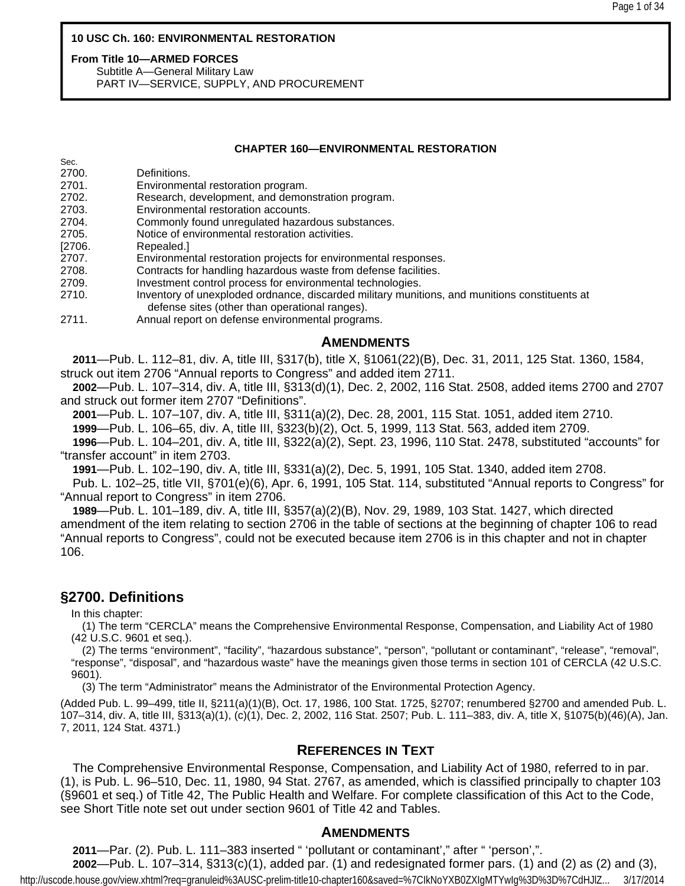## **10 USC Ch. 160: ENVIRONMENTAL RESTORATION**

**From Title 10—ARMED FORCES**  Subtitle A—General Military Law PART IV—SERVICE, SUPPLY, AND PROCUREMENT

## **CHAPTER 160—ENVIRONMENTAL RESTORATION**

| 2700.       | Definitions.          |
|-------------|-----------------------|
| <b>0701</b> | Environmental reaters |

- 2701. Environmental restoration program.
- 2702. Research, development, and demonstration program.
- 2703. Environmental restoration accounts.
- 2704. Commonly found unregulated hazardous substances.
- 2705. Notice of environmental restoration activities.
- [2706. Repealed.]

Sec.

- 2707. Environmental restoration projects for environmental responses.
- 2708. Contracts for handling hazardous waste from defense facilities.
- 2709. Investment control process for environmental technologies.
- 2710. Inventory of unexploded ordnance, discarded military munitions, and munitions constituents at defense sites (other than operational ranges).
- 2711. Annual report on defense environmental programs.

# **AMENDMENTS**

**2011**—Pub. L. 112–81, div. A, title III, §317(b), title X, §1061(22)(B), Dec. 31, 2011, 125 Stat. 1360, 1584, struck out item 2706 "Annual reports to Congress" and added item 2711.

**2002**—Pub. L. 107–314, div. A, title III, §313(d)(1), Dec. 2, 2002, 116 Stat. 2508, added items 2700 and 2707 and struck out former item 2707 "Definitions".

**2001**—Pub. L. 107–107, div. A, title III, §311(a)(2), Dec. 28, 2001, 115 Stat. 1051, added item 2710.

**1999**—Pub. L. 106–65, div. A, title III, §323(b)(2), Oct. 5, 1999, 113 Stat. 563, added item 2709.

**1996**—Pub. L. 104–201, div. A, title III, §322(a)(2), Sept. 23, 1996, 110 Stat. 2478, substituted "accounts" for "transfer account" in item 2703.

**1991**—Pub. L. 102–190, div. A, title III, §331(a)(2), Dec. 5, 1991, 105 Stat. 1340, added item 2708.

Pub. L. 102–25, title VII, §701(e)(6), Apr. 6, 1991, 105 Stat. 114, substituted "Annual reports to Congress" for "Annual report to Congress" in item 2706.

**1989**—Pub. L. 101–189, div. A, title III, §357(a)(2)(B), Nov. 29, 1989, 103 Stat. 1427, which directed amendment of the item relating to section 2706 in the table of sections at the beginning of chapter 106 to read "Annual reports to Congress", could not be executed because item 2706 is in this chapter and not in chapter 106.

# **§2700. Definitions**

In this chapter:

(1) The term "CERCLA" means the Comprehensive Environmental Response, Compensation, and Liability Act of 1980 (42 U.S.C. 9601 et seq.).

(2) The terms "environment", "facility", "hazardous substance", "person", "pollutant or contaminant", "release", "removal", "response", "disposal", and "hazardous waste" have the meanings given those terms in section 101 of CERCLA (42 U.S.C. 9601).

(3) The term "Administrator" means the Administrator of the Environmental Protection Agency.

(Added Pub. L. 99–499, title II, §211(a)(1)(B), Oct. 17, 1986, 100 Stat. 1725, §2707; renumbered §2700 and amended Pub. L. 107–314, div. A, title III, §313(a)(1), (c)(1), Dec. 2, 2002, 116 Stat. 2507; Pub. L. 111–383, div. A, title X, §1075(b)(46)(A), Jan. 7, 2011, 124 Stat. 4371.)

# **REFERENCES IN TEXT**

The Comprehensive Environmental Response, Compensation, and Liability Act of 1980, referred to in par. (1), is Pub. L. 96–510, Dec. 11, 1980, 94 Stat. 2767, as amended, which is classified principally to chapter 103 (§9601 et seq.) of Title 42, The Public Health and Welfare. For complete classification of this Act to the Code, see Short Title note set out under section 9601 of Title 42 and Tables.

# **AMENDMENTS**

**2011**—Par. (2). Pub. L. 111–383 inserted " 'pollutant or contaminant'," after " 'person',". **2002**—Pub. L. 107–314, §313(c)(1), added par. (1) and redesignated former pars. (1) and (2) as (2) and (3), http://uscode.house.gov/view.xhtml?req=granuleid%3AUSC-prelim-title10-chapter160&saved=%7CIkNoYXB0ZXIgMTYwIg%3D%3D%7CdHJlZ... 3/17/2014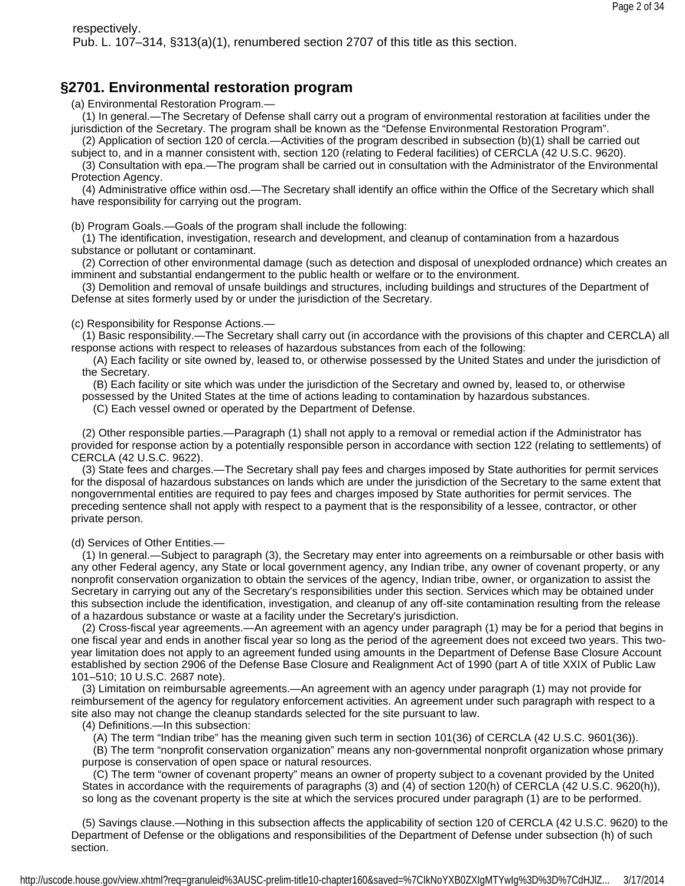# **§2701. Environmental restoration program**

(a) Environmental Restoration Program.—

(1) In general.—The Secretary of Defense shall carry out a program of environmental restoration at facilities under the jurisdiction of the Secretary. The program shall be known as the "Defense Environmental Restoration Program".

(2) Application of section 120 of cercla.—Activities of the program described in subsection (b)(1) shall be carried out subject to, and in a manner consistent with, section 120 (relating to Federal facilities) of CERCLA (42 U.S.C. 9620).

(3) Consultation with epa.—The program shall be carried out in consultation with the Administrator of the Environmental Protection Agency.

(4) Administrative office within osd.—The Secretary shall identify an office within the Office of the Secretary which shall have responsibility for carrying out the program.

(b) Program Goals.—Goals of the program shall include the following:

(1) The identification, investigation, research and development, and cleanup of contamination from a hazardous substance or pollutant or contaminant.

(2) Correction of other environmental damage (such as detection and disposal of unexploded ordnance) which creates an imminent and substantial endangerment to the public health or welfare or to the environment.

(3) Demolition and removal of unsafe buildings and structures, including buildings and structures of the Department of Defense at sites formerly used by or under the jurisdiction of the Secretary.

(c) Responsibility for Response Actions.—

(1) Basic responsibility.—The Secretary shall carry out (in accordance with the provisions of this chapter and CERCLA) all response actions with respect to releases of hazardous substances from each of the following:

(A) Each facility or site owned by, leased to, or otherwise possessed by the United States and under the jurisdiction of the Secretary.

(B) Each facility or site which was under the jurisdiction of the Secretary and owned by, leased to, or otherwise

possessed by the United States at the time of actions leading to contamination by hazardous substances.

(C) Each vessel owned or operated by the Department of Defense.

(2) Other responsible parties.—Paragraph (1) shall not apply to a removal or remedial action if the Administrator has provided for response action by a potentially responsible person in accordance with section 122 (relating to settlements) of CERCLA (42 U.S.C. 9622).

(3) State fees and charges.—The Secretary shall pay fees and charges imposed by State authorities for permit services for the disposal of hazardous substances on lands which are under the jurisdiction of the Secretary to the same extent that nongovernmental entities are required to pay fees and charges imposed by State authorities for permit services. The preceding sentence shall not apply with respect to a payment that is the responsibility of a lessee, contractor, or other private person.

(d) Services of Other Entities.—

(1) In general.—Subject to paragraph (3), the Secretary may enter into agreements on a reimbursable or other basis with any other Federal agency, any State or local government agency, any Indian tribe, any owner of covenant property, or any nonprofit conservation organization to obtain the services of the agency, Indian tribe, owner, or organization to assist the Secretary in carrying out any of the Secretary's responsibilities under this section. Services which may be obtained under this subsection include the identification, investigation, and cleanup of any off-site contamination resulting from the release of a hazardous substance or waste at a facility under the Secretary's jurisdiction.

(2) Cross-fiscal year agreements.—An agreement with an agency under paragraph (1) may be for a period that begins in one fiscal year and ends in another fiscal year so long as the period of the agreement does not exceed two years. This twoyear limitation does not apply to an agreement funded using amounts in the Department of Defense Base Closure Account established by section 2906 of the Defense Base Closure and Realignment Act of 1990 (part A of title XXIX of Public Law 101–510; 10 U.S.C. 2687 note).

(3) Limitation on reimbursable agreements.—An agreement with an agency under paragraph (1) may not provide for reimbursement of the agency for regulatory enforcement activities. An agreement under such paragraph with respect to a site also may not change the cleanup standards selected for the site pursuant to law.

(4) Definitions.—In this subsection:

(A) The term "Indian tribe" has the meaning given such term in section 101(36) of CERCLA (42 U.S.C. 9601(36)).

(B) The term "nonprofit conservation organization" means any non-governmental nonprofit organization whose primary purpose is conservation of open space or natural resources.

(C) The term "owner of covenant property" means an owner of property subject to a covenant provided by the United States in accordance with the requirements of paragraphs (3) and (4) of section 120(h) of CERCLA (42 U.S.C. 9620(h)), so long as the covenant property is the site at which the services procured under paragraph (1) are to be performed.

(5) Savings clause.—Nothing in this subsection affects the applicability of section 120 of CERCLA (42 U.S.C. 9620) to the Department of Defense or the obligations and responsibilities of the Department of Defense under subsection (h) of such section.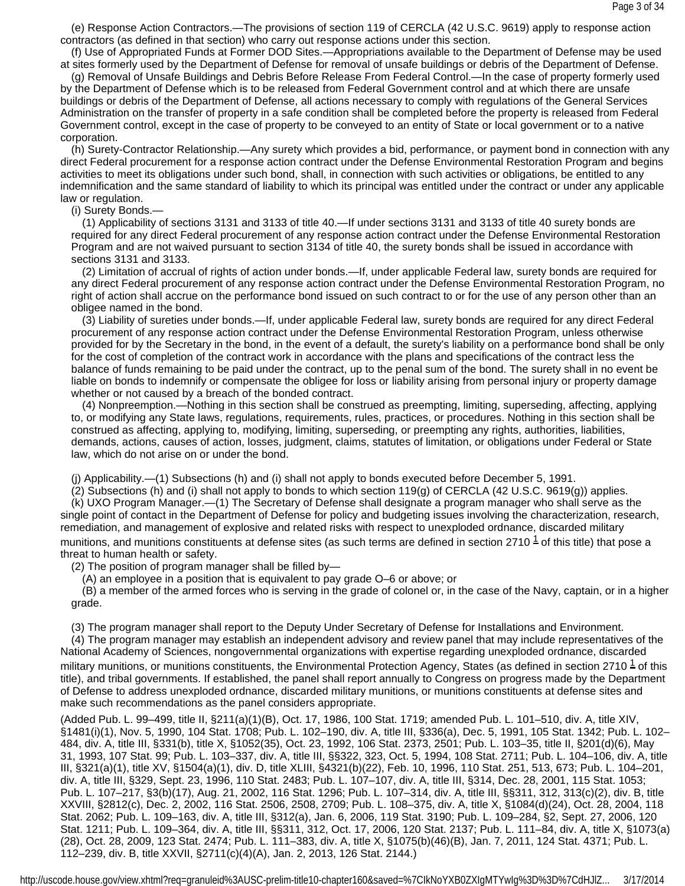(e) Response Action Contractors.—The provisions of section 119 of CERCLA (42 U.S.C. 9619) apply to response action contractors (as defined in that section) who carry out response actions under this section.

(f) Use of Appropriated Funds at Former DOD Sites.—Appropriations available to the Department of Defense may be used at sites formerly used by the Department of Defense for removal of unsafe buildings or debris of the Department of Defense.

(g) Removal of Unsafe Buildings and Debris Before Release From Federal Control.—In the case of property formerly used by the Department of Defense which is to be released from Federal Government control and at which there are unsafe buildings or debris of the Department of Defense, all actions necessary to comply with regulations of the General Services Administration on the transfer of property in a safe condition shall be completed before the property is released from Federal Government control, except in the case of property to be conveyed to an entity of State or local government or to a native corporation.

(h) Surety-Contractor Relationship.—Any surety which provides a bid, performance, or payment bond in connection with any direct Federal procurement for a response action contract under the Defense Environmental Restoration Program and begins activities to meet its obligations under such bond, shall, in connection with such activities or obligations, be entitled to any indemnification and the same standard of liability to which its principal was entitled under the contract or under any applicable law or regulation.

#### (i) Surety Bonds.—

(1) Applicability of sections 3131 and 3133 of title 40.—If under sections 3131 and 3133 of title 40 surety bonds are required for any direct Federal procurement of any response action contract under the Defense Environmental Restoration Program and are not waived pursuant to section 3134 of title 40, the surety bonds shall be issued in accordance with sections 3131 and 3133.

(2) Limitation of accrual of rights of action under bonds.—If, under applicable Federal law, surety bonds are required for any direct Federal procurement of any response action contract under the Defense Environmental Restoration Program, no right of action shall accrue on the performance bond issued on such contract to or for the use of any person other than an obligee named in the bond.

(3) Liability of sureties under bonds.—If, under applicable Federal law, surety bonds are required for any direct Federal procurement of any response action contract under the Defense Environmental Restoration Program, unless otherwise provided for by the Secretary in the bond, in the event of a default, the surety's liability on a performance bond shall be only for the cost of completion of the contract work in accordance with the plans and specifications of the contract less the balance of funds remaining to be paid under the contract, up to the penal sum of the bond. The surety shall in no event be liable on bonds to indemnify or compensate the obligee for loss or liability arising from personal injury or property damage whether or not caused by a breach of the bonded contract.

(4) Nonpreemption.—Nothing in this section shall be construed as preempting, limiting, superseding, affecting, applying to, or modifying any State laws, regulations, requirements, rules, practices, or procedures. Nothing in this section shall be construed as affecting, applying to, modifying, limiting, superseding, or preempting any rights, authorities, liabilities, demands, actions, causes of action, losses, judgment, claims, statutes of limitation, or obligations under Federal or State law, which do not arise on or under the bond.

(j) Applicability.—(1) Subsections (h) and (i) shall not apply to bonds executed before December 5, 1991.

(2) Subsections (h) and (i) shall not apply to bonds to which section 119(g) of CERCLA (42 U.S.C. 9619(g)) applies. (k) UXO Program Manager.—(1) The Secretary of Defense shall designate a program manager who shall serve as the single point of contact in the Department of Defense for policy and budgeting issues involving the characterization, research, remediation, and management of explosive and related risks with respect to unexploded ordnance, discarded military munitions, and munitions constituents at defense sites (as such terms are defined in section 2710  $^1$  of this title) that pose a threat to human health or safety.

(2) The position of program manager shall be filled by—

make such recommendations as the panel considers appropriate.

(A) an employee in a position that is equivalent to pay grade O–6 or above; or

(B) a member of the armed forces who is serving in the grade of colonel or, in the case of the Navy, captain, or in a higher grade.

(3) The program manager shall report to the Deputy Under Secretary of Defense for Installations and Environment.

(4) The program manager may establish an independent advisory and review panel that may include representatives of the National Academy of Sciences, nongovernmental organizations with expertise regarding unexploded ordnance, discarded military munitions, or munitions constituents, the Environmental Protection Agency, States (as defined in section 2710 $<sup>1</sup>$  of this</sup> title), and tribal governments. If established, the panel shall report annually to Congress on progress made by the Department of Defense to address unexploded ordnance, discarded military munitions, or munitions constituents at defense sites and

(Added Pub. L. 99–499, title II, §211(a)(1)(B), Oct. 17, 1986, 100 Stat. 1719; amended Pub. L. 101–510, div. A, title XIV, §1481(i)(1), Nov. 5, 1990, 104 Stat. 1708; Pub. L. 102–190, div. A, title III, §336(a), Dec. 5, 1991, 105 Stat. 1342; Pub. L. 102– 484, div. A, title III, §331(b), title X, §1052(35), Oct. 23, 1992, 106 Stat. 2373, 2501; Pub. L. 103–35, title II, §201(d)(6), May 31, 1993, 107 Stat. 99; Pub. L. 103–337, div. A, title III, §§322, 323, Oct. 5, 1994, 108 Stat. 2711; Pub. L. 104–106, div. A, title III, §321(a)(1), title XV, §1504(a)(1), div. D, title XLIII, §4321(b)(22), Feb. 10, 1996, 110 Stat. 251, 513, 673; Pub. L. 104–201, div. A, title III, §329, Sept. 23, 1996, 110 Stat. 2483; Pub. L. 107–107, div. A, title III, §314, Dec. 28, 2001, 115 Stat. 1053; Pub. L. 107–217, §3(b)(17), Aug. 21, 2002, 116 Stat. 1296; Pub. L. 107–314, div. A, title III, §§311, 312, 313(c)(2), div. B, title XXVIII, §2812(c), Dec. 2, 2002, 116 Stat. 2506, 2508, 2709; Pub. L. 108–375, div. A, title X, §1084(d)(24), Oct. 28, 2004, 118 Stat. 2062; Pub. L. 109–163, div. A, title III, §312(a), Jan. 6, 2006, 119 Stat. 3190; Pub. L. 109–284, §2, Sept. 27, 2006, 120 Stat. 1211; Pub. L. 109–364, div. A, title III, §§311, 312, Oct. 17, 2006, 120 Stat. 2137; Pub. L. 111–84, div. A, title X, §1073(a) (28), Oct. 28, 2009, 123 Stat. 2474; Pub. L. 111–383, div. A, title X, §1075(b)(46)(B), Jan. 7, 2011, 124 Stat. 4371; Pub. L. 112–239, div. B, title XXVII, §2711(c)(4)(A), Jan. 2, 2013, 126 Stat. 2144.)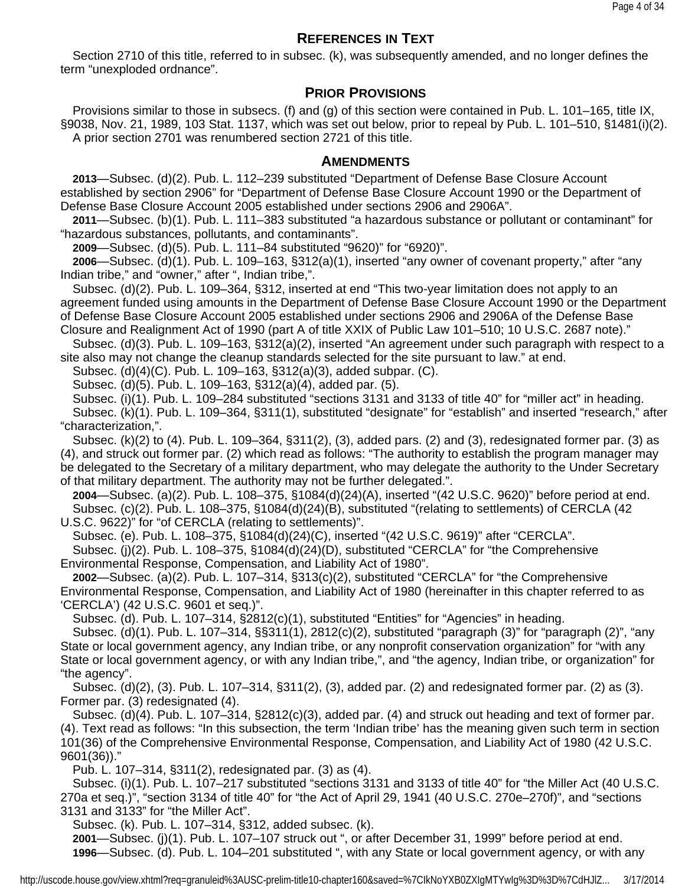### **REFERENCES IN TEXT**

Section 2710 of this title, referred to in subsec. (k), was subsequently amended, and no longer defines the term "unexploded ordnance".

### **PRIOR PROVISIONS**

Provisions similar to those in subsecs. (f) and (g) of this section were contained in Pub. L. 101–165, title IX, §9038, Nov. 21, 1989, 103 Stat. 1137, which was set out below, prior to repeal by Pub. L. 101–510, §1481(i)(2). A prior section 2701 was renumbered section 2721 of this title.

#### **AMENDMENTS**

**2013**—Subsec. (d)(2). Pub. L. 112–239 substituted "Department of Defense Base Closure Account established by section 2906" for "Department of Defense Base Closure Account 1990 or the Department of Defense Base Closure Account 2005 established under sections 2906 and 2906A".

**2011**—Subsec. (b)(1). Pub. L. 111–383 substituted "a hazardous substance or pollutant or contaminant" for "hazardous substances, pollutants, and contaminants".

**2009**—Subsec. (d)(5). Pub. L. 111–84 substituted "9620)" for "6920)".

**2006**—Subsec. (d)(1). Pub. L. 109–163, §312(a)(1), inserted "any owner of covenant property," after "any Indian tribe," and "owner," after ", Indian tribe,".

Subsec. (d)(2). Pub. L. 109–364, §312, inserted at end "This two-year limitation does not apply to an agreement funded using amounts in the Department of Defense Base Closure Account 1990 or the Department of Defense Base Closure Account 2005 established under sections 2906 and 2906A of the Defense Base Closure and Realignment Act of 1990 (part A of title XXIX of Public Law 101–510; 10 U.S.C. 2687 note)."

Subsec. (d)(3). Pub. L. 109–163, §312(a)(2), inserted "An agreement under such paragraph with respect to a site also may not change the cleanup standards selected for the site pursuant to law." at end.

Subsec. (d)(4)(C). Pub. L. 109–163, §312(a)(3), added subpar. (C).

Subsec. (d)(5). Pub. L. 109–163, §312(a)(4), added par. (5).

Subsec. (i)(1). Pub. L. 109–284 substituted "sections 3131 and 3133 of title 40" for "miller act" in heading.

Subsec. (k)(1). Pub. L. 109–364, §311(1), substituted "designate" for "establish" and inserted "research," after "characterization,".

Subsec. (k)(2) to (4). Pub. L. 109–364, §311(2), (3), added pars. (2) and (3), redesignated former par. (3) as (4), and struck out former par. (2) which read as follows: "The authority to establish the program manager may be delegated to the Secretary of a military department, who may delegate the authority to the Under Secretary of that military department. The authority may not be further delegated.".

**2004**—Subsec. (a)(2). Pub. L. 108–375, §1084(d)(24)(A), inserted "(42 U.S.C. 9620)" before period at end. Subsec. (c)(2). Pub. L. 108–375, §1084(d)(24)(B), substituted "(relating to settlements) of CERCLA (42 U.S.C. 9622)" for "of CERCLA (relating to settlements)".

Subsec. (e). Pub. L. 108–375, §1084(d)(24)(C), inserted "(42 U.S.C. 9619)" after "CERCLA".

Subsec. (j)(2). Pub. L. 108–375, §1084(d)(24)(D), substituted "CERCLA" for "the Comprehensive Environmental Response, Compensation, and Liability Act of 1980".

**2002**—Subsec. (a)(2). Pub. L. 107–314, §313(c)(2), substituted "CERCLA" for "the Comprehensive Environmental Response, Compensation, and Liability Act of 1980 (hereinafter in this chapter referred to as 'CERCLA') (42 U.S.C. 9601 et seq.)".

Subsec. (d). Pub. L. 107-314, §2812(c)(1), substituted "Entities" for "Agencies" in heading.

Subsec. (d)(1). Pub. L. 107–314, §§311(1), 2812(c)(2), substituted "paragraph (3)" for "paragraph (2)", "any State or local government agency, any Indian tribe, or any nonprofit conservation organization" for "with any State or local government agency, or with any Indian tribe,", and "the agency, Indian tribe, or organization" for "the agency".

Subsec. (d)(2), (3). Pub. L. 107–314, §311(2), (3), added par. (2) and redesignated former par. (2) as (3). Former par. (3) redesignated (4).

Subsec. (d)(4). Pub. L. 107–314, §2812(c)(3), added par. (4) and struck out heading and text of former par. (4). Text read as follows: "In this subsection, the term 'Indian tribe' has the meaning given such term in section 101(36) of the Comprehensive Environmental Response, Compensation, and Liability Act of 1980 (42 U.S.C. 9601(36))."

Pub. L. 107–314, §311(2), redesignated par. (3) as (4).

Subsec. (i)(1). Pub. L. 107–217 substituted "sections 3131 and 3133 of title 40" for "the Miller Act (40 U.S.C. 270a et seq.)", "section 3134 of title 40" for "the Act of April 29, 1941 (40 U.S.C. 270e–270f)", and "sections 3131 and 3133" for "the Miller Act".

Subsec. (k). Pub. L. 107–314, §312, added subsec. (k).

**2001**—Subsec. (j)(1). Pub. L. 107–107 struck out ", or after December 31, 1999" before period at end. **1996**—Subsec. (d). Pub. L. 104–201 substituted ", with any State or local government agency, or with any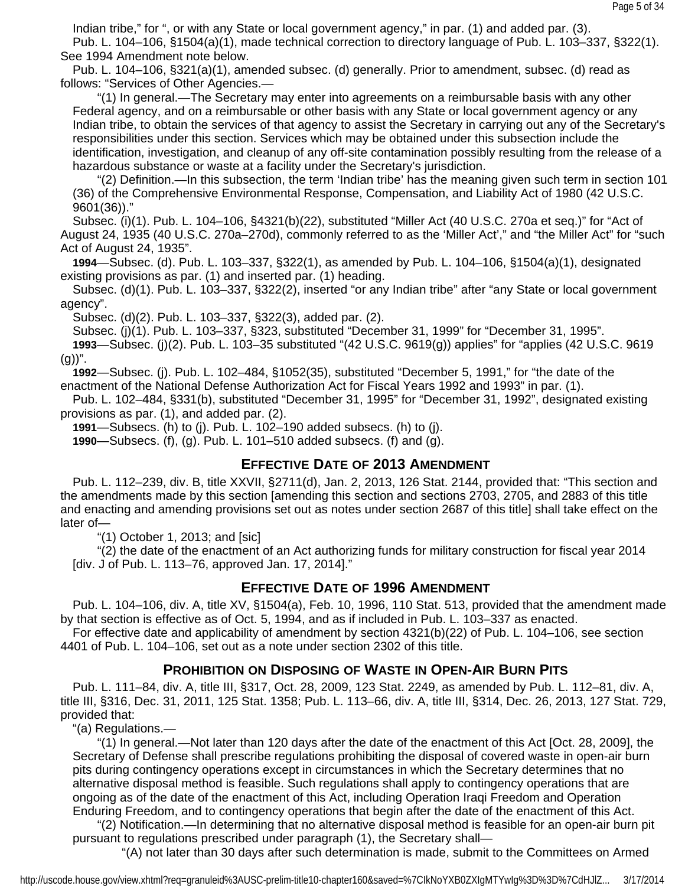Indian tribe," for ", or with any State or local government agency," in par. (1) and added par. (3).

Pub. L. 104–106, §1504(a)(1), made technical correction to directory language of Pub. L. 103–337, §322(1). See 1994 Amendment note below.

Pub. L. 104–106, §321(a)(1), amended subsec. (d) generally. Prior to amendment, subsec. (d) read as follows: "Services of Other Agencies.—

"(1) In general.—The Secretary may enter into agreements on a reimbursable basis with any other Federal agency, and on a reimbursable or other basis with any State or local government agency or any Indian tribe, to obtain the services of that agency to assist the Secretary in carrying out any of the Secretary's responsibilities under this section. Services which may be obtained under this subsection include the identification, investigation, and cleanup of any off-site contamination possibly resulting from the release of a hazardous substance or waste at a facility under the Secretary's jurisdiction.

"(2) Definition.—In this subsection, the term 'Indian tribe' has the meaning given such term in section 101 (36) of the Comprehensive Environmental Response, Compensation, and Liability Act of 1980 (42 U.S.C. 9601(36))."

Subsec. (i)(1). Pub. L. 104–106, §4321(b)(22), substituted "Miller Act (40 U.S.C. 270a et seq.)" for "Act of August 24, 1935 (40 U.S.C. 270a–270d), commonly referred to as the 'Miller Act'," and "the Miller Act" for "such Act of August 24, 1935".

**1994**—Subsec. (d). Pub. L. 103–337, §322(1), as amended by Pub. L. 104–106, §1504(a)(1), designated existing provisions as par. (1) and inserted par. (1) heading.

Subsec. (d)(1). Pub. L. 103–337, §322(2), inserted "or any Indian tribe" after "any State or local government agency".

Subsec. (d)(2). Pub. L. 103–337, §322(3), added par. (2).

Subsec. (j)(1). Pub. L. 103–337, §323, substituted "December 31, 1999" for "December 31, 1995". **1993**—Subsec. (j)(2). Pub. L. 103–35 substituted "(42 U.S.C. 9619(g)) applies" for "applies (42 U.S.C. 9619  $(g)$ ".

**1992**—Subsec. (j). Pub. L. 102–484, §1052(35), substituted "December 5, 1991," for "the date of the enactment of the National Defense Authorization Act for Fiscal Years 1992 and 1993" in par. (1).

Pub. L. 102–484, §331(b), substituted "December 31, 1995" for "December 31, 1992", designated existing provisions as par. (1), and added par. (2).

**1991**—Subsecs. (h) to (j). Pub. L. 102–190 added subsecs. (h) to (j).

**1990**—Subsecs. (f), (g). Pub. L. 101–510 added subsecs. (f) and (g).

# **EFFECTIVE DATE OF 2013 AMENDMENT**

Pub. L. 112–239, div. B, title XXVII, §2711(d), Jan. 2, 2013, 126 Stat. 2144, provided that: "This section and the amendments made by this section [amending this section and sections 2703, 2705, and 2883 of this title and enacting and amending provisions set out as notes under section 2687 of this title] shall take effect on the later of—

 $(1)$  October 1, 2013; and [sic]

"(2) the date of the enactment of an Act authorizing funds for military construction for fiscal year 2014 [div. J of Pub. L. 113–76, approved Jan. 17, 2014]."

### **EFFECTIVE DATE OF 1996 AMENDMENT**

Pub. L. 104–106, div. A, title XV, §1504(a), Feb. 10, 1996, 110 Stat. 513, provided that the amendment made by that section is effective as of Oct. 5, 1994, and as if included in Pub. L. 103–337 as enacted.

For effective date and applicability of amendment by section 4321(b)(22) of Pub. L. 104–106, see section 4401 of Pub. L. 104–106, set out as a note under section 2302 of this title.

# **PROHIBITION ON DISPOSING OF WASTE IN OPEN-AIR BURN PITS**

Pub. L. 111–84, div. A, title III, §317, Oct. 28, 2009, 123 Stat. 2249, as amended by Pub. L. 112–81, div. A, title III, §316, Dec. 31, 2011, 125 Stat. 1358; Pub. L. 113–66, div. A, title III, §314, Dec. 26, 2013, 127 Stat. 729, provided that:

"(a) Regulations.—

"(1) In general.—Not later than 120 days after the date of the enactment of this Act [Oct. 28, 2009], the Secretary of Defense shall prescribe regulations prohibiting the disposal of covered waste in open-air burn pits during contingency operations except in circumstances in which the Secretary determines that no alternative disposal method is feasible. Such regulations shall apply to contingency operations that are ongoing as of the date of the enactment of this Act, including Operation Iraqi Freedom and Operation Enduring Freedom, and to contingency operations that begin after the date of the enactment of this Act.

"(2) Notification.—In determining that no alternative disposal method is feasible for an open-air burn pit pursuant to regulations prescribed under paragraph (1), the Secretary shall—

"(A) not later than 30 days after such determination is made, submit to the Committees on Armed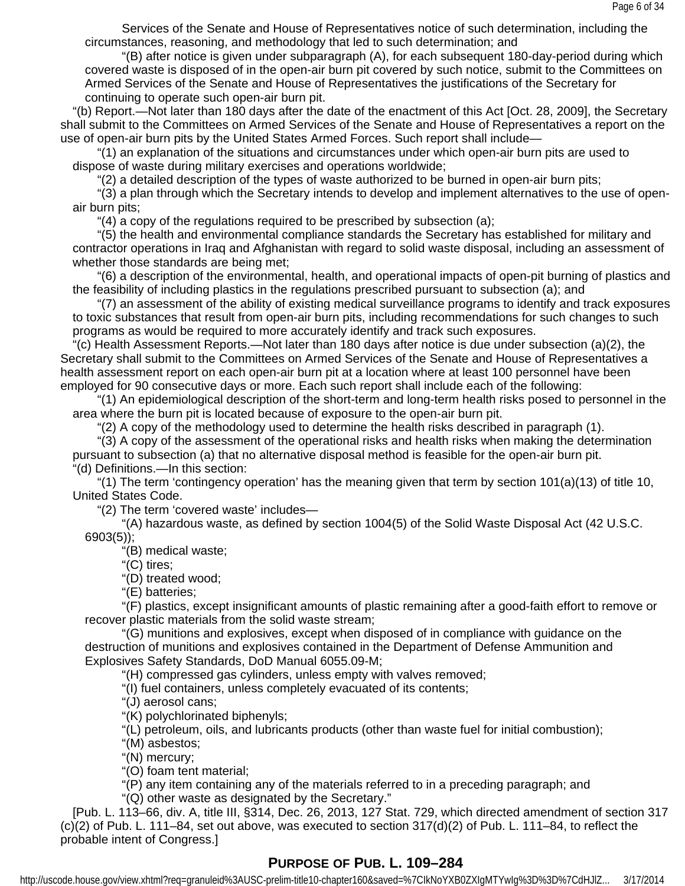Services of the Senate and House of Representatives notice of such determination, including the circumstances, reasoning, and methodology that led to such determination; and

"(B) after notice is given under subparagraph (A), for each subsequent 180-day-period during which covered waste is disposed of in the open-air burn pit covered by such notice, submit to the Committees on Armed Services of the Senate and House of Representatives the justifications of the Secretary for continuing to operate such open-air burn pit.

"(b) Report.—Not later than 180 days after the date of the enactment of this Act [Oct. 28, 2009], the Secretary shall submit to the Committees on Armed Services of the Senate and House of Representatives a report on the use of open-air burn pits by the United States Armed Forces. Such report shall include—

"(1) an explanation of the situations and circumstances under which open-air burn pits are used to dispose of waste during military exercises and operations worldwide;

"(2) a detailed description of the types of waste authorized to be burned in open-air burn pits;

"(3) a plan through which the Secretary intends to develop and implement alternatives to the use of openair burn pits;

"(4) a copy of the regulations required to be prescribed by subsection (a);

"(5) the health and environmental compliance standards the Secretary has established for military and contractor operations in Iraq and Afghanistan with regard to solid waste disposal, including an assessment of whether those standards are being met;

"(6) a description of the environmental, health, and operational impacts of open-pit burning of plastics and the feasibility of including plastics in the regulations prescribed pursuant to subsection (a); and

"(7) an assessment of the ability of existing medical surveillance programs to identify and track exposures to toxic substances that result from open-air burn pits, including recommendations for such changes to such programs as would be required to more accurately identify and track such exposures.

"(c) Health Assessment Reports.—Not later than 180 days after notice is due under subsection (a)(2), the Secretary shall submit to the Committees on Armed Services of the Senate and House of Representatives a health assessment report on each open-air burn pit at a location where at least 100 personnel have been employed for 90 consecutive days or more. Each such report shall include each of the following:

"(1) An epidemiological description of the short-term and long-term health risks posed to personnel in the area where the burn pit is located because of exposure to the open-air burn pit.

"(2) A copy of the methodology used to determine the health risks described in paragraph (1).

"(3) A copy of the assessment of the operational risks and health risks when making the determination pursuant to subsection (a) that no alternative disposal method is feasible for the open-air burn pit. "(d) Definitions.—In this section:

"(1) The term 'contingency operation' has the meaning given that term by section 101(a)(13) of title 10, United States Code.

"(2) The term 'covered waste' includes—

"(A) hazardous waste, as defined by section 1004(5) of the Solid Waste Disposal Act (42 U.S.C. 6903(5));

"(B) medical waste;

"(C) tires;

"(D) treated wood;

"(E) batteries;

"(F) plastics, except insignificant amounts of plastic remaining after a good-faith effort to remove or recover plastic materials from the solid waste stream;

"(G) munitions and explosives, except when disposed of in compliance with guidance on the destruction of munitions and explosives contained in the Department of Defense Ammunition and Explosives Safety Standards, DoD Manual 6055.09-M;

"(H) compressed gas cylinders, unless empty with valves removed;

"(I) fuel containers, unless completely evacuated of its contents;

"(J) aerosol cans;

"(K) polychlorinated biphenyls;

"(L) petroleum, oils, and lubricants products (other than waste fuel for initial combustion);

"(M) asbestos;

"(N) mercury;

"(O) foam tent material;

"(P) any item containing any of the materials referred to in a preceding paragraph; and

"(Q) other waste as designated by the Secretary."

[Pub. L. 113–66, div. A, title III, §314, Dec. 26, 2013, 127 Stat. 729, which directed amendment of section 317 (c)(2) of Pub. L. 111–84, set out above, was executed to section 317(d)(2) of Pub. L. 111–84, to reflect the probable intent of Congress.]

# **PURPOSE OF PUB. L. 109–284**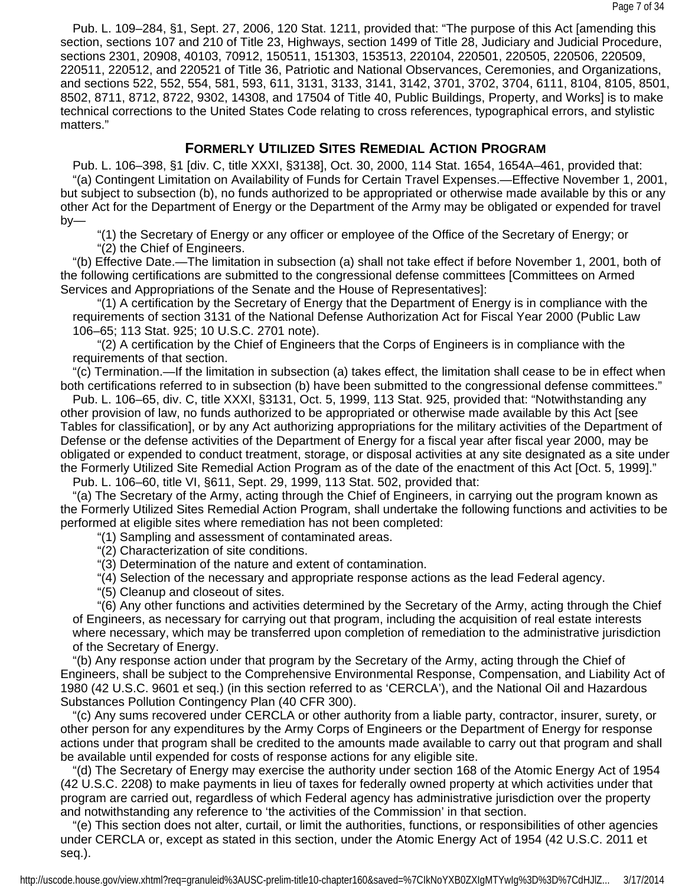Pub. L. 109–284, §1, Sept. 27, 2006, 120 Stat. 1211, provided that: "The purpose of this Act [amending this section, sections 107 and 210 of Title 23, Highways, section 1499 of Title 28, Judiciary and Judicial Procedure, sections 2301, 20908, 40103, 70912, 150511, 151303, 153513, 220104, 220501, 220505, 220506, 220509, 220511, 220512, and 220521 of Title 36, Patriotic and National Observances, Ceremonies, and Organizations, and sections 522, 552, 554, 581, 593, 611, 3131, 3133, 3141, 3142, 3701, 3702, 3704, 6111, 8104, 8105, 8501, 8502, 8711, 8712, 8722, 9302, 14308, and 17504 of Title 40, Public Buildings, Property, and Works] is to make technical corrections to the United States Code relating to cross references, typographical errors, and stylistic matters."

### **FORMERLY UTILIZED SITES REMEDIAL ACTION PROGRAM**

Pub. L. 106–398, §1 [div. C, title XXXI, §3138], Oct. 30, 2000, 114 Stat. 1654, 1654A–461, provided that: "(a) Contingent Limitation on Availability of Funds for Certain Travel Expenses.—Effective November 1, 2001, but subject to subsection (b), no funds authorized to be appropriated or otherwise made available by this or any other Act for the Department of Energy or the Department of the Army may be obligated or expended for travel by—

"(1) the Secretary of Energy or any officer or employee of the Office of the Secretary of Energy; or "(2) the Chief of Engineers.

"(b) Effective Date.—The limitation in subsection (a) shall not take effect if before November 1, 2001, both of the following certifications are submitted to the congressional defense committees [Committees on Armed Services and Appropriations of the Senate and the House of Representatives]:

"(1) A certification by the Secretary of Energy that the Department of Energy is in compliance with the requirements of section 3131 of the National Defense Authorization Act for Fiscal Year 2000 (Public Law 106–65; 113 Stat. 925; 10 U.S.C. 2701 note).

"(2) A certification by the Chief of Engineers that the Corps of Engineers is in compliance with the requirements of that section.

"(c) Termination.—If the limitation in subsection (a) takes effect, the limitation shall cease to be in effect when both certifications referred to in subsection (b) have been submitted to the congressional defense committees."

Pub. L. 106–65, div. C, title XXXI, §3131, Oct. 5, 1999, 113 Stat. 925, provided that: "Notwithstanding any other provision of law, no funds authorized to be appropriated or otherwise made available by this Act [see Tables for classification], or by any Act authorizing appropriations for the military activities of the Department of Defense or the defense activities of the Department of Energy for a fiscal year after fiscal year 2000, may be obligated or expended to conduct treatment, storage, or disposal activities at any site designated as a site under the Formerly Utilized Site Remedial Action Program as of the date of the enactment of this Act [Oct. 5, 1999]."

Pub. L. 106–60, title VI, §611, Sept. 29, 1999, 113 Stat. 502, provided that:

"(a) The Secretary of the Army, acting through the Chief of Engineers, in carrying out the program known as the Formerly Utilized Sites Remedial Action Program, shall undertake the following functions and activities to be performed at eligible sites where remediation has not been completed:

"(1) Sampling and assessment of contaminated areas.

"(2) Characterization of site conditions.

"(3) Determination of the nature and extent of contamination.

"(4) Selection of the necessary and appropriate response actions as the lead Federal agency.

"(5) Cleanup and closeout of sites.

"(6) Any other functions and activities determined by the Secretary of the Army, acting through the Chief of Engineers, as necessary for carrying out that program, including the acquisition of real estate interests where necessary, which may be transferred upon completion of remediation to the administrative jurisdiction of the Secretary of Energy.

"(b) Any response action under that program by the Secretary of the Army, acting through the Chief of Engineers, shall be subject to the Comprehensive Environmental Response, Compensation, and Liability Act of 1980 (42 U.S.C. 9601 et seq.) (in this section referred to as 'CERCLA'), and the National Oil and Hazardous Substances Pollution Contingency Plan (40 CFR 300).

"(c) Any sums recovered under CERCLA or other authority from a liable party, contractor, insurer, surety, or other person for any expenditures by the Army Corps of Engineers or the Department of Energy for response actions under that program shall be credited to the amounts made available to carry out that program and shall be available until expended for costs of response actions for any eligible site.

"(d) The Secretary of Energy may exercise the authority under section 168 of the Atomic Energy Act of 1954 (42 U.S.C. 2208) to make payments in lieu of taxes for federally owned property at which activities under that program are carried out, regardless of which Federal agency has administrative jurisdiction over the property and notwithstanding any reference to 'the activities of the Commission' in that section.

"(e) This section does not alter, curtail, or limit the authorities, functions, or responsibilities of other agencies under CERCLA or, except as stated in this section, under the Atomic Energy Act of 1954 (42 U.S.C. 2011 et seq.).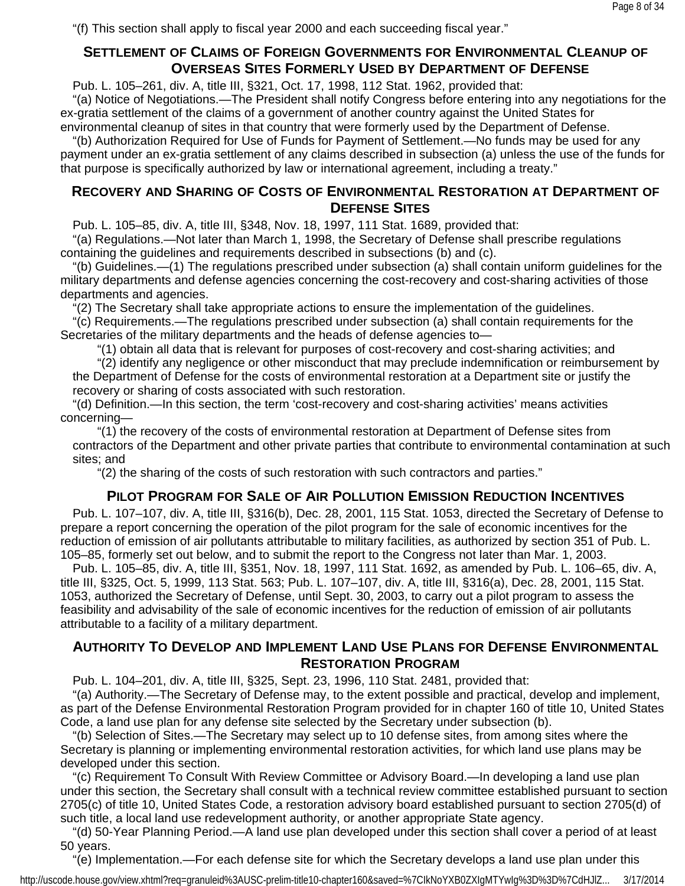"(f) This section shall apply to fiscal year 2000 and each succeeding fiscal year."

# **SETTLEMENT OF CLAIMS OF FOREIGN GOVERNMENTS FOR ENVIRONMENTAL CLEANUP OF OVERSEAS SITES FORMERLY USED BY DEPARTMENT OF DEFENSE**

Pub. L. 105–261, div. A, title III, §321, Oct. 17, 1998, 112 Stat. 1962, provided that:

"(a) Notice of Negotiations.—The President shall notify Congress before entering into any negotiations for the ex-gratia settlement of the claims of a government of another country against the United States for environmental cleanup of sites in that country that were formerly used by the Department of Defense.

"(b) Authorization Required for Use of Funds for Payment of Settlement.—No funds may be used for any payment under an ex-gratia settlement of any claims described in subsection (a) unless the use of the funds for that purpose is specifically authorized by law or international agreement, including a treaty."

# **RECOVERY AND SHARING OF COSTS OF ENVIRONMENTAL RESTORATION AT DEPARTMENT OF DEFENSE SITES**

Pub. L. 105–85, div. A, title III, §348, Nov. 18, 1997, 111 Stat. 1689, provided that:

"(a) Regulations.—Not later than March 1, 1998, the Secretary of Defense shall prescribe regulations containing the guidelines and requirements described in subsections (b) and (c).

"(b) Guidelines.—(1) The regulations prescribed under subsection (a) shall contain uniform guidelines for the military departments and defense agencies concerning the cost-recovery and cost-sharing activities of those departments and agencies.

"(2) The Secretary shall take appropriate actions to ensure the implementation of the guidelines.

"(c) Requirements.—The regulations prescribed under subsection (a) shall contain requirements for the Secretaries of the military departments and the heads of defense agencies to—

"(1) obtain all data that is relevant for purposes of cost-recovery and cost-sharing activities; and

"(2) identify any negligence or other misconduct that may preclude indemnification or reimbursement by the Department of Defense for the costs of environmental restoration at a Department site or justify the recovery or sharing of costs associated with such restoration.

"(d) Definition.—In this section, the term 'cost-recovery and cost-sharing activities' means activities concerning—

"(1) the recovery of the costs of environmental restoration at Department of Defense sites from contractors of the Department and other private parties that contribute to environmental contamination at such sites; and

"(2) the sharing of the costs of such restoration with such contractors and parties."

# **PILOT PROGRAM FOR SALE OF AIR POLLUTION EMISSION REDUCTION INCENTIVES**

Pub. L. 107–107, div. A, title III, §316(b), Dec. 28, 2001, 115 Stat. 1053, directed the Secretary of Defense to prepare a report concerning the operation of the pilot program for the sale of economic incentives for the reduction of emission of air pollutants attributable to military facilities, as authorized by section 351 of Pub. L. 105–85, formerly set out below, and to submit the report to the Congress not later than Mar. 1, 2003.

Pub. L. 105–85, div. A, title III, §351, Nov. 18, 1997, 111 Stat. 1692, as amended by Pub. L. 106–65, div. A, title III, §325, Oct. 5, 1999, 113 Stat. 563; Pub. L. 107–107, div. A, title III, §316(a), Dec. 28, 2001, 115 Stat. 1053, authorized the Secretary of Defense, until Sept. 30, 2003, to carry out a pilot program to assess the feasibility and advisability of the sale of economic incentives for the reduction of emission of air pollutants attributable to a facility of a military department.

# **AUTHORITY TO DEVELOP AND IMPLEMENT LAND USE PLANS FOR DEFENSE ENVIRONMENTAL RESTORATION PROGRAM**

Pub. L. 104–201, div. A, title III, §325, Sept. 23, 1996, 110 Stat. 2481, provided that:

"(a) Authority.—The Secretary of Defense may, to the extent possible and practical, develop and implement, as part of the Defense Environmental Restoration Program provided for in chapter 160 of title 10, United States Code, a land use plan for any defense site selected by the Secretary under subsection (b).

"(b) Selection of Sites.—The Secretary may select up to 10 defense sites, from among sites where the Secretary is planning or implementing environmental restoration activities, for which land use plans may be developed under this section.

"(c) Requirement To Consult With Review Committee or Advisory Board.—In developing a land use plan under this section, the Secretary shall consult with a technical review committee established pursuant to section 2705(c) of title 10, United States Code, a restoration advisory board established pursuant to section 2705(d) of such title, a local land use redevelopment authority, or another appropriate State agency.

"(d) 50-Year Planning Period.—A land use plan developed under this section shall cover a period of at least 50 years.

"(e) Implementation.—For each defense site for which the Secretary develops a land use plan under this

http://uscode.house.gov/view.xhtml?req=granuleid%3AUSC-prelim-title10-chapter160&saved=%7CIkNoYXB0ZXIgMTYwIg%3D%3D%7CdHJlZ... 3/17/2014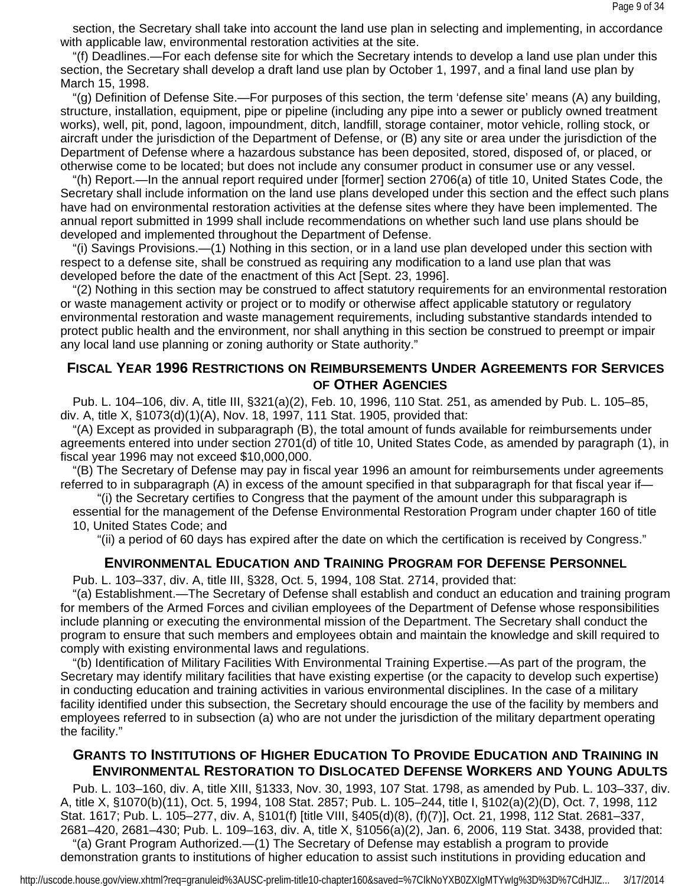section, the Secretary shall take into account the land use plan in selecting and implementing, in accordance with applicable law, environmental restoration activities at the site.

"(f) Deadlines.—For each defense site for which the Secretary intends to develop a land use plan under this section, the Secretary shall develop a draft land use plan by October 1, 1997, and a final land use plan by March 15, 1998.

"(g) Definition of Defense Site.—For purposes of this section, the term 'defense site' means (A) any building, structure, installation, equipment, pipe or pipeline (including any pipe into a sewer or publicly owned treatment works), well, pit, pond, lagoon, impoundment, ditch, landfill, storage container, motor vehicle, rolling stock, or aircraft under the jurisdiction of the Department of Defense, or (B) any site or area under the jurisdiction of the Department of Defense where a hazardous substance has been deposited, stored, disposed of, or placed, or otherwise come to be located; but does not include any consumer product in consumer use or any vessel.

"(h) Report.—In the annual report required under [former] section 2706(a) of title 10, United States Code, the Secretary shall include information on the land use plans developed under this section and the effect such plans have had on environmental restoration activities at the defense sites where they have been implemented. The annual report submitted in 1999 shall include recommendations on whether such land use plans should be developed and implemented throughout the Department of Defense.

"(i) Savings Provisions.—(1) Nothing in this section, or in a land use plan developed under this section with respect to a defense site, shall be construed as requiring any modification to a land use plan that was developed before the date of the enactment of this Act [Sept. 23, 1996].

"(2) Nothing in this section may be construed to affect statutory requirements for an environmental restoration or waste management activity or project or to modify or otherwise affect applicable statutory or regulatory environmental restoration and waste management requirements, including substantive standards intended to protect public health and the environment, nor shall anything in this section be construed to preempt or impair any local land use planning or zoning authority or State authority."

# **FISCAL YEAR 1996 RESTRICTIONS ON REIMBURSEMENTS UNDER AGREEMENTS FOR SERVICES OF OTHER AGENCIES**

Pub. L. 104–106, div. A, title III, §321(a)(2), Feb. 10, 1996, 110 Stat. 251, as amended by Pub. L. 105–85, div. A, title X, §1073(d)(1)(A), Nov. 18, 1997, 111 Stat. 1905, provided that:

"(A) Except as provided in subparagraph (B), the total amount of funds available for reimbursements under agreements entered into under section 2701(d) of title 10, United States Code, as amended by paragraph (1), in fiscal year 1996 may not exceed \$10,000,000.

"(B) The Secretary of Defense may pay in fiscal year 1996 an amount for reimbursements under agreements referred to in subparagraph (A) in excess of the amount specified in that subparagraph for that fiscal year if—

"(i) the Secretary certifies to Congress that the payment of the amount under this subparagraph is essential for the management of the Defense Environmental Restoration Program under chapter 160 of title 10, United States Code; and

"(ii) a period of 60 days has expired after the date on which the certification is received by Congress."

# **ENVIRONMENTAL EDUCATION AND TRAINING PROGRAM FOR DEFENSE PERSONNEL**

Pub. L. 103–337, div. A, title III, §328, Oct. 5, 1994, 108 Stat. 2714, provided that:

"(a) Establishment.—The Secretary of Defense shall establish and conduct an education and training program for members of the Armed Forces and civilian employees of the Department of Defense whose responsibilities include planning or executing the environmental mission of the Department. The Secretary shall conduct the program to ensure that such members and employees obtain and maintain the knowledge and skill required to comply with existing environmental laws and regulations.

"(b) Identification of Military Facilities With Environmental Training Expertise.—As part of the program, the Secretary may identify military facilities that have existing expertise (or the capacity to develop such expertise) in conducting education and training activities in various environmental disciplines. In the case of a military facility identified under this subsection, the Secretary should encourage the use of the facility by members and employees referred to in subsection (a) who are not under the jurisdiction of the military department operating the facility."

# **GRANTS TO INSTITUTIONS OF HIGHER EDUCATION TO PROVIDE EDUCATION AND TRAINING IN ENVIRONMENTAL RESTORATION TO DISLOCATED DEFENSE WORKERS AND YOUNG ADULTS**

Pub. L. 103–160, div. A, title XIII, §1333, Nov. 30, 1993, 107 Stat. 1798, as amended by Pub. L. 103–337, div. A, title X, §1070(b)(11), Oct. 5, 1994, 108 Stat. 2857; Pub. L. 105–244, title I, §102(a)(2)(D), Oct. 7, 1998, 112 Stat. 1617; Pub. L. 105–277, div. A, §101(f) [title VIII, §405(d)(8), (f)(7)], Oct. 21, 1998, 112 Stat. 2681–337, 2681–420, 2681–430; Pub. L. 109–163, div. A, title X, §1056(a)(2), Jan. 6, 2006, 119 Stat. 3438, provided that: "(a) Grant Program Authorized.—(1) The Secretary of Defense may establish a program to provide demonstration grants to institutions of higher education to assist such institutions in providing education and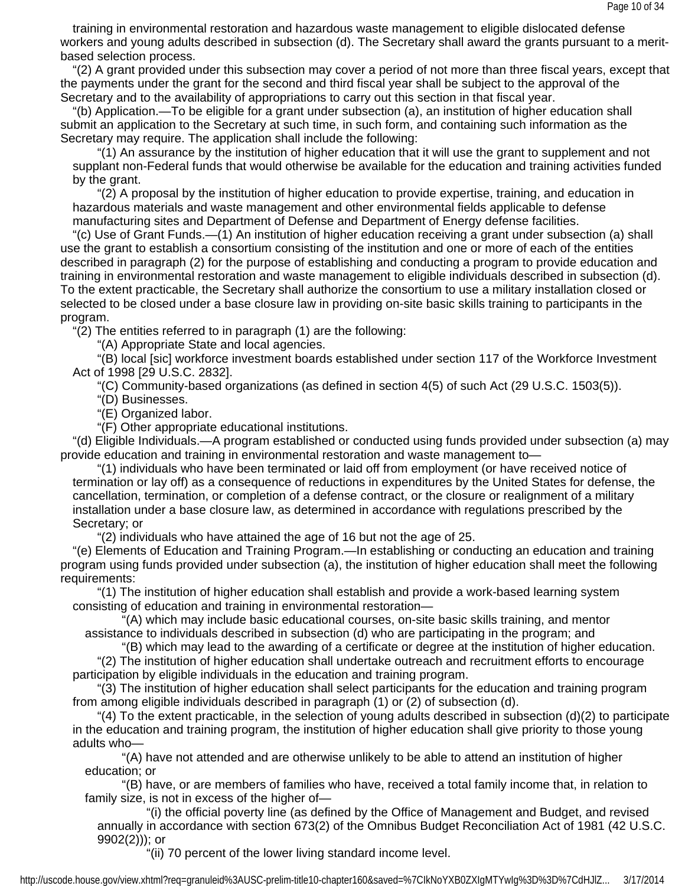training in environmental restoration and hazardous waste management to eligible dislocated defense workers and young adults described in subsection (d). The Secretary shall award the grants pursuant to a meritbased selection process.

"(2) A grant provided under this subsection may cover a period of not more than three fiscal years, except that the payments under the grant for the second and third fiscal year shall be subject to the approval of the Secretary and to the availability of appropriations to carry out this section in that fiscal year.

"(b) Application.—To be eligible for a grant under subsection (a), an institution of higher education shall submit an application to the Secretary at such time, in such form, and containing such information as the Secretary may require. The application shall include the following:

"(1) An assurance by the institution of higher education that it will use the grant to supplement and not supplant non-Federal funds that would otherwise be available for the education and training activities funded by the grant.

"(2) A proposal by the institution of higher education to provide expertise, training, and education in hazardous materials and waste management and other environmental fields applicable to defense manufacturing sites and Department of Defense and Department of Energy defense facilities.

"(c) Use of Grant Funds.—(1) An institution of higher education receiving a grant under subsection (a) shall use the grant to establish a consortium consisting of the institution and one or more of each of the entities described in paragraph (2) for the purpose of establishing and conducting a program to provide education and training in environmental restoration and waste management to eligible individuals described in subsection (d). To the extent practicable, the Secretary shall authorize the consortium to use a military installation closed or selected to be closed under a base closure law in providing on-site basic skills training to participants in the program.

"(2) The entities referred to in paragraph (1) are the following:

"(A) Appropriate State and local agencies.

"(B) local [sic] workforce investment boards established under section 117 of the Workforce Investment Act of 1998 [29 U.S.C. 2832].

"(C) Community-based organizations (as defined in section 4(5) of such Act (29 U.S.C. 1503(5)).

"(D) Businesses.

"(E) Organized labor.

"(F) Other appropriate educational institutions.

"(d) Eligible Individuals.—A program established or conducted using funds provided under subsection (a) may provide education and training in environmental restoration and waste management to—

"(1) individuals who have been terminated or laid off from employment (or have received notice of termination or lay off) as a consequence of reductions in expenditures by the United States for defense, the cancellation, termination, or completion of a defense contract, or the closure or realignment of a military installation under a base closure law, as determined in accordance with regulations prescribed by the Secretary; or

"(2) individuals who have attained the age of 16 but not the age of 25.

"(e) Elements of Education and Training Program.—In establishing or conducting an education and training program using funds provided under subsection (a), the institution of higher education shall meet the following requirements:

"(1) The institution of higher education shall establish and provide a work-based learning system consisting of education and training in environmental restoration—

"(A) which may include basic educational courses, on-site basic skills training, and mentor assistance to individuals described in subsection (d) who are participating in the program; and

"(B) which may lead to the awarding of a certificate or degree at the institution of higher education. "(2) The institution of higher education shall undertake outreach and recruitment efforts to encourage participation by eligible individuals in the education and training program.

"(3) The institution of higher education shall select participants for the education and training program from among eligible individuals described in paragraph (1) or (2) of subsection (d).

"(4) To the extent practicable, in the selection of young adults described in subsection (d)(2) to participate in the education and training program, the institution of higher education shall give priority to those young adults who—

"(A) have not attended and are otherwise unlikely to be able to attend an institution of higher education; or

"(B) have, or are members of families who have, received a total family income that, in relation to family size, is not in excess of the higher of—

"(i) the official poverty line (as defined by the Office of Management and Budget, and revised annually in accordance with section 673(2) of the Omnibus Budget Reconciliation Act of 1981 (42 U.S.C. 9902(2))); or

"(ii) 70 percent of the lower living standard income level.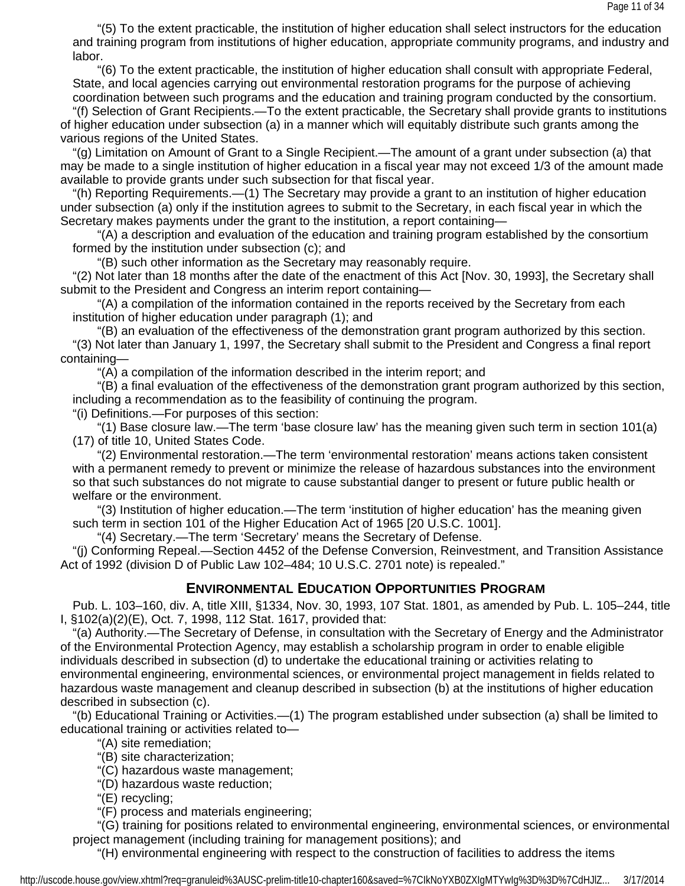"(5) To the extent practicable, the institution of higher education shall select instructors for the education and training program from institutions of higher education, appropriate community programs, and industry and labor.

"(6) To the extent practicable, the institution of higher education shall consult with appropriate Federal, State, and local agencies carrying out environmental restoration programs for the purpose of achieving coordination between such programs and the education and training program conducted by the consortium.

"(f) Selection of Grant Recipients.—To the extent practicable, the Secretary shall provide grants to institutions of higher education under subsection (a) in a manner which will equitably distribute such grants among the various regions of the United States.

"(g) Limitation on Amount of Grant to a Single Recipient.—The amount of a grant under subsection (a) that may be made to a single institution of higher education in a fiscal year may not exceed 1/3 of the amount made available to provide grants under such subsection for that fiscal year.

"(h) Reporting Requirements.—(1) The Secretary may provide a grant to an institution of higher education under subsection (a) only if the institution agrees to submit to the Secretary, in each fiscal year in which the Secretary makes payments under the grant to the institution, a report containing—

"(A) a description and evaluation of the education and training program established by the consortium formed by the institution under subsection (c); and

"(B) such other information as the Secretary may reasonably require.

"(2) Not later than 18 months after the date of the enactment of this Act [Nov. 30, 1993], the Secretary shall submit to the President and Congress an interim report containing—

"(A) a compilation of the information contained in the reports received by the Secretary from each institution of higher education under paragraph (1); and

"(B) an evaluation of the effectiveness of the demonstration grant program authorized by this section. "(3) Not later than January 1, 1997, the Secretary shall submit to the President and Congress a final report containing—

"(A) a compilation of the information described in the interim report; and

"(B) a final evaluation of the effectiveness of the demonstration grant program authorized by this section, including a recommendation as to the feasibility of continuing the program.

"(i) Definitions.—For purposes of this section:

"(1) Base closure law.—The term 'base closure law' has the meaning given such term in section 101(a) (17) of title 10, United States Code.

"(2) Environmental restoration.—The term 'environmental restoration' means actions taken consistent with a permanent remedy to prevent or minimize the release of hazardous substances into the environment so that such substances do not migrate to cause substantial danger to present or future public health or welfare or the environment.

"(3) Institution of higher education.—The term 'institution of higher education' has the meaning given such term in section 101 of the Higher Education Act of 1965 [20 U.S.C. 1001].

"(4) Secretary.—The term 'Secretary' means the Secretary of Defense.

"(j) Conforming Repeal.—Section 4452 of the Defense Conversion, Reinvestment, and Transition Assistance Act of 1992 (division D of Public Law 102–484; 10 U.S.C. 2701 note) is repealed."

# **ENVIRONMENTAL EDUCATION OPPORTUNITIES PROGRAM**

Pub. L. 103–160, div. A, title XIII, §1334, Nov. 30, 1993, 107 Stat. 1801, as amended by Pub. L. 105–244, title I, §102(a)(2)(E), Oct. 7, 1998, 112 Stat. 1617, provided that:

"(a) Authority.—The Secretary of Defense, in consultation with the Secretary of Energy and the Administrator of the Environmental Protection Agency, may establish a scholarship program in order to enable eligible individuals described in subsection (d) to undertake the educational training or activities relating to environmental engineering, environmental sciences, or environmental project management in fields related to hazardous waste management and cleanup described in subsection (b) at the institutions of higher education described in subsection (c).

"(b) Educational Training or Activities.—(1) The program established under subsection (a) shall be limited to educational training or activities related to—

- "(A) site remediation;
- "(B) site characterization;
- "(C) hazardous waste management;
- "(D) hazardous waste reduction;

"(E) recycling;

"(F) process and materials engineering;

"(G) training for positions related to environmental engineering, environmental sciences, or environmental project management (including training for management positions); and

"(H) environmental engineering with respect to the construction of facilities to address the items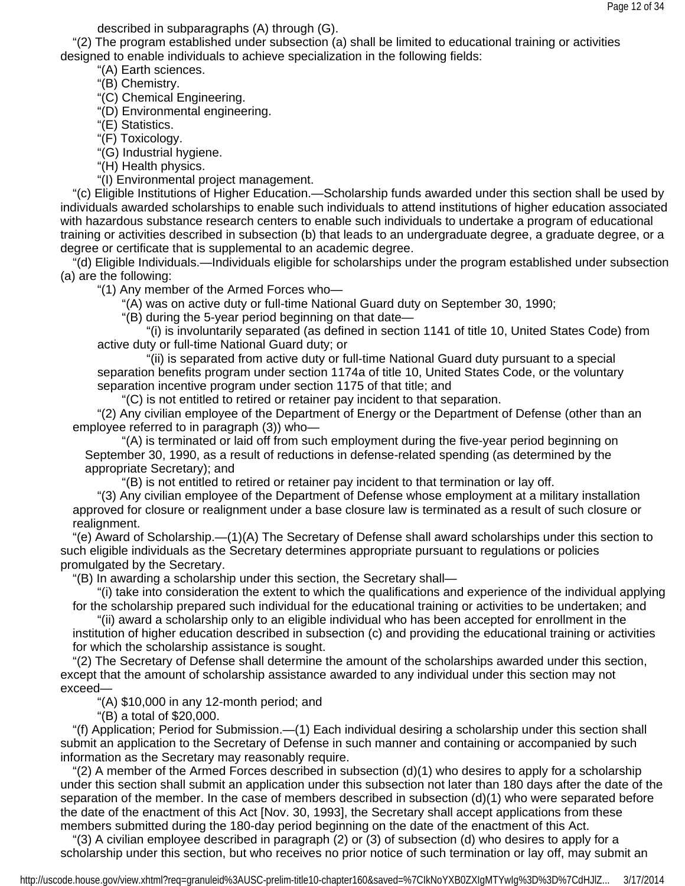described in subparagraphs (A) through (G).

"(2) The program established under subsection (a) shall be limited to educational training or activities designed to enable individuals to achieve specialization in the following fields:

"(A) Earth sciences.

"(B) Chemistry.

"(C) Chemical Engineering.

"(D) Environmental engineering.

"(E) Statistics.

"(F) Toxicology.

"(G) Industrial hygiene.

"(H) Health physics.

"(I) Environmental project management.

"(c) Eligible Institutions of Higher Education.—Scholarship funds awarded under this section shall be used by individuals awarded scholarships to enable such individuals to attend institutions of higher education associated with hazardous substance research centers to enable such individuals to undertake a program of educational training or activities described in subsection (b) that leads to an undergraduate degree, a graduate degree, or a degree or certificate that is supplemental to an academic degree.

"(d) Eligible Individuals.—Individuals eligible for scholarships under the program established under subsection (a) are the following:

"(1) Any member of the Armed Forces who—

"(A) was on active duty or full-time National Guard duty on September 30, 1990;

"(B) during the 5-year period beginning on that date—

"(i) is involuntarily separated (as defined in section 1141 of title 10, United States Code) from active duty or full-time National Guard duty; or

"(ii) is separated from active duty or full-time National Guard duty pursuant to a special separation benefits program under section 1174a of title 10, United States Code, or the voluntary separation incentive program under section 1175 of that title; and

"(C) is not entitled to retired or retainer pay incident to that separation.

"(2) Any civilian employee of the Department of Energy or the Department of Defense (other than an employee referred to in paragraph (3)) who—

"(A) is terminated or laid off from such employment during the five-year period beginning on September 30, 1990, as a result of reductions in defense-related spending (as determined by the appropriate Secretary); and

"(B) is not entitled to retired or retainer pay incident to that termination or lay off.

"(3) Any civilian employee of the Department of Defense whose employment at a military installation approved for closure or realignment under a base closure law is terminated as a result of such closure or realignment.

"(e) Award of Scholarship.—(1)(A) The Secretary of Defense shall award scholarships under this section to such eligible individuals as the Secretary determines appropriate pursuant to regulations or policies promulgated by the Secretary.

"(B) In awarding a scholarship under this section, the Secretary shall—

"(i) take into consideration the extent to which the qualifications and experience of the individual applying for the scholarship prepared such individual for the educational training or activities to be undertaken; and

"(ii) award a scholarship only to an eligible individual who has been accepted for enrollment in the institution of higher education described in subsection (c) and providing the educational training or activities for which the scholarship assistance is sought.

"(2) The Secretary of Defense shall determine the amount of the scholarships awarded under this section, except that the amount of scholarship assistance awarded to any individual under this section may not exceed—

"(A) \$10,000 in any 12-month period; and

"(B) a total of \$20,000.

"(f) Application; Period for Submission.—(1) Each individual desiring a scholarship under this section shall submit an application to the Secretary of Defense in such manner and containing or accompanied by such information as the Secretary may reasonably require.

"(2) A member of the Armed Forces described in subsection  $(d)(1)$  who desires to apply for a scholarship under this section shall submit an application under this subsection not later than 180 days after the date of the separation of the member. In the case of members described in subsection (d)(1) who were separated before the date of the enactment of this Act [Nov. 30, 1993], the Secretary shall accept applications from these members submitted during the 180-day period beginning on the date of the enactment of this Act.

"(3) A civilian employee described in paragraph (2) or (3) of subsection (d) who desires to apply for a scholarship under this section, but who receives no prior notice of such termination or lay off, may submit an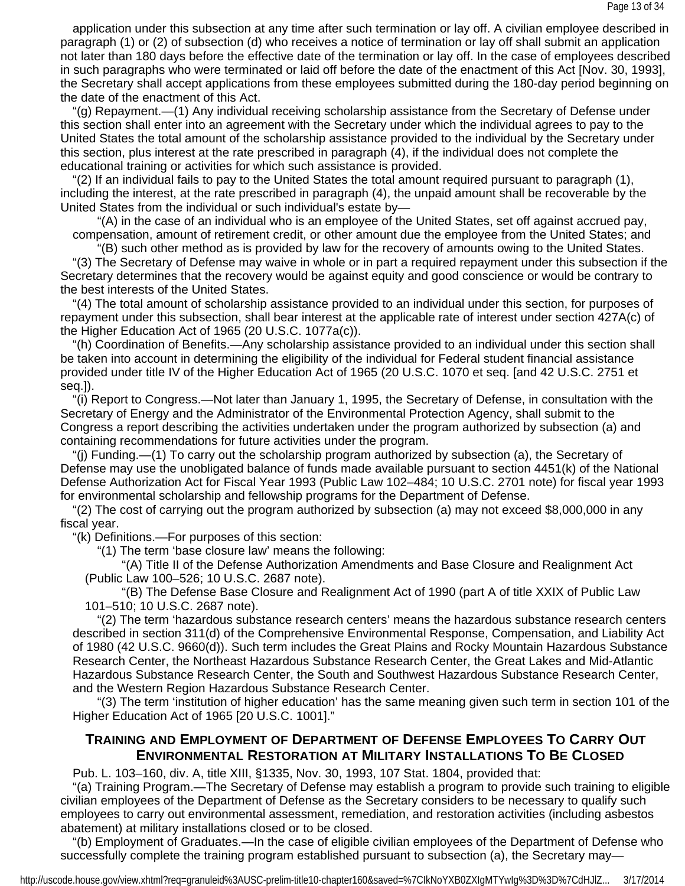application under this subsection at any time after such termination or lay off. A civilian employee described in paragraph (1) or (2) of subsection (d) who receives a notice of termination or lay off shall submit an application not later than 180 days before the effective date of the termination or lay off. In the case of employees described in such paragraphs who were terminated or laid off before the date of the enactment of this Act [Nov. 30, 1993], the Secretary shall accept applications from these employees submitted during the 180-day period beginning on the date of the enactment of this Act.

"(g) Repayment.—(1) Any individual receiving scholarship assistance from the Secretary of Defense under this section shall enter into an agreement with the Secretary under which the individual agrees to pay to the United States the total amount of the scholarship assistance provided to the individual by the Secretary under this section, plus interest at the rate prescribed in paragraph (4), if the individual does not complete the educational training or activities for which such assistance is provided.

"(2) If an individual fails to pay to the United States the total amount required pursuant to paragraph (1), including the interest, at the rate prescribed in paragraph (4), the unpaid amount shall be recoverable by the United States from the individual or such individual's estate by—

"(A) in the case of an individual who is an employee of the United States, set off against accrued pay, compensation, amount of retirement credit, or other amount due the employee from the United States; and

"(B) such other method as is provided by law for the recovery of amounts owing to the United States.

"(3) The Secretary of Defense may waive in whole or in part a required repayment under this subsection if the Secretary determines that the recovery would be against equity and good conscience or would be contrary to the best interests of the United States.

"(4) The total amount of scholarship assistance provided to an individual under this section, for purposes of repayment under this subsection, shall bear interest at the applicable rate of interest under section 427A(c) of the Higher Education Act of 1965 (20 U.S.C. 1077a(c)).

"(h) Coordination of Benefits.—Any scholarship assistance provided to an individual under this section shall be taken into account in determining the eligibility of the individual for Federal student financial assistance provided under title IV of the Higher Education Act of 1965 (20 U.S.C. 1070 et seq. [and 42 U.S.C. 2751 et seq.]).

"(i) Report to Congress.—Not later than January 1, 1995, the Secretary of Defense, in consultation with the Secretary of Energy and the Administrator of the Environmental Protection Agency, shall submit to the Congress a report describing the activities undertaken under the program authorized by subsection (a) and containing recommendations for future activities under the program.

"(j) Funding.—(1) To carry out the scholarship program authorized by subsection (a), the Secretary of Defense may use the unobligated balance of funds made available pursuant to section 4451(k) of the National Defense Authorization Act for Fiscal Year 1993 (Public Law 102–484; 10 U.S.C. 2701 note) for fiscal year 1993 for environmental scholarship and fellowship programs for the Department of Defense.

"(2) The cost of carrying out the program authorized by subsection (a) may not exceed \$8,000,000 in any fiscal year.

"(k) Definitions.—For purposes of this section:

"(1) The term 'base closure law' means the following:

"(A) Title II of the Defense Authorization Amendments and Base Closure and Realignment Act (Public Law 100–526; 10 U.S.C. 2687 note).

"(B) The Defense Base Closure and Realignment Act of 1990 (part A of title XXIX of Public Law 101–510; 10 U.S.C. 2687 note).

"(2) The term 'hazardous substance research centers' means the hazardous substance research centers described in section 311(d) of the Comprehensive Environmental Response, Compensation, and Liability Act of 1980 (42 U.S.C. 9660(d)). Such term includes the Great Plains and Rocky Mountain Hazardous Substance Research Center, the Northeast Hazardous Substance Research Center, the Great Lakes and Mid-Atlantic Hazardous Substance Research Center, the South and Southwest Hazardous Substance Research Center, and the Western Region Hazardous Substance Research Center.

"(3) The term 'institution of higher education' has the same meaning given such term in section 101 of the Higher Education Act of 1965 [20 U.S.C. 1001]."

# **TRAINING AND EMPLOYMENT OF DEPARTMENT OF DEFENSE EMPLOYEES TO CARRY OUT ENVIRONMENTAL RESTORATION AT MILITARY INSTALLATIONS TO BE CLOSED**

Pub. L. 103–160, div. A, title XIII, §1335, Nov. 30, 1993, 107 Stat. 1804, provided that:

"(a) Training Program.—The Secretary of Defense may establish a program to provide such training to eligible civilian employees of the Department of Defense as the Secretary considers to be necessary to qualify such employees to carry out environmental assessment, remediation, and restoration activities (including asbestos abatement) at military installations closed or to be closed.

"(b) Employment of Graduates.—In the case of eligible civilian employees of the Department of Defense who successfully complete the training program established pursuant to subsection (a), the Secretary may—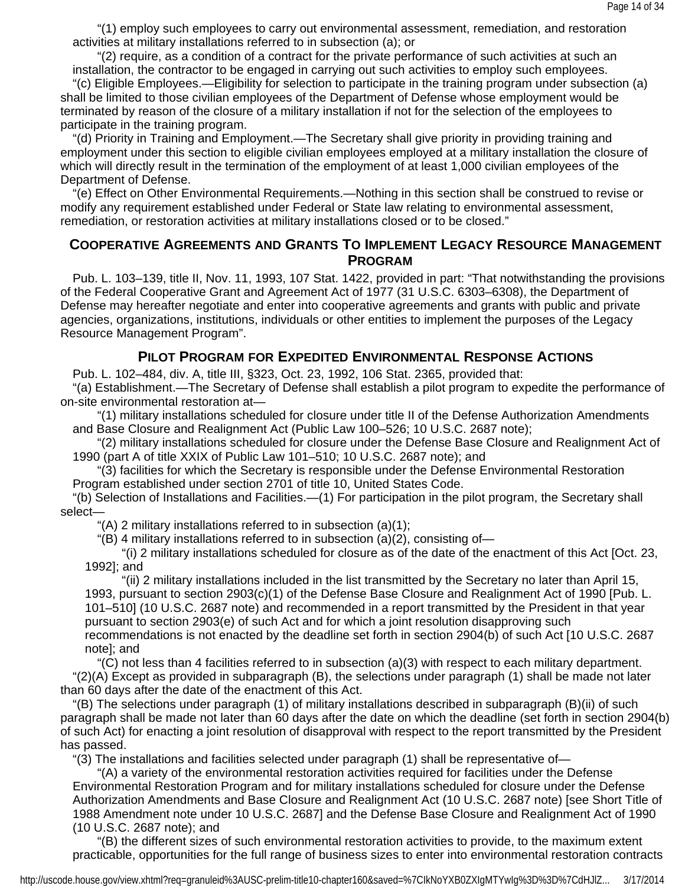"(1) employ such employees to carry out environmental assessment, remediation, and restoration activities at military installations referred to in subsection (a); or

"(2) require, as a condition of a contract for the private performance of such activities at such an installation, the contractor to be engaged in carrying out such activities to employ such employees.

"(c) Eligible Employees.—Eligibility for selection to participate in the training program under subsection (a) shall be limited to those civilian employees of the Department of Defense whose employment would be terminated by reason of the closure of a military installation if not for the selection of the employees to participate in the training program.

"(d) Priority in Training and Employment.—The Secretary shall give priority in providing training and employment under this section to eligible civilian employees employed at a military installation the closure of which will directly result in the termination of the employment of at least 1,000 civilian employees of the Department of Defense.

"(e) Effect on Other Environmental Requirements.—Nothing in this section shall be construed to revise or modify any requirement established under Federal or State law relating to environmental assessment, remediation, or restoration activities at military installations closed or to be closed."

# **COOPERATIVE AGREEMENTS AND GRANTS TO IMPLEMENT LEGACY RESOURCE MANAGEMENT PROGRAM**

Pub. L. 103–139, title II, Nov. 11, 1993, 107 Stat. 1422, provided in part: "That notwithstanding the provisions of the Federal Cooperative Grant and Agreement Act of 1977 (31 U.S.C. 6303–6308), the Department of Defense may hereafter negotiate and enter into cooperative agreements and grants with public and private agencies, organizations, institutions, individuals or other entities to implement the purposes of the Legacy Resource Management Program".

# **PILOT PROGRAM FOR EXPEDITED ENVIRONMENTAL RESPONSE ACTIONS**

Pub. L. 102–484, div. A, title III, §323, Oct. 23, 1992, 106 Stat. 2365, provided that:

"(a) Establishment.—The Secretary of Defense shall establish a pilot program to expedite the performance of on-site environmental restoration at—

"(1) military installations scheduled for closure under title II of the Defense Authorization Amendments and Base Closure and Realignment Act (Public Law 100–526; 10 U.S.C. 2687 note);

"(2) military installations scheduled for closure under the Defense Base Closure and Realignment Act of 1990 (part A of title XXIX of Public Law 101–510; 10 U.S.C. 2687 note); and

"(3) facilities for which the Secretary is responsible under the Defense Environmental Restoration Program established under section 2701 of title 10, United States Code.

"(b) Selection of Installations and Facilities.—(1) For participation in the pilot program, the Secretary shall select—

"(A) 2 military installations referred to in subsection (a)(1);

"(B) 4 military installations referred to in subsection  $(a)(2)$ , consisting of-

"(i) 2 military installations scheduled for closure as of the date of the enactment of this Act [Oct. 23, 1992]; and

"(ii) 2 military installations included in the list transmitted by the Secretary no later than April 15, 1993, pursuant to section 2903(c)(1) of the Defense Base Closure and Realignment Act of 1990 [Pub. L. 101–510] (10 U.S.C. 2687 note) and recommended in a report transmitted by the President in that year pursuant to section 2903(e) of such Act and for which a joint resolution disapproving such recommendations is not enacted by the deadline set forth in section 2904(b) of such Act [10 U.S.C. 2687 note]; and

"(C) not less than 4 facilities referred to in subsection (a)(3) with respect to each military department. "(2)(A) Except as provided in subparagraph (B), the selections under paragraph (1) shall be made not later than 60 days after the date of the enactment of this Act.

"(B) The selections under paragraph (1) of military installations described in subparagraph (B)(ii) of such paragraph shall be made not later than 60 days after the date on which the deadline (set forth in section 2904(b) of such Act) for enacting a joint resolution of disapproval with respect to the report transmitted by the President has passed.

"(3) The installations and facilities selected under paragraph (1) shall be representative of—

"(A) a variety of the environmental restoration activities required for facilities under the Defense Environmental Restoration Program and for military installations scheduled for closure under the Defense Authorization Amendments and Base Closure and Realignment Act (10 U.S.C. 2687 note) [see Short Title of 1988 Amendment note under 10 U.S.C. 2687] and the Defense Base Closure and Realignment Act of 1990 (10 U.S.C. 2687 note); and

"(B) the different sizes of such environmental restoration activities to provide, to the maximum extent practicable, opportunities for the full range of business sizes to enter into environmental restoration contracts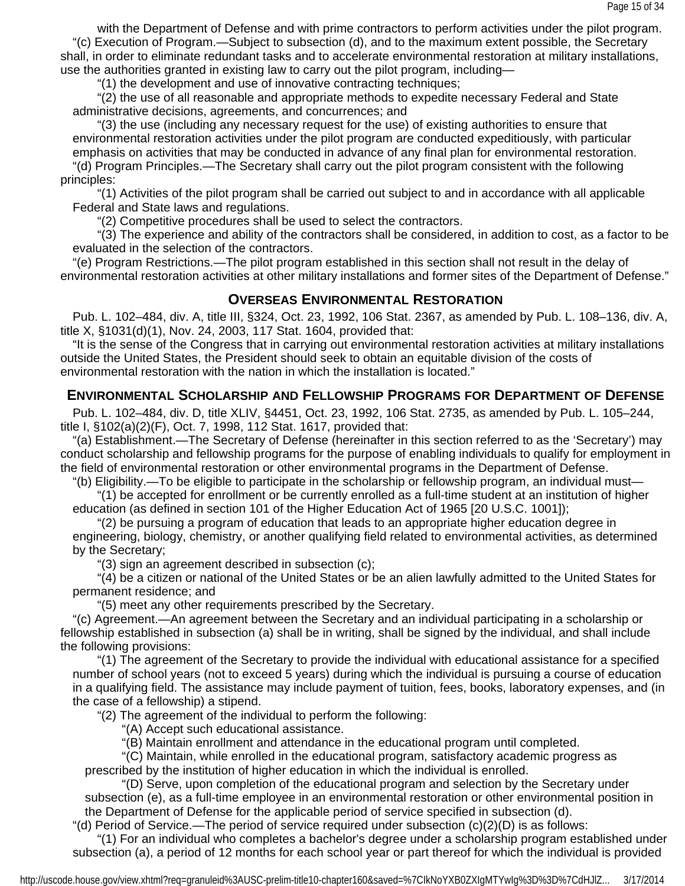with the Department of Defense and with prime contractors to perform activities under the pilot program. "(c) Execution of Program.—Subject to subsection (d), and to the maximum extent possible, the Secretary shall, in order to eliminate redundant tasks and to accelerate environmental restoration at military installations, use the authorities granted in existing law to carry out the pilot program, including—

"(1) the development and use of innovative contracting techniques;

"(2) the use of all reasonable and appropriate methods to expedite necessary Federal and State administrative decisions, agreements, and concurrences; and

"(3) the use (including any necessary request for the use) of existing authorities to ensure that environmental restoration activities under the pilot program are conducted expeditiously, with particular emphasis on activities that may be conducted in advance of any final plan for environmental restoration. "(d) Program Principles.—The Secretary shall carry out the pilot program consistent with the following principles:

"(1) Activities of the pilot program shall be carried out subject to and in accordance with all applicable Federal and State laws and regulations.

"(2) Competitive procedures shall be used to select the contractors.

"(3) The experience and ability of the contractors shall be considered, in addition to cost, as a factor to be evaluated in the selection of the contractors.

"(e) Program Restrictions.—The pilot program established in this section shall not result in the delay of environmental restoration activities at other military installations and former sites of the Department of Defense."

# **OVERSEAS ENVIRONMENTAL RESTORATION**

Pub. L. 102–484, div. A, title III, §324, Oct. 23, 1992, 106 Stat. 2367, as amended by Pub. L. 108–136, div. A, title X, §1031(d)(1), Nov. 24, 2003, 117 Stat. 1604, provided that:

"It is the sense of the Congress that in carrying out environmental restoration activities at military installations outside the United States, the President should seek to obtain an equitable division of the costs of environmental restoration with the nation in which the installation is located."

# **ENVIRONMENTAL SCHOLARSHIP AND FELLOWSHIP PROGRAMS FOR DEPARTMENT OF DEFENSE**

Pub. L. 102–484, div. D, title XLIV, §4451, Oct. 23, 1992, 106 Stat. 2735, as amended by Pub. L. 105–244, title I, §102(a)(2)(F), Oct. 7, 1998, 112 Stat. 1617, provided that:

"(a) Establishment.—The Secretary of Defense (hereinafter in this section referred to as the 'Secretary') may conduct scholarship and fellowship programs for the purpose of enabling individuals to qualify for employment in the field of environmental restoration or other environmental programs in the Department of Defense.

"(b) Eligibility.—To be eligible to participate in the scholarship or fellowship program, an individual must—

"(1) be accepted for enrollment or be currently enrolled as a full-time student at an institution of higher education (as defined in section 101 of the Higher Education Act of 1965 [20 U.S.C. 1001]);

"(2) be pursuing a program of education that leads to an appropriate higher education degree in engineering, biology, chemistry, or another qualifying field related to environmental activities, as determined by the Secretary;

"(3) sign an agreement described in subsection (c);

"(4) be a citizen or national of the United States or be an alien lawfully admitted to the United States for permanent residence; and

"(5) meet any other requirements prescribed by the Secretary.

"(c) Agreement.—An agreement between the Secretary and an individual participating in a scholarship or fellowship established in subsection (a) shall be in writing, shall be signed by the individual, and shall include the following provisions:

"(1) The agreement of the Secretary to provide the individual with educational assistance for a specified number of school years (not to exceed 5 years) during which the individual is pursuing a course of education in a qualifying field. The assistance may include payment of tuition, fees, books, laboratory expenses, and (in the case of a fellowship) a stipend.

"(2) The agreement of the individual to perform the following:

"(A) Accept such educational assistance.

"(B) Maintain enrollment and attendance in the educational program until completed.

"(C) Maintain, while enrolled in the educational program, satisfactory academic progress as prescribed by the institution of higher education in which the individual is enrolled.

"(D) Serve, upon completion of the educational program and selection by the Secretary under subsection (e), as a full-time employee in an environmental restoration or other environmental position in the Department of Defense for the applicable period of service specified in subsection (d).

"(d) Period of Service.—The period of service required under subsection  $(c)(2)(D)$  is as follows:

"(1) For an individual who completes a bachelor's degree under a scholarship program established under subsection (a), a period of 12 months for each school year or part thereof for which the individual is provided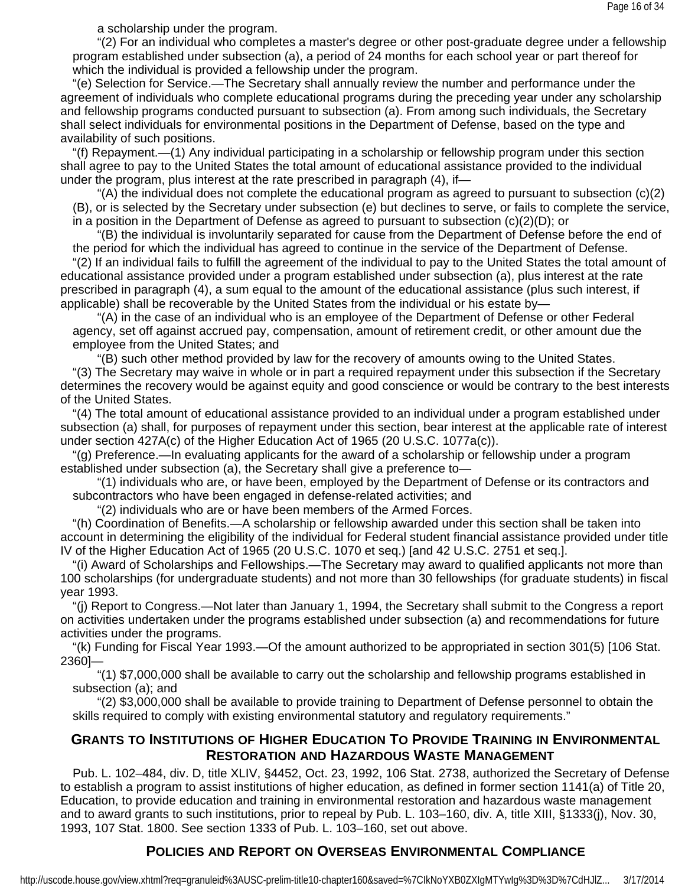"(2) For an individual who completes a master's degree or other post-graduate degree under a fellowship program established under subsection (a), a period of 24 months for each school year or part thereof for which the individual is provided a fellowship under the program.

"(e) Selection for Service.—The Secretary shall annually review the number and performance under the agreement of individuals who complete educational programs during the preceding year under any scholarship and fellowship programs conducted pursuant to subsection (a). From among such individuals, the Secretary shall select individuals for environmental positions in the Department of Defense, based on the type and availability of such positions.

"(f) Repayment.—(1) Any individual participating in a scholarship or fellowship program under this section shall agree to pay to the United States the total amount of educational assistance provided to the individual under the program, plus interest at the rate prescribed in paragraph (4), if—

"(A) the individual does not complete the educational program as agreed to pursuant to subsection (c)(2) (B), or is selected by the Secretary under subsection (e) but declines to serve, or fails to complete the service, in a position in the Department of Defense as agreed to pursuant to subsection (c)(2)(D); or

"(B) the individual is involuntarily separated for cause from the Department of Defense before the end of the period for which the individual has agreed to continue in the service of the Department of Defense.

"(2) If an individual fails to fulfill the agreement of the individual to pay to the United States the total amount of educational assistance provided under a program established under subsection (a), plus interest at the rate prescribed in paragraph (4), a sum equal to the amount of the educational assistance (plus such interest, if applicable) shall be recoverable by the United States from the individual or his estate by—

"(A) in the case of an individual who is an employee of the Department of Defense or other Federal agency, set off against accrued pay, compensation, amount of retirement credit, or other amount due the employee from the United States; and

"(B) such other method provided by law for the recovery of amounts owing to the United States.

"(3) The Secretary may waive in whole or in part a required repayment under this subsection if the Secretary determines the recovery would be against equity and good conscience or would be contrary to the best interests of the United States.

"(4) The total amount of educational assistance provided to an individual under a program established under subsection (a) shall, for purposes of repayment under this section, bear interest at the applicable rate of interest under section 427A(c) of the Higher Education Act of 1965 (20 U.S.C. 1077a(c)).

"(g) Preference.—In evaluating applicants for the award of a scholarship or fellowship under a program established under subsection (a), the Secretary shall give a preference to—

"(1) individuals who are, or have been, employed by the Department of Defense or its contractors and subcontractors who have been engaged in defense-related activities; and

"(2) individuals who are or have been members of the Armed Forces.

"(h) Coordination of Benefits.—A scholarship or fellowship awarded under this section shall be taken into account in determining the eligibility of the individual for Federal student financial assistance provided under title IV of the Higher Education Act of 1965 (20 U.S.C. 1070 et seq.) [and 42 U.S.C. 2751 et seq.].

"(i) Award of Scholarships and Fellowships.—The Secretary may award to qualified applicants not more than 100 scholarships (for undergraduate students) and not more than 30 fellowships (for graduate students) in fiscal year 1993.

"(j) Report to Congress.—Not later than January 1, 1994, the Secretary shall submit to the Congress a report on activities undertaken under the programs established under subsection (a) and recommendations for future activities under the programs.

"(k) Funding for Fiscal Year 1993.—Of the amount authorized to be appropriated in section 301(5) [106 Stat. 2360]—

"(1) \$7,000,000 shall be available to carry out the scholarship and fellowship programs established in subsection (a); and

"(2) \$3,000,000 shall be available to provide training to Department of Defense personnel to obtain the skills required to comply with existing environmental statutory and regulatory requirements."

# **GRANTS TO INSTITUTIONS OF HIGHER EDUCATION TO PROVIDE TRAINING IN ENVIRONMENTAL RESTORATION AND HAZARDOUS WASTE MANAGEMENT**

Pub. L. 102–484, div. D, title XLIV, §4452, Oct. 23, 1992, 106 Stat. 2738, authorized the Secretary of Defense to establish a program to assist institutions of higher education, as defined in former section 1141(a) of Title 20, Education, to provide education and training in environmental restoration and hazardous waste management and to award grants to such institutions, prior to repeal by Pub. L. 103–160, div. A, title XIII, §1333(j), Nov. 30, 1993, 107 Stat. 1800. See section 1333 of Pub. L. 103–160, set out above.

# **POLICIES AND REPORT ON OVERSEAS ENVIRONMENTAL COMPLIANCE**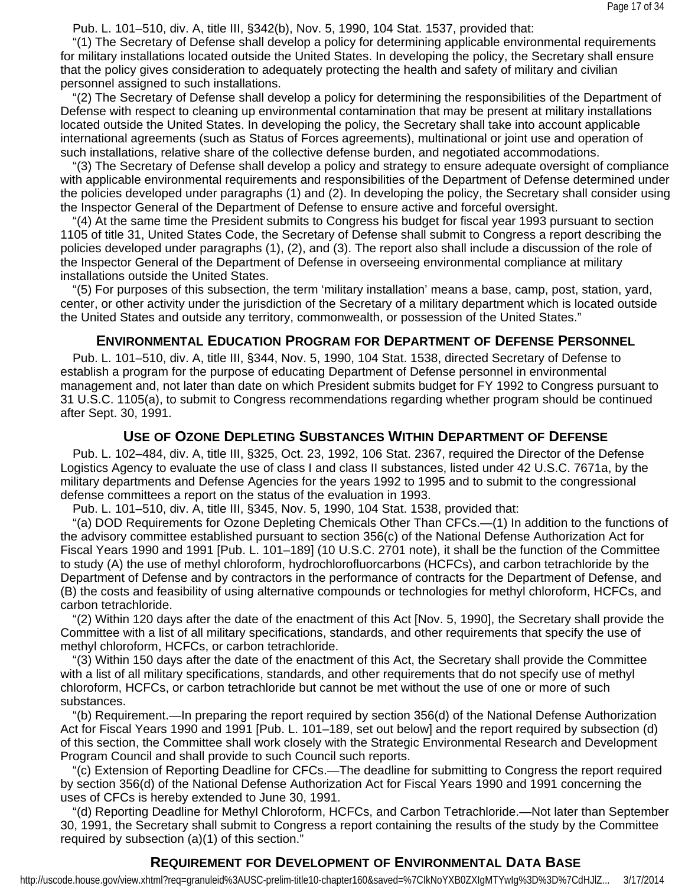Pub. L. 101–510, div. A, title III, §342(b), Nov. 5, 1990, 104 Stat. 1537, provided that:

"(1) The Secretary of Defense shall develop a policy for determining applicable environmental requirements for military installations located outside the United States. In developing the policy, the Secretary shall ensure that the policy gives consideration to adequately protecting the health and safety of military and civilian personnel assigned to such installations.

"(2) The Secretary of Defense shall develop a policy for determining the responsibilities of the Department of Defense with respect to cleaning up environmental contamination that may be present at military installations located outside the United States. In developing the policy, the Secretary shall take into account applicable international agreements (such as Status of Forces agreements), multinational or joint use and operation of such installations, relative share of the collective defense burden, and negotiated accommodations.

"(3) The Secretary of Defense shall develop a policy and strategy to ensure adequate oversight of compliance with applicable environmental requirements and responsibilities of the Department of Defense determined under the policies developed under paragraphs (1) and (2). In developing the policy, the Secretary shall consider using the Inspector General of the Department of Defense to ensure active and forceful oversight.

"(4) At the same time the President submits to Congress his budget for fiscal year 1993 pursuant to section 1105 of title 31, United States Code, the Secretary of Defense shall submit to Congress a report describing the policies developed under paragraphs (1), (2), and (3). The report also shall include a discussion of the role of the Inspector General of the Department of Defense in overseeing environmental compliance at military installations outside the United States.

"(5) For purposes of this subsection, the term 'military installation' means a base, camp, post, station, yard, center, or other activity under the jurisdiction of the Secretary of a military department which is located outside the United States and outside any territory, commonwealth, or possession of the United States."

# **ENVIRONMENTAL EDUCATION PROGRAM FOR DEPARTMENT OF DEFENSE PERSONNEL**

Pub. L. 101–510, div. A, title III, §344, Nov. 5, 1990, 104 Stat. 1538, directed Secretary of Defense to establish a program for the purpose of educating Department of Defense personnel in environmental management and, not later than date on which President submits budget for FY 1992 to Congress pursuant to 31 U.S.C. 1105(a), to submit to Congress recommendations regarding whether program should be continued after Sept. 30, 1991.

# **USE OF OZONE DEPLETING SUBSTANCES WITHIN DEPARTMENT OF DEFENSE**

Pub. L. 102–484, div. A, title III, §325, Oct. 23, 1992, 106 Stat. 2367, required the Director of the Defense Logistics Agency to evaluate the use of class I and class II substances, listed under 42 U.S.C. 7671a, by the military departments and Defense Agencies for the years 1992 to 1995 and to submit to the congressional defense committees a report on the status of the evaluation in 1993.

Pub. L. 101–510, div. A, title III, §345, Nov. 5, 1990, 104 Stat. 1538, provided that:

"(a) DOD Requirements for Ozone Depleting Chemicals Other Than CFCs.—(1) In addition to the functions of the advisory committee established pursuant to section 356(c) of the National Defense Authorization Act for Fiscal Years 1990 and 1991 [Pub. L. 101–189] (10 U.S.C. 2701 note), it shall be the function of the Committee to study (A) the use of methyl chloroform, hydrochlorofluorcarbons (HCFCs), and carbon tetrachloride by the Department of Defense and by contractors in the performance of contracts for the Department of Defense, and (B) the costs and feasibility of using alternative compounds or technologies for methyl chloroform, HCFCs, and carbon tetrachloride.

"(2) Within 120 days after the date of the enactment of this Act [Nov. 5, 1990], the Secretary shall provide the Committee with a list of all military specifications, standards, and other requirements that specify the use of methyl chloroform, HCFCs, or carbon tetrachloride.

"(3) Within 150 days after the date of the enactment of this Act, the Secretary shall provide the Committee with a list of all military specifications, standards, and other requirements that do not specify use of methyl chloroform, HCFCs, or carbon tetrachloride but cannot be met without the use of one or more of such substances.

"(b) Requirement.—In preparing the report required by section 356(d) of the National Defense Authorization Act for Fiscal Years 1990 and 1991 [Pub. L. 101–189, set out below] and the report required by subsection (d) of this section, the Committee shall work closely with the Strategic Environmental Research and Development Program Council and shall provide to such Council such reports.

"(c) Extension of Reporting Deadline for CFCs.—The deadline for submitting to Congress the report required by section 356(d) of the National Defense Authorization Act for Fiscal Years 1990 and 1991 concerning the uses of CFCs is hereby extended to June 30, 1991.

"(d) Reporting Deadline for Methyl Chloroform, HCFCs, and Carbon Tetrachloride.—Not later than September 30, 1991, the Secretary shall submit to Congress a report containing the results of the study by the Committee required by subsection (a)(1) of this section."

# **REQUIREMENT FOR DEVELOPMENT OF ENVIRONMENTAL DATA BASE**

http://uscode.house.gov/view.xhtml?req=granuleid%3AUSC-prelim-title10-chapter160&saved=%7CIkNoYXB0ZXIgMTYwIg%3D%3D%7CdHJlZ... 3/17/2014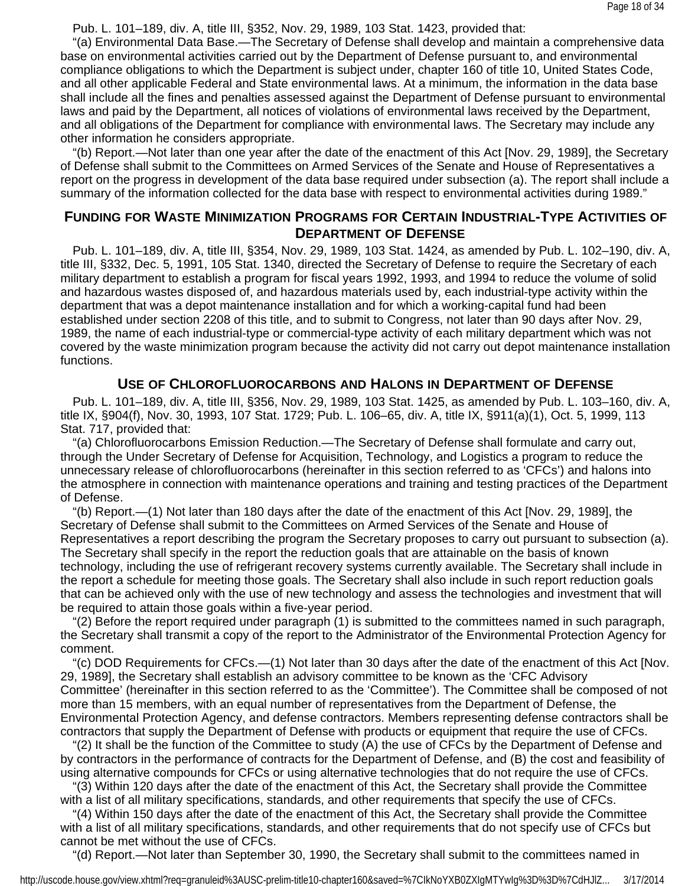Pub. L. 101–189, div. A, title III, §352, Nov. 29, 1989, 103 Stat. 1423, provided that:

"(a) Environmental Data Base.—The Secretary of Defense shall develop and maintain a comprehensive data base on environmental activities carried out by the Department of Defense pursuant to, and environmental compliance obligations to which the Department is subject under, chapter 160 of title 10, United States Code, and all other applicable Federal and State environmental laws. At a minimum, the information in the data base shall include all the fines and penalties assessed against the Department of Defense pursuant to environmental laws and paid by the Department, all notices of violations of environmental laws received by the Department, and all obligations of the Department for compliance with environmental laws. The Secretary may include any other information he considers appropriate.

"(b) Report.—Not later than one year after the date of the enactment of this Act [Nov. 29, 1989], the Secretary of Defense shall submit to the Committees on Armed Services of the Senate and House of Representatives a report on the progress in development of the data base required under subsection (a). The report shall include a summary of the information collected for the data base with respect to environmental activities during 1989."

### **FUNDING FOR WASTE MINIMIZATION PROGRAMS FOR CERTAIN INDUSTRIAL-TYPE ACTIVITIES OF DEPARTMENT OF DEFENSE**

Pub. L. 101–189, div. A, title III, §354, Nov. 29, 1989, 103 Stat. 1424, as amended by Pub. L. 102–190, div. A, title III, §332, Dec. 5, 1991, 105 Stat. 1340, directed the Secretary of Defense to require the Secretary of each military department to establish a program for fiscal years 1992, 1993, and 1994 to reduce the volume of solid and hazardous wastes disposed of, and hazardous materials used by, each industrial-type activity within the department that was a depot maintenance installation and for which a working-capital fund had been established under section 2208 of this title, and to submit to Congress, not later than 90 days after Nov. 29, 1989, the name of each industrial-type or commercial-type activity of each military department which was not covered by the waste minimization program because the activity did not carry out depot maintenance installation functions.

## **USE OF CHLOROFLUOROCARBONS AND HALONS IN DEPARTMENT OF DEFENSE**

Pub. L. 101–189, div. A, title III, §356, Nov. 29, 1989, 103 Stat. 1425, as amended by Pub. L. 103–160, div. A, title IX, §904(f), Nov. 30, 1993, 107 Stat. 1729; Pub. L. 106–65, div. A, title IX, §911(a)(1), Oct. 5, 1999, 113 Stat. 717, provided that:

"(a) Chlorofluorocarbons Emission Reduction.—The Secretary of Defense shall formulate and carry out, through the Under Secretary of Defense for Acquisition, Technology, and Logistics a program to reduce the unnecessary release of chlorofluorocarbons (hereinafter in this section referred to as 'CFCs') and halons into the atmosphere in connection with maintenance operations and training and testing practices of the Department of Defense.

"(b) Report.—(1) Not later than 180 days after the date of the enactment of this Act [Nov. 29, 1989], the Secretary of Defense shall submit to the Committees on Armed Services of the Senate and House of Representatives a report describing the program the Secretary proposes to carry out pursuant to subsection (a). The Secretary shall specify in the report the reduction goals that are attainable on the basis of known technology, including the use of refrigerant recovery systems currently available. The Secretary shall include in the report a schedule for meeting those goals. The Secretary shall also include in such report reduction goals that can be achieved only with the use of new technology and assess the technologies and investment that will be required to attain those goals within a five-year period.

"(2) Before the report required under paragraph (1) is submitted to the committees named in such paragraph, the Secretary shall transmit a copy of the report to the Administrator of the Environmental Protection Agency for comment.

"(c) DOD Requirements for CFCs.—(1) Not later than 30 days after the date of the enactment of this Act [Nov. 29, 1989], the Secretary shall establish an advisory committee to be known as the 'CFC Advisory Committee' (hereinafter in this section referred to as the 'Committee'). The Committee shall be composed of not more than 15 members, with an equal number of representatives from the Department of Defense, the Environmental Protection Agency, and defense contractors. Members representing defense contractors shall be contractors that supply the Department of Defense with products or equipment that require the use of CFCs.

"(2) It shall be the function of the Committee to study (A) the use of CFCs by the Department of Defense and by contractors in the performance of contracts for the Department of Defense, and (B) the cost and feasibility of using alternative compounds for CFCs or using alternative technologies that do not require the use of CFCs.

"(3) Within 120 days after the date of the enactment of this Act, the Secretary shall provide the Committee with a list of all military specifications, standards, and other requirements that specify the use of CFCs.

"(4) Within 150 days after the date of the enactment of this Act, the Secretary shall provide the Committee with a list of all military specifications, standards, and other requirements that do not specify use of CFCs but cannot be met without the use of CFCs.

"(d) Report.—Not later than September 30, 1990, the Secretary shall submit to the committees named in

http://uscode.house.gov/view.xhtml?req=granuleid%3AUSC-prelim-title10-chapter160&saved=%7CIkNoYXB0ZXIgMTYwIg%3D%3D%7CdHJlZ... 3/17/2014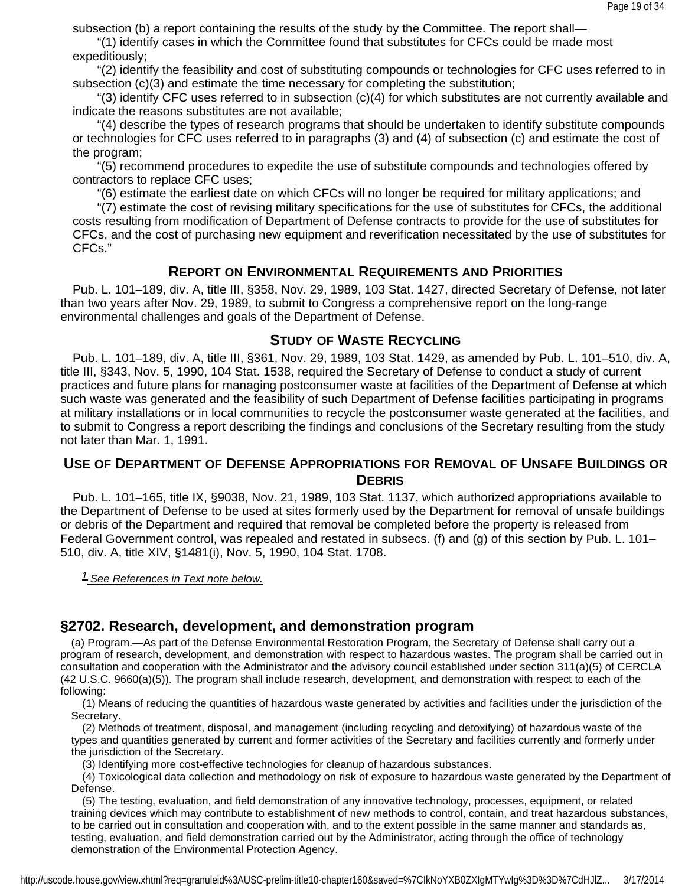subsection (b) a report containing the results of the study by the Committee. The report shall—

"(1) identify cases in which the Committee found that substitutes for CFCs could be made most expeditiously;

"(2) identify the feasibility and cost of substituting compounds or technologies for CFC uses referred to in subsection (c)(3) and estimate the time necessary for completing the substitution;

"(3) identify CFC uses referred to in subsection (c)(4) for which substitutes are not currently available and indicate the reasons substitutes are not available;

"(4) describe the types of research programs that should be undertaken to identify substitute compounds or technologies for CFC uses referred to in paragraphs (3) and (4) of subsection (c) and estimate the cost of the program;

"(5) recommend procedures to expedite the use of substitute compounds and technologies offered by contractors to replace CFC uses;

"(6) estimate the earliest date on which CFCs will no longer be required for military applications; and

"(7) estimate the cost of revising military specifications for the use of substitutes for CFCs, the additional costs resulting from modification of Department of Defense contracts to provide for the use of substitutes for CFCs, and the cost of purchasing new equipment and reverification necessitated by the use of substitutes for CFCs."

## **REPORT ON ENVIRONMENTAL REQUIREMENTS AND PRIORITIES**

Pub. L. 101–189, div. A, title III, §358, Nov. 29, 1989, 103 Stat. 1427, directed Secretary of Defense, not later than two years after Nov. 29, 1989, to submit to Congress a comprehensive report on the long-range environmental challenges and goals of the Department of Defense.

## **STUDY OF WASTE RECYCLING**

Pub. L. 101–189, div. A, title III, §361, Nov. 29, 1989, 103 Stat. 1429, as amended by Pub. L. 101–510, div. A, title III, §343, Nov. 5, 1990, 104 Stat. 1538, required the Secretary of Defense to conduct a study of current practices and future plans for managing postconsumer waste at facilities of the Department of Defense at which such waste was generated and the feasibility of such Department of Defense facilities participating in programs at military installations or in local communities to recycle the postconsumer waste generated at the facilities, and to submit to Congress a report describing the findings and conclusions of the Secretary resulting from the study not later than Mar. 1, 1991.

## **USE OF DEPARTMENT OF DEFENSE APPROPRIATIONS FOR REMOVAL OF UNSAFE BUILDINGS OR DEBRIS**

Pub. L. 101–165, title IX, §9038, Nov. 21, 1989, 103 Stat. 1137, which authorized appropriations available to the Department of Defense to be used at sites formerly used by the Department for removal of unsafe buildings or debris of the Department and required that removal be completed before the property is released from Federal Government control, was repealed and restated in subsecs. (f) and (g) of this section by Pub. L. 101– 510, div. A, title XIV, §1481(i), Nov. 5, 1990, 104 Stat. 1708.

*1 See References in Text note below.*

# **§2702. Research, development, and demonstration program**

(a) Program.—As part of the Defense Environmental Restoration Program, the Secretary of Defense shall carry out a program of research, development, and demonstration with respect to hazardous wastes. The program shall be carried out in consultation and cooperation with the Administrator and the advisory council established under section 311(a)(5) of CERCLA (42 U.S.C. 9660(a)(5)). The program shall include research, development, and demonstration with respect to each of the following:

(1) Means of reducing the quantities of hazardous waste generated by activities and facilities under the jurisdiction of the Secretary.

(2) Methods of treatment, disposal, and management (including recycling and detoxifying) of hazardous waste of the types and quantities generated by current and former activities of the Secretary and facilities currently and formerly under the jurisdiction of the Secretary.

(3) Identifying more cost-effective technologies for cleanup of hazardous substances.

(4) Toxicological data collection and methodology on risk of exposure to hazardous waste generated by the Department of Defense.

(5) The testing, evaluation, and field demonstration of any innovative technology, processes, equipment, or related training devices which may contribute to establishment of new methods to control, contain, and treat hazardous substances, to be carried out in consultation and cooperation with, and to the extent possible in the same manner and standards as, testing, evaluation, and field demonstration carried out by the Administrator, acting through the office of technology demonstration of the Environmental Protection Agency.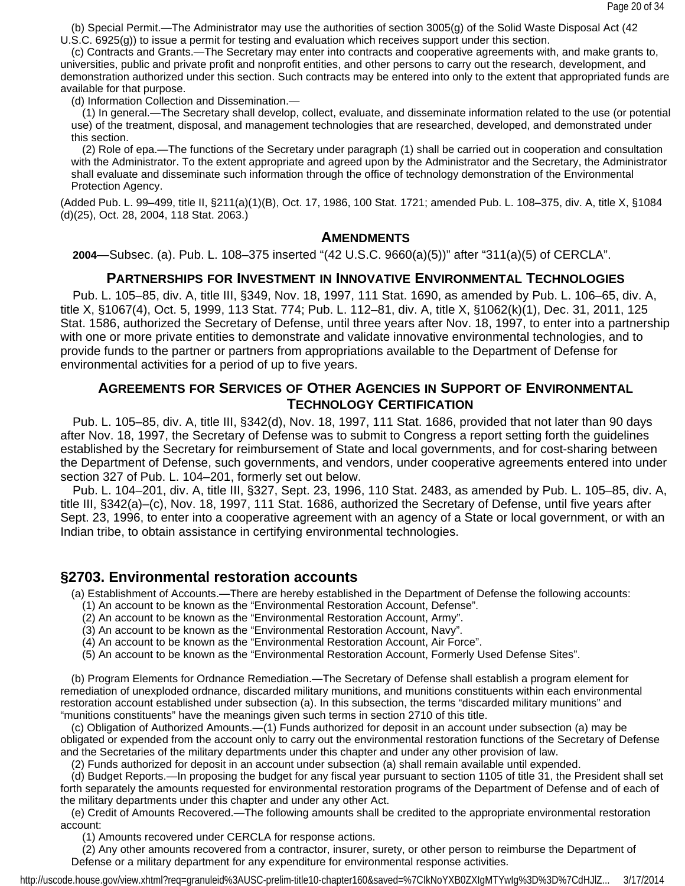(b) Special Permit.—The Administrator may use the authorities of section 3005(g) of the Solid Waste Disposal Act (42 U.S.C. 6925(g)) to issue a permit for testing and evaluation which receives support under this section.

(c) Contracts and Grants.—The Secretary may enter into contracts and cooperative agreements with, and make grants to, universities, public and private profit and nonprofit entities, and other persons to carry out the research, development, and demonstration authorized under this section. Such contracts may be entered into only to the extent that appropriated funds are available for that purpose.

(d) Information Collection and Dissemination.—

(1) In general.—The Secretary shall develop, collect, evaluate, and disseminate information related to the use (or potential use) of the treatment, disposal, and management technologies that are researched, developed, and demonstrated under this section.

(2) Role of epa.—The functions of the Secretary under paragraph (1) shall be carried out in cooperation and consultation with the Administrator. To the extent appropriate and agreed upon by the Administrator and the Secretary, the Administrator shall evaluate and disseminate such information through the office of technology demonstration of the Environmental Protection Agency.

(Added Pub. L. 99–499, title II, §211(a)(1)(B), Oct. 17, 1986, 100 Stat. 1721; amended Pub. L. 108–375, div. A, title X, §1084 (d)(25), Oct. 28, 2004, 118 Stat. 2063.)

#### **AMENDMENTS**

**2004**—Subsec. (a). Pub. L. 108–375 inserted "(42 U.S.C. 9660(a)(5))" after "311(a)(5) of CERCLA".

### **PARTNERSHIPS FOR INVESTMENT IN INNOVATIVE ENVIRONMENTAL TECHNOLOGIES**

Pub. L. 105–85, div. A, title III, §349, Nov. 18, 1997, 111 Stat. 1690, as amended by Pub. L. 106–65, div. A, title X, §1067(4), Oct. 5, 1999, 113 Stat. 774; Pub. L. 112–81, div. A, title X, §1062(k)(1), Dec. 31, 2011, 125 Stat. 1586, authorized the Secretary of Defense, until three years after Nov. 18, 1997, to enter into a partnership with one or more private entities to demonstrate and validate innovative environmental technologies, and to provide funds to the partner or partners from appropriations available to the Department of Defense for environmental activities for a period of up to five years.

# **AGREEMENTS FOR SERVICES OF OTHER AGENCIES IN SUPPORT OF ENVIRONMENTAL TECHNOLOGY CERTIFICATION**

Pub. L. 105–85, div. A, title III, §342(d), Nov. 18, 1997, 111 Stat. 1686, provided that not later than 90 days after Nov. 18, 1997, the Secretary of Defense was to submit to Congress a report setting forth the guidelines established by the Secretary for reimbursement of State and local governments, and for cost-sharing between the Department of Defense, such governments, and vendors, under cooperative agreements entered into under section 327 of Pub. L. 104–201, formerly set out below.

Pub. L. 104–201, div. A, title III, §327, Sept. 23, 1996, 110 Stat. 2483, as amended by Pub. L. 105–85, div. A, title III, §342(a)–(c), Nov. 18, 1997, 111 Stat. 1686, authorized the Secretary of Defense, until five years after Sept. 23, 1996, to enter into a cooperative agreement with an agency of a State or local government, or with an Indian tribe, to obtain assistance in certifying environmental technologies.

### **§2703. Environmental restoration accounts**

(a) Establishment of Accounts.—There are hereby established in the Department of Defense the following accounts:

- (1) An account to be known as the "Environmental Restoration Account, Defense".
- (2) An account to be known as the "Environmental Restoration Account, Army".
- (3) An account to be known as the "Environmental Restoration Account, Navy".
- (4) An account to be known as the "Environmental Restoration Account, Air Force".
- (5) An account to be known as the "Environmental Restoration Account, Formerly Used Defense Sites".

(b) Program Elements for Ordnance Remediation.—The Secretary of Defense shall establish a program element for remediation of unexploded ordnance, discarded military munitions, and munitions constituents within each environmental restoration account established under subsection (a). In this subsection, the terms "discarded military munitions" and "munitions constituents" have the meanings given such terms in section 2710 of this title.

(c) Obligation of Authorized Amounts.—(1) Funds authorized for deposit in an account under subsection (a) may be obligated or expended from the account only to carry out the environmental restoration functions of the Secretary of Defense and the Secretaries of the military departments under this chapter and under any other provision of law.

(2) Funds authorized for deposit in an account under subsection (a) shall remain available until expended.

(d) Budget Reports.—In proposing the budget for any fiscal year pursuant to section 1105 of title 31, the President shall set forth separately the amounts requested for environmental restoration programs of the Department of Defense and of each of the military departments under this chapter and under any other Act.

(e) Credit of Amounts Recovered.—The following amounts shall be credited to the appropriate environmental restoration account:

(1) Amounts recovered under CERCLA for response actions.

(2) Any other amounts recovered from a contractor, insurer, surety, or other person to reimburse the Department of Defense or a military department for any expenditure for environmental response activities.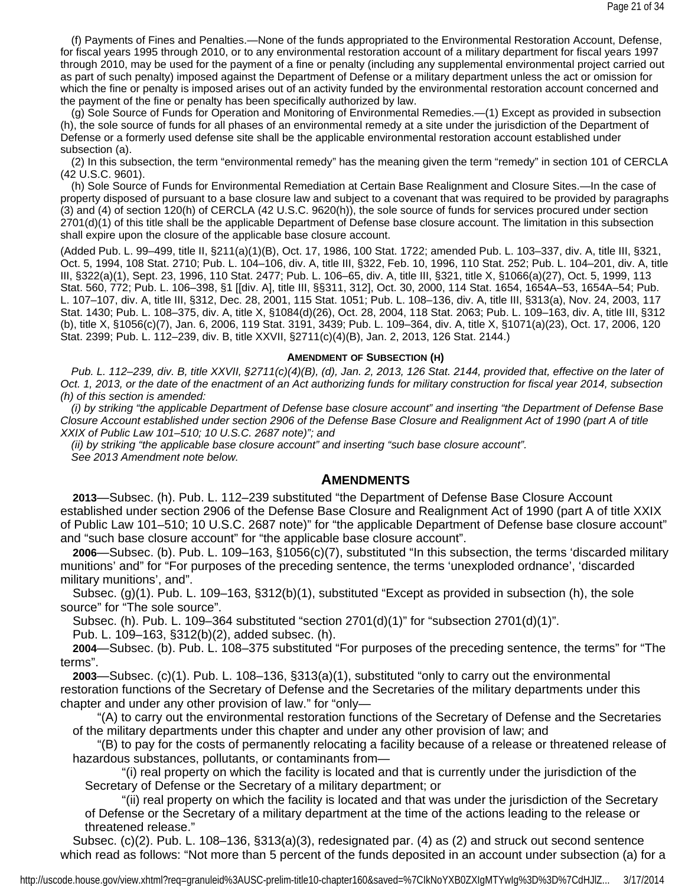(f) Payments of Fines and Penalties.—None of the funds appropriated to the Environmental Restoration Account, Defense, for fiscal years 1995 through 2010, or to any environmental restoration account of a military department for fiscal years 1997 through 2010, may be used for the payment of a fine or penalty (including any supplemental environmental project carried out as part of such penalty) imposed against the Department of Defense or a military department unless the act or omission for which the fine or penalty is imposed arises out of an activity funded by the environmental restoration account concerned and the payment of the fine or penalty has been specifically authorized by law.

(g) Sole Source of Funds for Operation and Monitoring of Environmental Remedies.—(1) Except as provided in subsection (h), the sole source of funds for all phases of an environmental remedy at a site under the jurisdiction of the Department of Defense or a formerly used defense site shall be the applicable environmental restoration account established under subsection (a).

(2) In this subsection, the term "environmental remedy" has the meaning given the term "remedy" in section 101 of CERCLA (42 U.S.C. 9601).

(h) Sole Source of Funds for Environmental Remediation at Certain Base Realignment and Closure Sites.—In the case of property disposed of pursuant to a base closure law and subject to a covenant that was required to be provided by paragraphs (3) and (4) of section 120(h) of CERCLA (42 U.S.C. 9620(h)), the sole source of funds for services procured under section 2701(d)(1) of this title shall be the applicable Department of Defense base closure account. The limitation in this subsection shall expire upon the closure of the applicable base closure account.

(Added Pub. L. 99–499, title II, §211(a)(1)(B), Oct. 17, 1986, 100 Stat. 1722; amended Pub. L. 103–337, div. A, title III, §321, Oct. 5, 1994, 108 Stat. 2710; Pub. L. 104–106, div. A, title III, §322, Feb. 10, 1996, 110 Stat. 252; Pub. L. 104–201, div. A, title III, §322(a)(1), Sept. 23, 1996, 110 Stat. 2477; Pub. L. 106–65, div. A, title III, §321, title X, §1066(a)(27), Oct. 5, 1999, 113 Stat. 560, 772; Pub. L. 106–398, §1 [[div. A], title III, §§311, 312], Oct. 30, 2000, 114 Stat. 1654, 1654A–53, 1654A–54; Pub. L. 107–107, div. A, title III, §312, Dec. 28, 2001, 115 Stat. 1051; Pub. L. 108–136, div. A, title III, §313(a), Nov. 24, 2003, 117 Stat. 1430; Pub. L. 108–375, div. A, title X, §1084(d)(26), Oct. 28, 2004, 118 Stat. 2063; Pub. L. 109–163, div. A, title III, §312 (b), title X, §1056(c)(7), Jan. 6, 2006, 119 Stat. 3191, 3439; Pub. L. 109–364, div. A, title X, §1071(a)(23), Oct. 17, 2006, 120 Stat. 2399; Pub. L. 112–239, div. B, title XXVII, §2711(c)(4)(B), Jan. 2, 2013, 126 Stat. 2144.)

#### **AMENDMENT OF SUBSECTION (H)**

*Pub. L. 112–239, div. B, title XXVII, §2711(c)(4)(B), (d), Jan. 2, 2013, 126 Stat. 2144, provided that, effective on the later of Oct. 1, 2013, or the date of the enactment of an Act authorizing funds for military construction for fiscal year 2014, subsection (h) of this section is amended:* 

*(i) by striking "the applicable Department of Defense base closure account" and inserting "the Department of Defense Base Closure Account established under section 2906 of the Defense Base Closure and Realignment Act of 1990 (part A of title XXIX of Public Law 101–510; 10 U.S.C. 2687 note)"; and* 

*(ii) by striking "the applicable base closure account" and inserting "such base closure account".* 

*See 2013 Amendment note below.* 

### **AMENDMENTS**

**2013**—Subsec. (h). Pub. L. 112–239 substituted "the Department of Defense Base Closure Account established under section 2906 of the Defense Base Closure and Realignment Act of 1990 (part A of title XXIX of Public Law 101–510; 10 U.S.C. 2687 note)" for "the applicable Department of Defense base closure account" and "such base closure account" for "the applicable base closure account".

**2006**—Subsec. (b). Pub. L. 109–163, §1056(c)(7), substituted "In this subsection, the terms 'discarded military munitions' and" for "For purposes of the preceding sentence, the terms 'unexploded ordnance', 'discarded military munitions', and".

Subsec. (g)(1). Pub. L. 109–163, §312(b)(1), substituted "Except as provided in subsection (h), the sole source" for "The sole source".

Subsec. (h). Pub. L. 109–364 substituted "section  $2701(d)(1)$ " for "subsection  $2701(d)(1)$ ".

Pub. L. 109–163, §312(b)(2), added subsec. (h).

**2004**—Subsec. (b). Pub. L. 108–375 substituted "For purposes of the preceding sentence, the terms" for "The terms".

**2003**—Subsec. (c)(1). Pub. L. 108–136, §313(a)(1), substituted "only to carry out the environmental restoration functions of the Secretary of Defense and the Secretaries of the military departments under this chapter and under any other provision of law." for "only—

"(A) to carry out the environmental restoration functions of the Secretary of Defense and the Secretaries of the military departments under this chapter and under any other provision of law; and

"(B) to pay for the costs of permanently relocating a facility because of a release or threatened release of hazardous substances, pollutants, or contaminants from—

"(i) real property on which the facility is located and that is currently under the jurisdiction of the Secretary of Defense or the Secretary of a military department; or

"(ii) real property on which the facility is located and that was under the jurisdiction of the Secretary of Defense or the Secretary of a military department at the time of the actions leading to the release or threatened release."

Subsec. (c)(2). Pub. L. 108–136, §313(a)(3), redesignated par. (4) as (2) and struck out second sentence which read as follows: "Not more than 5 percent of the funds deposited in an account under subsection (a) for a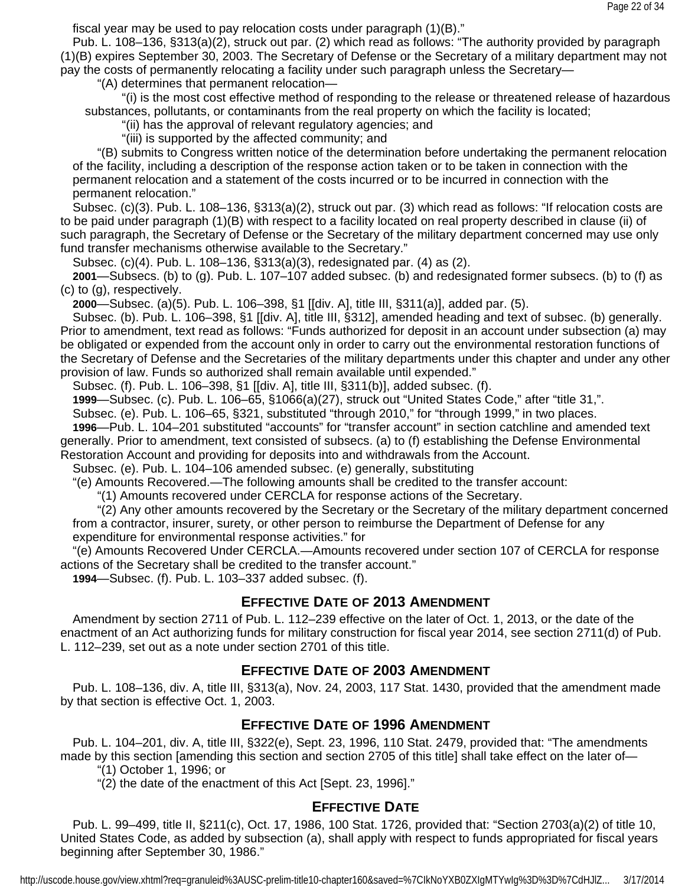fiscal year may be used to pay relocation costs under paragraph (1)(B)."

Pub. L. 108–136, §313(a)(2), struck out par. (2) which read as follows: "The authority provided by paragraph (1)(B) expires September 30, 2003. The Secretary of Defense or the Secretary of a military department may not pay the costs of permanently relocating a facility under such paragraph unless the Secretary—

"(A) determines that permanent relocation—

"(i) is the most cost effective method of responding to the release or threatened release of hazardous substances, pollutants, or contaminants from the real property on which the facility is located;

"(ii) has the approval of relevant regulatory agencies; and

"(iii) is supported by the affected community; and

"(B) submits to Congress written notice of the determination before undertaking the permanent relocation of the facility, including a description of the response action taken or to be taken in connection with the permanent relocation and a statement of the costs incurred or to be incurred in connection with the permanent relocation."

Subsec. (c)(3). Pub. L. 108–136, §313(a)(2), struck out par. (3) which read as follows: "If relocation costs are to be paid under paragraph (1)(B) with respect to a facility located on real property described in clause (ii) of such paragraph, the Secretary of Defense or the Secretary of the military department concerned may use only fund transfer mechanisms otherwise available to the Secretary."

Subsec. (c)(4). Pub. L. 108–136, §313(a)(3), redesignated par. (4) as (2).

**2001**—Subsecs. (b) to (g). Pub. L. 107–107 added subsec. (b) and redesignated former subsecs. (b) to (f) as (c) to (g), respectively.

**2000**—Subsec. (a)(5). Pub. L. 106–398, §1 [[div. A], title III, §311(a)], added par. (5).

Subsec. (b). Pub. L. 106–398, §1 [[div. A], title III, §312], amended heading and text of subsec. (b) generally. Prior to amendment, text read as follows: "Funds authorized for deposit in an account under subsection (a) may be obligated or expended from the account only in order to carry out the environmental restoration functions of the Secretary of Defense and the Secretaries of the military departments under this chapter and under any other provision of law. Funds so authorized shall remain available until expended."

Subsec. (f). Pub. L. 106–398, §1 [[div. A], title III, §311(b)], added subsec. (f).

**1999**—Subsec. (c). Pub. L. 106–65, §1066(a)(27), struck out "United States Code," after "title 31,".

Subsec. (e). Pub. L. 106–65, §321, substituted "through 2010," for "through 1999," in two places.

**1996**—Pub. L. 104–201 substituted "accounts" for "transfer account" in section catchline and amended text generally. Prior to amendment, text consisted of subsecs. (a) to (f) establishing the Defense Environmental Restoration Account and providing for deposits into and withdrawals from the Account.

Subsec. (e). Pub. L. 104–106 amended subsec. (e) generally, substituting

"(e) Amounts Recovered.—The following amounts shall be credited to the transfer account:

"(1) Amounts recovered under CERCLA for response actions of the Secretary.

"(2) Any other amounts recovered by the Secretary or the Secretary of the military department concerned from a contractor, insurer, surety, or other person to reimburse the Department of Defense for any expenditure for environmental response activities." for

"(e) Amounts Recovered Under CERCLA.—Amounts recovered under section 107 of CERCLA for response actions of the Secretary shall be credited to the transfer account."

**1994**—Subsec. (f). Pub. L. 103–337 added subsec. (f).

### **EFFECTIVE DATE OF 2013 AMENDMENT**

Amendment by section 2711 of Pub. L. 112–239 effective on the later of Oct. 1, 2013, or the date of the enactment of an Act authorizing funds for military construction for fiscal year 2014, see section 2711(d) of Pub. L. 112–239, set out as a note under section 2701 of this title.

## **EFFECTIVE DATE OF 2003 AMENDMENT**

Pub. L. 108–136, div. A, title III, §313(a), Nov. 24, 2003, 117 Stat. 1430, provided that the amendment made by that section is effective Oct. 1, 2003.

### **EFFECTIVE DATE OF 1996 AMENDMENT**

Pub. L. 104–201, div. A, title III, §322(e), Sept. 23, 1996, 110 Stat. 2479, provided that: "The amendments made by this section [amending this section and section 2705 of this title] shall take effect on the later of—

"(1) October 1, 1996; or

"(2) the date of the enactment of this Act [Sept. 23, 1996]."

# **EFFECTIVE DATE**

Pub. L. 99–499, title II, §211(c), Oct. 17, 1986, 100 Stat. 1726, provided that: "Section 2703(a)(2) of title 10, United States Code, as added by subsection (a), shall apply with respect to funds appropriated for fiscal years beginning after September 30, 1986."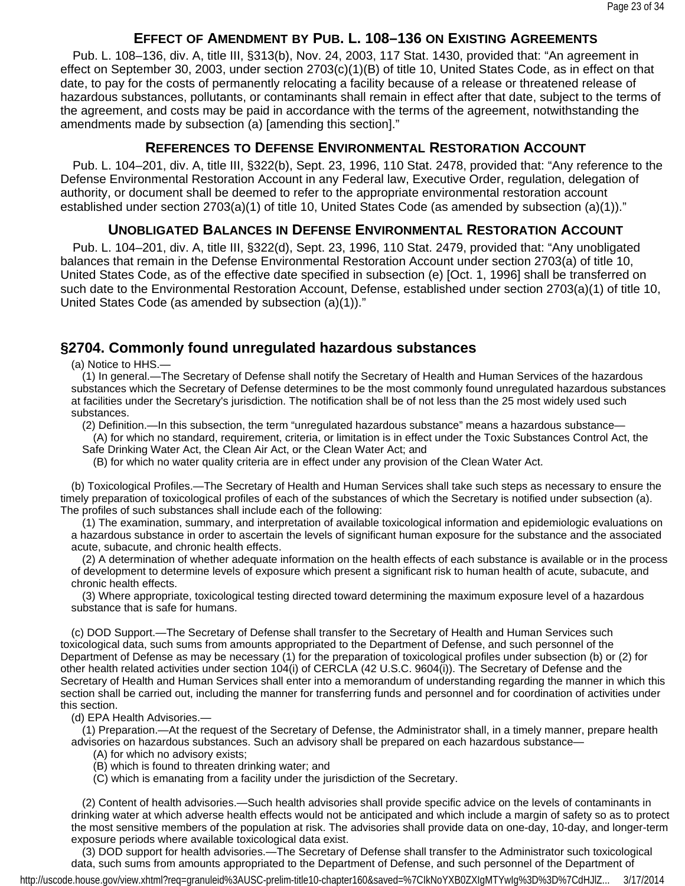## **EFFECT OF AMENDMENT BY PUB. L. 108–136 ON EXISTING AGREEMENTS**

Pub. L. 108–136, div. A, title III, §313(b), Nov. 24, 2003, 117 Stat. 1430, provided that: "An agreement in effect on September 30, 2003, under section 2703(c)(1)(B) of title 10, United States Code, as in effect on that date, to pay for the costs of permanently relocating a facility because of a release or threatened release of hazardous substances, pollutants, or contaminants shall remain in effect after that date, subject to the terms of the agreement, and costs may be paid in accordance with the terms of the agreement, notwithstanding the amendments made by subsection (a) [amending this section]."

### **REFERENCES TO DEFENSE ENVIRONMENTAL RESTORATION ACCOUNT**

Pub. L. 104–201, div. A, title III, §322(b), Sept. 23, 1996, 110 Stat. 2478, provided that: "Any reference to the Defense Environmental Restoration Account in any Federal law, Executive Order, regulation, delegation of authority, or document shall be deemed to refer to the appropriate environmental restoration account established under section 2703(a)(1) of title 10, United States Code (as amended by subsection (a)(1))."

## **UNOBLIGATED BALANCES IN DEFENSE ENVIRONMENTAL RESTORATION ACCOUNT**

Pub. L. 104–201, div. A, title III, §322(d), Sept. 23, 1996, 110 Stat. 2479, provided that: "Any unobligated balances that remain in the Defense Environmental Restoration Account under section 2703(a) of title 10, United States Code, as of the effective date specified in subsection (e) [Oct. 1, 1996] shall be transferred on such date to the Environmental Restoration Account, Defense, established under section 2703(a)(1) of title 10, United States Code (as amended by subsection (a)(1))."

# **§2704. Commonly found unregulated hazardous substances**

(a) Notice to HHS.—

(1) In general.—The Secretary of Defense shall notify the Secretary of Health and Human Services of the hazardous substances which the Secretary of Defense determines to be the most commonly found unregulated hazardous substances at facilities under the Secretary's jurisdiction. The notification shall be of not less than the 25 most widely used such substances.

(2) Definition.—In this subsection, the term "unregulated hazardous substance" means a hazardous substance—

(A) for which no standard, requirement, criteria, or limitation is in effect under the Toxic Substances Control Act, the Safe Drinking Water Act, the Clean Air Act, or the Clean Water Act; and

(B) for which no water quality criteria are in effect under any provision of the Clean Water Act.

(b) Toxicological Profiles.—The Secretary of Health and Human Services shall take such steps as necessary to ensure the timely preparation of toxicological profiles of each of the substances of which the Secretary is notified under subsection (a). The profiles of such substances shall include each of the following:

(1) The examination, summary, and interpretation of available toxicological information and epidemiologic evaluations on a hazardous substance in order to ascertain the levels of significant human exposure for the substance and the associated acute, subacute, and chronic health effects.

(2) A determination of whether adequate information on the health effects of each substance is available or in the process of development to determine levels of exposure which present a significant risk to human health of acute, subacute, and chronic health effects.

(3) Where appropriate, toxicological testing directed toward determining the maximum exposure level of a hazardous substance that is safe for humans.

(c) DOD Support.—The Secretary of Defense shall transfer to the Secretary of Health and Human Services such toxicological data, such sums from amounts appropriated to the Department of Defense, and such personnel of the Department of Defense as may be necessary (1) for the preparation of toxicological profiles under subsection (b) or (2) for other health related activities under section 104(i) of CERCLA (42 U.S.C. 9604(i)). The Secretary of Defense and the Secretary of Health and Human Services shall enter into a memorandum of understanding regarding the manner in which this section shall be carried out, including the manner for transferring funds and personnel and for coordination of activities under this section.

(d) EPA Health Advisories.—

(1) Preparation.—At the request of the Secretary of Defense, the Administrator shall, in a timely manner, prepare health advisories on hazardous substances. Such an advisory shall be prepared on each hazardous substance—

- (A) for which no advisory exists;
- (B) which is found to threaten drinking water; and
- (C) which is emanating from a facility under the jurisdiction of the Secretary.

(2) Content of health advisories.—Such health advisories shall provide specific advice on the levels of contaminants in drinking water at which adverse health effects would not be anticipated and which include a margin of safety so as to protect the most sensitive members of the population at risk. The advisories shall provide data on one-day, 10-day, and longer-term exposure periods where available toxicological data exist.

(3) DOD support for health advisories.—The Secretary of Defense shall transfer to the Administrator such toxicological data, such sums from amounts appropriated to the Department of Defense, and such personnel of the Department of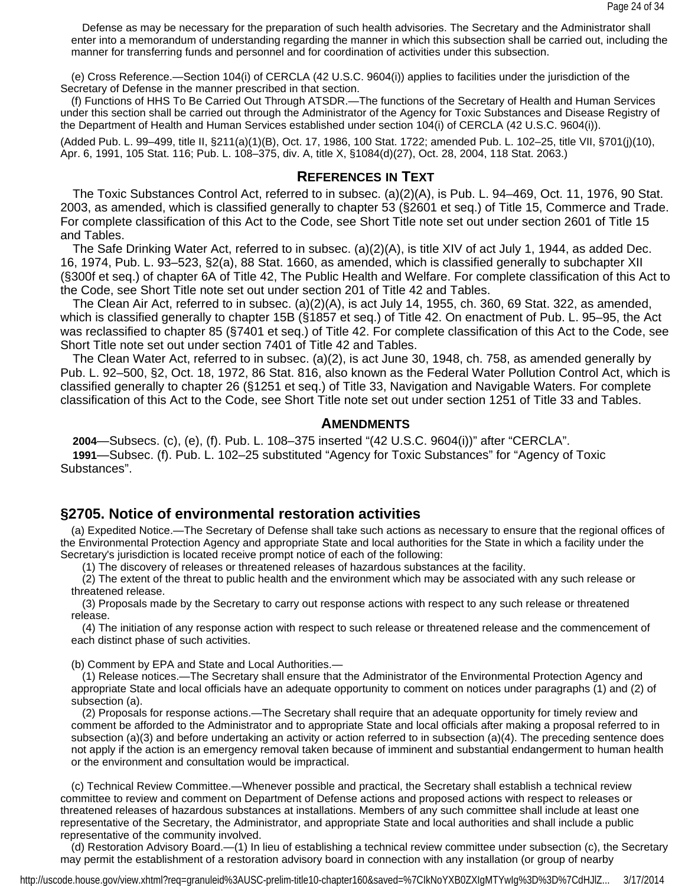Defense as may be necessary for the preparation of such health advisories. The Secretary and the Administrator shall enter into a memorandum of understanding regarding the manner in which this subsection shall be carried out, including the manner for transferring funds and personnel and for coordination of activities under this subsection.

(e) Cross Reference.—Section 104(i) of CERCLA (42 U.S.C. 9604(i)) applies to facilities under the jurisdiction of the Secretary of Defense in the manner prescribed in that section.

(f) Functions of HHS To Be Carried Out Through ATSDR.—The functions of the Secretary of Health and Human Services under this section shall be carried out through the Administrator of the Agency for Toxic Substances and Disease Registry of the Department of Health and Human Services established under section 104(i) of CERCLA (42 U.S.C. 9604(i)).

(Added Pub. L. 99–499, title II, §211(a)(1)(B), Oct. 17, 1986, 100 Stat. 1722; amended Pub. L. 102–25, title VII, §701(j)(10), Apr. 6, 1991, 105 Stat. 116; Pub. L. 108–375, div. A, title X, §1084(d)(27), Oct. 28, 2004, 118 Stat. 2063.)

#### **REFERENCES IN TEXT**

The Toxic Substances Control Act, referred to in subsec. (a)(2)(A), is Pub. L. 94–469, Oct. 11, 1976, 90 Stat. 2003, as amended, which is classified generally to chapter 53 (§2601 et seq.) of Title 15, Commerce and Trade. For complete classification of this Act to the Code, see Short Title note set out under section 2601 of Title 15 and Tables.

The Safe Drinking Water Act, referred to in subsec. (a)(2)(A), is title XIV of act July 1, 1944, as added Dec. 16, 1974, Pub. L. 93–523, §2(a), 88 Stat. 1660, as amended, which is classified generally to subchapter XII (§300f et seq.) of chapter 6A of Title 42, The Public Health and Welfare. For complete classification of this Act to the Code, see Short Title note set out under section 201 of Title 42 and Tables.

The Clean Air Act, referred to in subsec. (a)(2)(A), is act July 14, 1955, ch. 360, 69 Stat. 322, as amended, which is classified generally to chapter 15B (§1857 et seq.) of Title 42. On enactment of Pub. L. 95–95, the Act was reclassified to chapter 85 (§7401 et seq.) of Title 42. For complete classification of this Act to the Code, see Short Title note set out under section 7401 of Title 42 and Tables.

The Clean Water Act, referred to in subsec. (a)(2), is act June 30, 1948, ch. 758, as amended generally by Pub. L. 92–500, §2, Oct. 18, 1972, 86 Stat. 816, also known as the Federal Water Pollution Control Act, which is classified generally to chapter 26 (§1251 et seq.) of Title 33, Navigation and Navigable Waters. For complete classification of this Act to the Code, see Short Title note set out under section 1251 of Title 33 and Tables.

#### **AMENDMENTS**

**2004**—Subsecs. (c), (e), (f). Pub. L. 108–375 inserted "(42 U.S.C. 9604(i))" after "CERCLA". **1991**—Subsec. (f). Pub. L. 102–25 substituted "Agency for Toxic Substances" for "Agency of Toxic Substances".

#### **§2705. Notice of environmental restoration activities**

(a) Expedited Notice.—The Secretary of Defense shall take such actions as necessary to ensure that the regional offices of the Environmental Protection Agency and appropriate State and local authorities for the State in which a facility under the Secretary's jurisdiction is located receive prompt notice of each of the following:

(1) The discovery of releases or threatened releases of hazardous substances at the facility.

(2) The extent of the threat to public health and the environment which may be associated with any such release or threatened release.

(3) Proposals made by the Secretary to carry out response actions with respect to any such release or threatened release.

(4) The initiation of any response action with respect to such release or threatened release and the commencement of each distinct phase of such activities.

(b) Comment by EPA and State and Local Authorities.—

(1) Release notices.—The Secretary shall ensure that the Administrator of the Environmental Protection Agency and appropriate State and local officials have an adequate opportunity to comment on notices under paragraphs (1) and (2) of subsection (a).

(2) Proposals for response actions.—The Secretary shall require that an adequate opportunity for timely review and comment be afforded to the Administrator and to appropriate State and local officials after making a proposal referred to in subsection (a)(3) and before undertaking an activity or action referred to in subsection (a)(4). The preceding sentence does not apply if the action is an emergency removal taken because of imminent and substantial endangerment to human health or the environment and consultation would be impractical.

(c) Technical Review Committee.—Whenever possible and practical, the Secretary shall establish a technical review committee to review and comment on Department of Defense actions and proposed actions with respect to releases or threatened releases of hazardous substances at installations. Members of any such committee shall include at least one representative of the Secretary, the Administrator, and appropriate State and local authorities and shall include a public representative of the community involved.

(d) Restoration Advisory Board.—(1) In lieu of establishing a technical review committee under subsection (c), the Secretary may permit the establishment of a restoration advisory board in connection with any installation (or group of nearby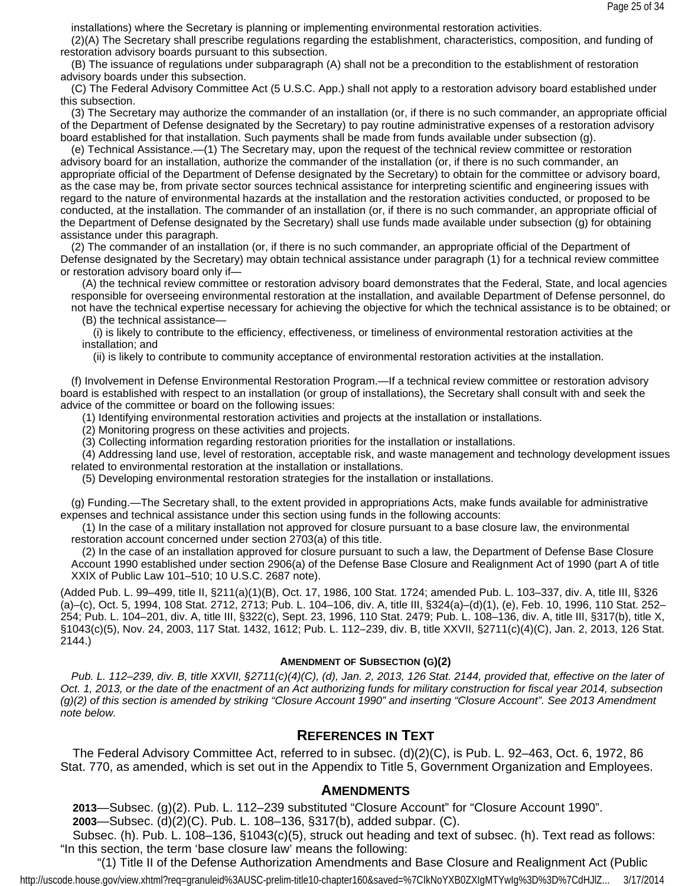installations) where the Secretary is planning or implementing environmental restoration activities.

(2)(A) The Secretary shall prescribe regulations regarding the establishment, characteristics, composition, and funding of restoration advisory boards pursuant to this subsection.

(B) The issuance of regulations under subparagraph (A) shall not be a precondition to the establishment of restoration advisory boards under this subsection.

(C) The Federal Advisory Committee Act (5 U.S.C. App.) shall not apply to a restoration advisory board established under this subsection.

(3) The Secretary may authorize the commander of an installation (or, if there is no such commander, an appropriate official of the Department of Defense designated by the Secretary) to pay routine administrative expenses of a restoration advisory board established for that installation. Such payments shall be made from funds available under subsection (g).

(e) Technical Assistance.—(1) The Secretary may, upon the request of the technical review committee or restoration advisory board for an installation, authorize the commander of the installation (or, if there is no such commander, an appropriate official of the Department of Defense designated by the Secretary) to obtain for the committee or advisory board, as the case may be, from private sector sources technical assistance for interpreting scientific and engineering issues with regard to the nature of environmental hazards at the installation and the restoration activities conducted, or proposed to be conducted, at the installation. The commander of an installation (or, if there is no such commander, an appropriate official of the Department of Defense designated by the Secretary) shall use funds made available under subsection (g) for obtaining assistance under this paragraph.

(2) The commander of an installation (or, if there is no such commander, an appropriate official of the Department of Defense designated by the Secretary) may obtain technical assistance under paragraph (1) for a technical review committee or restoration advisory board only if—

(A) the technical review committee or restoration advisory board demonstrates that the Federal, State, and local agencies responsible for overseeing environmental restoration at the installation, and available Department of Defense personnel, do not have the technical expertise necessary for achieving the objective for which the technical assistance is to be obtained; or

(B) the technical assistance—

(i) is likely to contribute to the efficiency, effectiveness, or timeliness of environmental restoration activities at the installation; and

(ii) is likely to contribute to community acceptance of environmental restoration activities at the installation.

(f) Involvement in Defense Environmental Restoration Program.—If a technical review committee or restoration advisory board is established with respect to an installation (or group of installations), the Secretary shall consult with and seek the advice of the committee or board on the following issues:

(1) Identifying environmental restoration activities and projects at the installation or installations.

(2) Monitoring progress on these activities and projects.

(3) Collecting information regarding restoration priorities for the installation or installations.

(4) Addressing land use, level of restoration, acceptable risk, and waste management and technology development issues related to environmental restoration at the installation or installations.

(5) Developing environmental restoration strategies for the installation or installations.

(g) Funding.—The Secretary shall, to the extent provided in appropriations Acts, make funds available for administrative expenses and technical assistance under this section using funds in the following accounts:

(1) In the case of a military installation not approved for closure pursuant to a base closure law, the environmental restoration account concerned under section 2703(a) of this title.

(2) In the case of an installation approved for closure pursuant to such a law, the Department of Defense Base Closure Account 1990 established under section 2906(a) of the Defense Base Closure and Realignment Act of 1990 (part A of title XXIX of Public Law 101–510; 10 U.S.C. 2687 note).

(Added Pub. L. 99–499, title II, §211(a)(1)(B), Oct. 17, 1986, 100 Stat. 1724; amended Pub. L. 103–337, div. A, title III, §326 (a)–(c), Oct. 5, 1994, 108 Stat. 2712, 2713; Pub. L. 104–106, div. A, title III, §324(a)–(d)(1), (e), Feb. 10, 1996, 110 Stat. 252– 254; Pub. L. 104–201, div. A, title III, §322(c), Sept. 23, 1996, 110 Stat. 2479; Pub. L. 108–136, div. A, title III, §317(b), title X, §1043(c)(5), Nov. 24, 2003, 117 Stat. 1432, 1612; Pub. L. 112–239, div. B, title XXVII, §2711(c)(4)(C), Jan. 2, 2013, 126 Stat. 2144.)

#### **AMENDMENT OF SUBSECTION (G)(2)**

*Pub. L. 112–239, div. B, title XXVII, §2711(c)(4)(C), (d), Jan. 2, 2013, 126 Stat. 2144, provided that, effective on the later of Oct. 1, 2013, or the date of the enactment of an Act authorizing funds for military construction for fiscal year 2014, subsection (g)(2) of this section is amended by striking "Closure Account 1990" and inserting "Closure Account". See 2013 Amendment note below.* 

#### **REFERENCES IN TEXT**

The Federal Advisory Committee Act, referred to in subsec. (d)(2)(C), is Pub. L. 92–463, Oct. 6, 1972, 86 Stat. 770, as amended, which is set out in the Appendix to Title 5, Government Organization and Employees.

#### **AMENDMENTS**

**2013**—Subsec. (g)(2). Pub. L. 112–239 substituted "Closure Account" for "Closure Account 1990".

**2003**—Subsec. (d)(2)(C). Pub. L. 108–136, §317(b), added subpar. (C).

Subsec. (h). Pub. L. 108–136, §1043(c)(5), struck out heading and text of subsec. (h). Text read as follows: "In this section, the term 'base closure law' means the following:

"(1) Title II of the Defense Authorization Amendments and Base Closure and Realignment Act (Public

http://uscode.house.gov/view.xhtml?req=granuleid%3AUSC-prelim-title10-chapter160&saved=%7CIkNoYXB0ZXIgMTYwIg%3D%3D%7CdHJlZ... 3/17/2014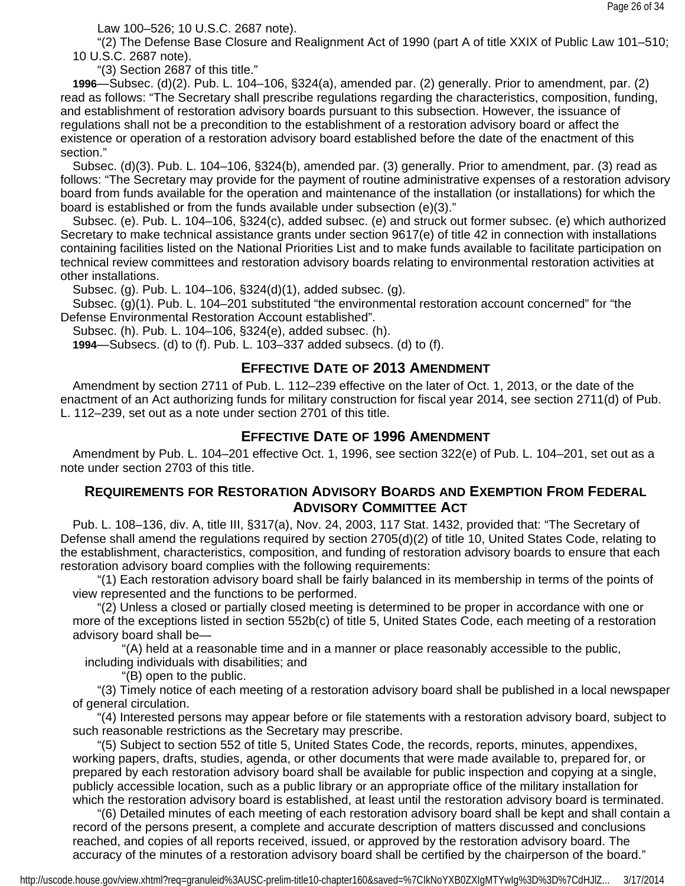Law 100–526; 10 U.S.C. 2687 note).

"(2) The Defense Base Closure and Realignment Act of 1990 (part A of title XXIX of Public Law 101–510; 10 U.S.C. 2687 note).

"(3) Section 2687 of this title."

**1996**—Subsec. (d)(2). Pub. L. 104–106, §324(a), amended par. (2) generally. Prior to amendment, par. (2) read as follows: "The Secretary shall prescribe regulations regarding the characteristics, composition, funding, and establishment of restoration advisory boards pursuant to this subsection. However, the issuance of regulations shall not be a precondition to the establishment of a restoration advisory board or affect the existence or operation of a restoration advisory board established before the date of the enactment of this section."

Subsec. (d)(3). Pub. L. 104–106, §324(b), amended par. (3) generally. Prior to amendment, par. (3) read as follows: "The Secretary may provide for the payment of routine administrative expenses of a restoration advisory board from funds available for the operation and maintenance of the installation (or installations) for which the board is established or from the funds available under subsection (e)(3)."

Subsec. (e). Pub. L. 104–106, §324(c), added subsec. (e) and struck out former subsec. (e) which authorized Secretary to make technical assistance grants under section 9617(e) of title 42 in connection with installations containing facilities listed on the National Priorities List and to make funds available to facilitate participation on technical review committees and restoration advisory boards relating to environmental restoration activities at other installations.

Subsec. (g). Pub. L. 104–106, §324(d)(1), added subsec. (g).

Subsec. (g)(1). Pub. L. 104–201 substituted "the environmental restoration account concerned" for "the Defense Environmental Restoration Account established".

Subsec. (h). Pub. L. 104–106, §324(e), added subsec. (h).

**1994**—Subsecs. (d) to (f). Pub. L. 103–337 added subsecs. (d) to (f).

### **EFFECTIVE DATE OF 2013 AMENDMENT**

Amendment by section 2711 of Pub. L. 112–239 effective on the later of Oct. 1, 2013, or the date of the enactment of an Act authorizing funds for military construction for fiscal year 2014, see section 2711(d) of Pub. L. 112–239, set out as a note under section 2701 of this title.

## **EFFECTIVE DATE OF 1996 AMENDMENT**

Amendment by Pub. L. 104–201 effective Oct. 1, 1996, see section 322(e) of Pub. L. 104–201, set out as a note under section 2703 of this title.

# **REQUIREMENTS FOR RESTORATION ADVISORY BOARDS AND EXEMPTION FROM FEDERAL ADVISORY COMMITTEE ACT**

Pub. L. 108–136, div. A, title III, §317(a), Nov. 24, 2003, 117 Stat. 1432, provided that: "The Secretary of Defense shall amend the regulations required by section 2705(d)(2) of title 10, United States Code, relating to the establishment, characteristics, composition, and funding of restoration advisory boards to ensure that each restoration advisory board complies with the following requirements:

"(1) Each restoration advisory board shall be fairly balanced in its membership in terms of the points of view represented and the functions to be performed.

"(2) Unless a closed or partially closed meeting is determined to be proper in accordance with one or more of the exceptions listed in section 552b(c) of title 5, United States Code, each meeting of a restoration advisory board shall be—

"(A) held at a reasonable time and in a manner or place reasonably accessible to the public, including individuals with disabilities; and

"(B) open to the public.

"(3) Timely notice of each meeting of a restoration advisory board shall be published in a local newspaper of general circulation.

"(4) Interested persons may appear before or file statements with a restoration advisory board, subject to such reasonable restrictions as the Secretary may prescribe.

"(5) Subject to section 552 of title 5, United States Code, the records, reports, minutes, appendixes, working papers, drafts, studies, agenda, or other documents that were made available to, prepared for, or prepared by each restoration advisory board shall be available for public inspection and copying at a single, publicly accessible location, such as a public library or an appropriate office of the military installation for which the restoration advisory board is established, at least until the restoration advisory board is terminated.

"(6) Detailed minutes of each meeting of each restoration advisory board shall be kept and shall contain a record of the persons present, a complete and accurate description of matters discussed and conclusions reached, and copies of all reports received, issued, or approved by the restoration advisory board. The accuracy of the minutes of a restoration advisory board shall be certified by the chairperson of the board."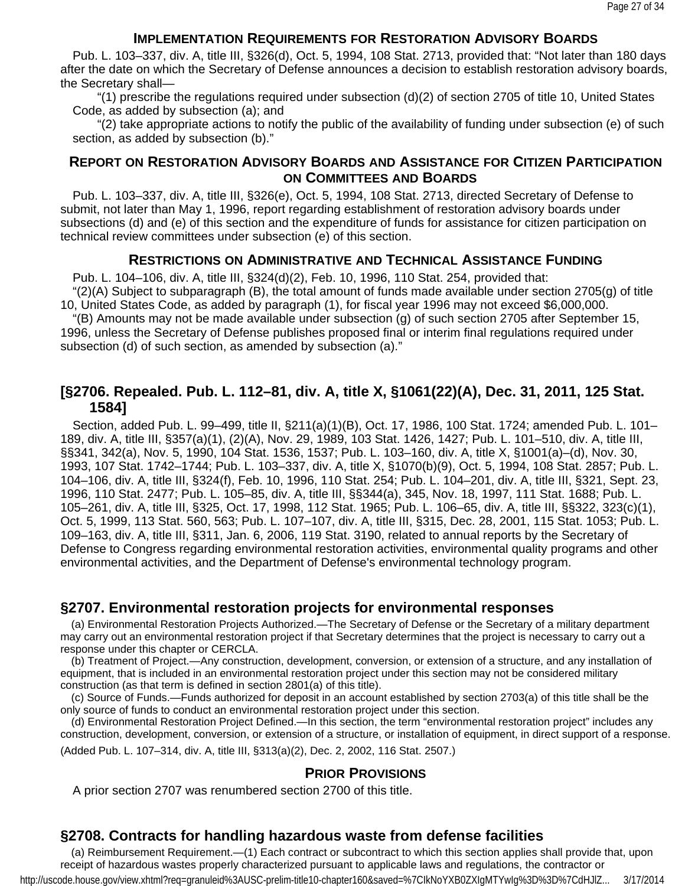#### **IMPLEMENTATION REQUIREMENTS FOR RESTORATION ADVISORY BOARDS**

Pub. L. 103–337, div. A, title III, §326(d), Oct. 5, 1994, 108 Stat. 2713, provided that: "Not later than 180 days after the date on which the Secretary of Defense announces a decision to establish restoration advisory boards, the Secretary shall—

"(1) prescribe the regulations required under subsection (d)(2) of section 2705 of title 10, United States Code, as added by subsection (a); and

"(2) take appropriate actions to notify the public of the availability of funding under subsection (e) of such section, as added by subsection (b)."

## **REPORT ON RESTORATION ADVISORY BOARDS AND ASSISTANCE FOR CITIZEN PARTICIPATION ON COMMITTEES AND BOARDS**

Pub. L. 103–337, div. A, title III, §326(e), Oct. 5, 1994, 108 Stat. 2713, directed Secretary of Defense to submit, not later than May 1, 1996, report regarding establishment of restoration advisory boards under subsections (d) and (e) of this section and the expenditure of funds for assistance for citizen participation on technical review committees under subsection (e) of this section.

### **RESTRICTIONS ON ADMINISTRATIVE AND TECHNICAL ASSISTANCE FUNDING**

Pub. L. 104–106, div. A, title III, §324(d)(2), Feb. 10, 1996, 110 Stat. 254, provided that: "(2)(A) Subject to subparagraph (B), the total amount of funds made available under section 2705(g) of title 10, United States Code, as added by paragraph (1), for fiscal year 1996 may not exceed \$6,000,000.

"(B) Amounts may not be made available under subsection (g) of such section 2705 after September 15, 1996, unless the Secretary of Defense publishes proposed final or interim final regulations required under subsection (d) of such section, as amended by subsection (a)."

# **[§2706. Repealed. Pub. L. 112–81, div. A, title X, §1061(22)(A), Dec. 31, 2011, 125 Stat. 1584]**

Section, added Pub. L. 99–499, title II, §211(a)(1)(B), Oct. 17, 1986, 100 Stat. 1724; amended Pub. L. 101– 189, div. A, title III, §357(a)(1), (2)(A), Nov. 29, 1989, 103 Stat. 1426, 1427; Pub. L. 101–510, div. A, title III, §§341, 342(a), Nov. 5, 1990, 104 Stat. 1536, 1537; Pub. L. 103–160, div. A, title X, §1001(a)–(d), Nov. 30, 1993, 107 Stat. 1742–1744; Pub. L. 103–337, div. A, title X, §1070(b)(9), Oct. 5, 1994, 108 Stat. 2857; Pub. L. 104–106, div. A, title III, §324(f), Feb. 10, 1996, 110 Stat. 254; Pub. L. 104–201, div. A, title III, §321, Sept. 23, 1996, 110 Stat. 2477; Pub. L. 105–85, div. A, title III, §§344(a), 345, Nov. 18, 1997, 111 Stat. 1688; Pub. L. 105–261, div. A, title III, §325, Oct. 17, 1998, 112 Stat. 1965; Pub. L. 106–65, div. A, title III, §§322, 323(c)(1), Oct. 5, 1999, 113 Stat. 560, 563; Pub. L. 107–107, div. A, title III, §315, Dec. 28, 2001, 115 Stat. 1053; Pub. L. 109–163, div. A, title III, §311, Jan. 6, 2006, 119 Stat. 3190, related to annual reports by the Secretary of Defense to Congress regarding environmental restoration activities, environmental quality programs and other environmental activities, and the Department of Defense's environmental technology program.

# **§2707. Environmental restoration projects for environmental responses**

(a) Environmental Restoration Projects Authorized.—The Secretary of Defense or the Secretary of a military department may carry out an environmental restoration project if that Secretary determines that the project is necessary to carry out a response under this chapter or CERCLA.

(b) Treatment of Project.—Any construction, development, conversion, or extension of a structure, and any installation of equipment, that is included in an environmental restoration project under this section may not be considered military construction (as that term is defined in section 2801(a) of this title).

(c) Source of Funds.—Funds authorized for deposit in an account established by section 2703(a) of this title shall be the only source of funds to conduct an environmental restoration project under this section.

(d) Environmental Restoration Project Defined.—In this section, the term "environmental restoration project" includes any construction, development, conversion, or extension of a structure, or installation of equipment, in direct support of a response. (Added Pub. L. 107–314, div. A, title III, §313(a)(2), Dec. 2, 2002, 116 Stat. 2507.)

# **PRIOR PROVISIONS**

A prior section 2707 was renumbered section 2700 of this title.

# **§2708. Contracts for handling hazardous waste from defense facilities**

(a) Reimbursement Requirement.—(1) Each contract or subcontract to which this section applies shall provide that, upon receipt of hazardous wastes properly characterized pursuant to applicable laws and regulations, the contractor or http://uscode.house.gov/view.xhtml?req=granuleid%3AUSC-prelim-title10-chapter160&saved=%7CIkNoYXB0ZXIgMTYwIg%3D%3D%7CdHJlZ... 3/17/2014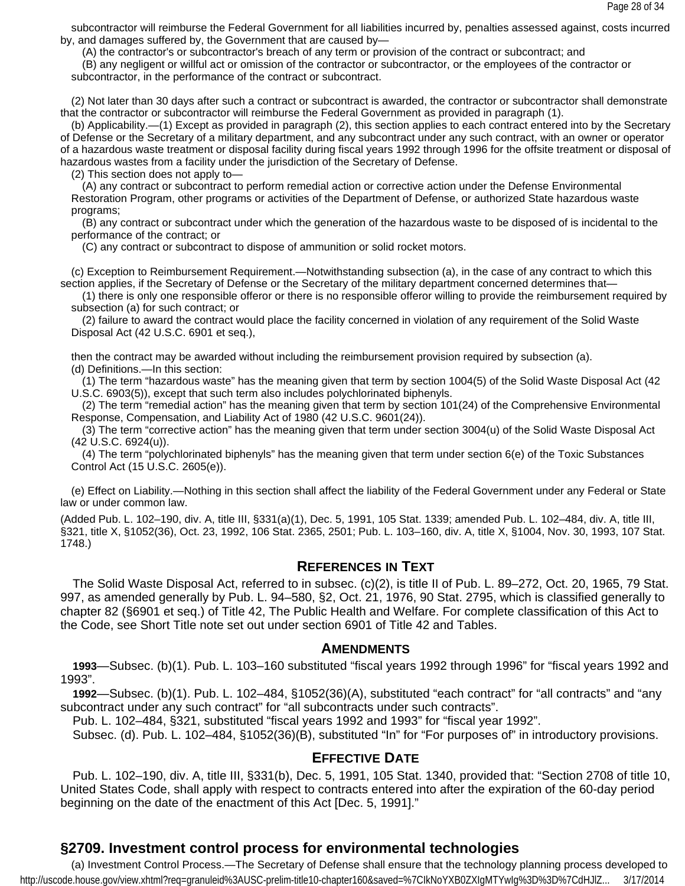subcontractor will reimburse the Federal Government for all liabilities incurred by, penalties assessed against, costs incurred by, and damages suffered by, the Government that are caused by—

(A) the contractor's or subcontractor's breach of any term or provision of the contract or subcontract; and

(B) any negligent or willful act or omission of the contractor or subcontractor, or the employees of the contractor or subcontractor, in the performance of the contract or subcontract.

(2) Not later than 30 days after such a contract or subcontract is awarded, the contractor or subcontractor shall demonstrate that the contractor or subcontractor will reimburse the Federal Government as provided in paragraph (1).

(b) Applicability.—(1) Except as provided in paragraph (2), this section applies to each contract entered into by the Secretary of Defense or the Secretary of a military department, and any subcontract under any such contract, with an owner or operator of a hazardous waste treatment or disposal facility during fiscal years 1992 through 1996 for the offsite treatment or disposal of hazardous wastes from a facility under the jurisdiction of the Secretary of Defense.

(2) This section does not apply to—

(A) any contract or subcontract to perform remedial action or corrective action under the Defense Environmental Restoration Program, other programs or activities of the Department of Defense, or authorized State hazardous waste programs;

(B) any contract or subcontract under which the generation of the hazardous waste to be disposed of is incidental to the performance of the contract; or

(C) any contract or subcontract to dispose of ammunition or solid rocket motors.

(c) Exception to Reimbursement Requirement.—Notwithstanding subsection (a), in the case of any contract to which this section applies, if the Secretary of Defense or the Secretary of the military department concerned determines that—

(1) there is only one responsible offeror or there is no responsible offeror willing to provide the reimbursement required by subsection (a) for such contract; or

(2) failure to award the contract would place the facility concerned in violation of any requirement of the Solid Waste Disposal Act (42 U.S.C. 6901 et seq.),

then the contract may be awarded without including the reimbursement provision required by subsection (a). (d) Definitions.—In this section:

(1) The term "hazardous waste" has the meaning given that term by section 1004(5) of the Solid Waste Disposal Act (42 U.S.C. 6903(5)), except that such term also includes polychlorinated biphenyls.

(2) The term "remedial action" has the meaning given that term by section 101(24) of the Comprehensive Environmental Response, Compensation, and Liability Act of 1980 (42 U.S.C. 9601(24)).

(3) The term "corrective action" has the meaning given that term under section 3004(u) of the Solid Waste Disposal Act (42 U.S.C. 6924(u)).

(4) The term "polychlorinated biphenyls" has the meaning given that term under section 6(e) of the Toxic Substances Control Act (15 U.S.C. 2605(e)).

(e) Effect on Liability.—Nothing in this section shall affect the liability of the Federal Government under any Federal or State law or under common law.

(Added Pub. L. 102–190, div. A, title III, §331(a)(1), Dec. 5, 1991, 105 Stat. 1339; amended Pub. L. 102–484, div. A, title III, §321, title X, §1052(36), Oct. 23, 1992, 106 Stat. 2365, 2501; Pub. L. 103–160, div. A, title X, §1004, Nov. 30, 1993, 107 Stat. 1748.)

### **REFERENCES IN TEXT**

The Solid Waste Disposal Act, referred to in subsec. (c)(2), is title II of Pub. L. 89–272, Oct. 20, 1965, 79 Stat. 997, as amended generally by Pub. L. 94–580, §2, Oct. 21, 1976, 90 Stat. 2795, which is classified generally to chapter 82 (§6901 et seq.) of Title 42, The Public Health and Welfare. For complete classification of this Act to the Code, see Short Title note set out under section 6901 of Title 42 and Tables.

#### **AMENDMENTS**

**1993**—Subsec. (b)(1). Pub. L. 103–160 substituted "fiscal years 1992 through 1996" for "fiscal years 1992 and 1993".

**1992**—Subsec. (b)(1). Pub. L. 102–484, §1052(36)(A), substituted "each contract" for "all contracts" and "any subcontract under any such contract" for "all subcontracts under such contracts".

Pub. L. 102–484, §321, substituted "fiscal years 1992 and 1993" for "fiscal year 1992".

Subsec. (d). Pub. L. 102–484, §1052(36)(B), substituted "In" for "For purposes of" in introductory provisions.

### **EFFECTIVE DATE**

Pub. L. 102–190, div. A, title III, §331(b), Dec. 5, 1991, 105 Stat. 1340, provided that: "Section 2708 of title 10, United States Code, shall apply with respect to contracts entered into after the expiration of the 60-day period beginning on the date of the enactment of this Act [Dec. 5, 1991]."

# **§2709. Investment control process for environmental technologies**

(a) Investment Control Process.—The Secretary of Defense shall ensure that the technology planning process developed to http://uscode.house.gov/view.xhtml?req=granuleid%3AUSC-prelim-title10-chapter160&saved=%7CIkNoYXB0ZXIgMTYwIg%3D%3D%7CdHJlZ... 3/17/2014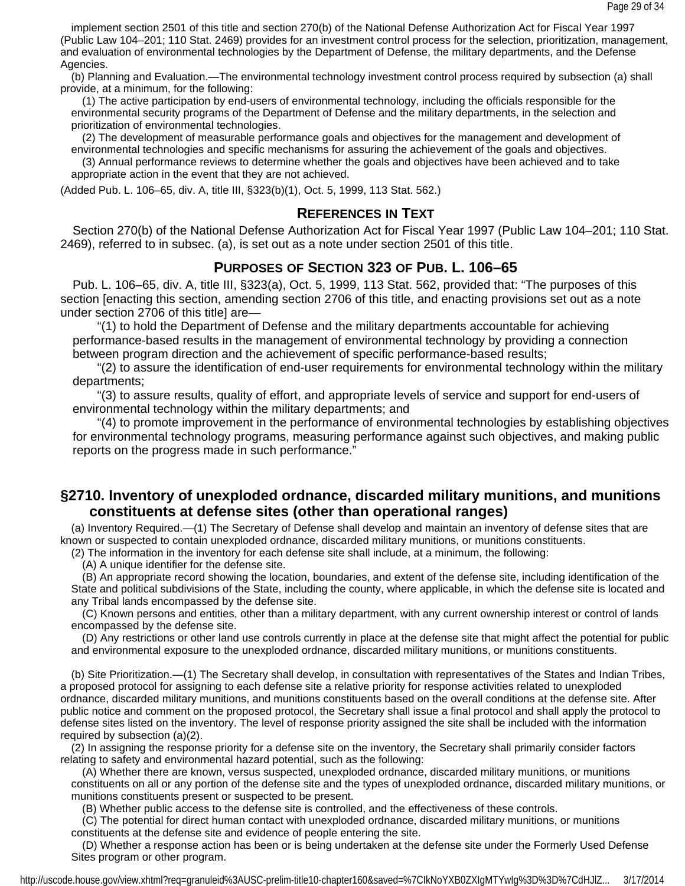implement section 2501 of this title and section 270(b) of the National Defense Authorization Act for Fiscal Year 1997 (Public Law 104–201; 110 Stat. 2469) provides for an investment control process for the selection, prioritization, management, and evaluation of environmental technologies by the Department of Defense, the military departments, and the Defense Agencies.

(b) Planning and Evaluation.—The environmental technology investment control process required by subsection (a) shall provide, at a minimum, for the following:

(1) The active participation by end-users of environmental technology, including the officials responsible for the environmental security programs of the Department of Defense and the military departments, in the selection and prioritization of environmental technologies.

(2) The development of measurable performance goals and objectives for the management and development of environmental technologies and specific mechanisms for assuring the achievement of the goals and objectives.

(3) Annual performance reviews to determine whether the goals and objectives have been achieved and to take appropriate action in the event that they are not achieved.

(Added Pub. L. 106–65, div. A, title III, §323(b)(1), Oct. 5, 1999, 113 Stat. 562.)

#### **REFERENCES IN TEXT**

Section 270(b) of the National Defense Authorization Act for Fiscal Year 1997 (Public Law 104–201; 110 Stat. 2469), referred to in subsec. (a), is set out as a note under section 2501 of this title.

### **PURPOSES OF SECTION 323 OF PUB. L. 106–65**

Pub. L. 106–65, div. A, title III, §323(a), Oct. 5, 1999, 113 Stat. 562, provided that: "The purposes of this section [enacting this section, amending section 2706 of this title, and enacting provisions set out as a note under section 2706 of this title] are—

"(1) to hold the Department of Defense and the military departments accountable for achieving performance-based results in the management of environmental technology by providing a connection between program direction and the achievement of specific performance-based results;

"(2) to assure the identification of end-user requirements for environmental technology within the military departments;

"(3) to assure results, quality of effort, and appropriate levels of service and support for end-users of environmental technology within the military departments; and

"(4) to promote improvement in the performance of environmental technologies by establishing objectives for environmental technology programs, measuring performance against such objectives, and making public reports on the progress made in such performance."

# **§2710. Inventory of unexploded ordnance, discarded military munitions, and munitions constituents at defense sites (other than operational ranges)**

(a) Inventory Required.—(1) The Secretary of Defense shall develop and maintain an inventory of defense sites that are known or suspected to contain unexploded ordnance, discarded military munitions, or munitions constituents.

(2) The information in the inventory for each defense site shall include, at a minimum, the following:

(A) A unique identifier for the defense site.

(B) An appropriate record showing the location, boundaries, and extent of the defense site, including identification of the State and political subdivisions of the State, including the county, where applicable, in which the defense site is located and any Tribal lands encompassed by the defense site.

(C) Known persons and entities, other than a military department, with any current ownership interest or control of lands encompassed by the defense site.

(D) Any restrictions or other land use controls currently in place at the defense site that might affect the potential for public and environmental exposure to the unexploded ordnance, discarded military munitions, or munitions constituents.

(b) Site Prioritization.—(1) The Secretary shall develop, in consultation with representatives of the States and Indian Tribes, a proposed protocol for assigning to each defense site a relative priority for response activities related to unexploded ordnance, discarded military munitions, and munitions constituents based on the overall conditions at the defense site. After public notice and comment on the proposed protocol, the Secretary shall issue a final protocol and shall apply the protocol to defense sites listed on the inventory. The level of response priority assigned the site shall be included with the information required by subsection (a)(2).

(2) In assigning the response priority for a defense site on the inventory, the Secretary shall primarily consider factors relating to safety and environmental hazard potential, such as the following:

(A) Whether there are known, versus suspected, unexploded ordnance, discarded military munitions, or munitions constituents on all or any portion of the defense site and the types of unexploded ordnance, discarded military munitions, or munitions constituents present or suspected to be present.

(B) Whether public access to the defense site is controlled, and the effectiveness of these controls.

(C) The potential for direct human contact with unexploded ordnance, discarded military munitions, or munitions constituents at the defense site and evidence of people entering the site.

(D) Whether a response action has been or is being undertaken at the defense site under the Formerly Used Defense Sites program or other program.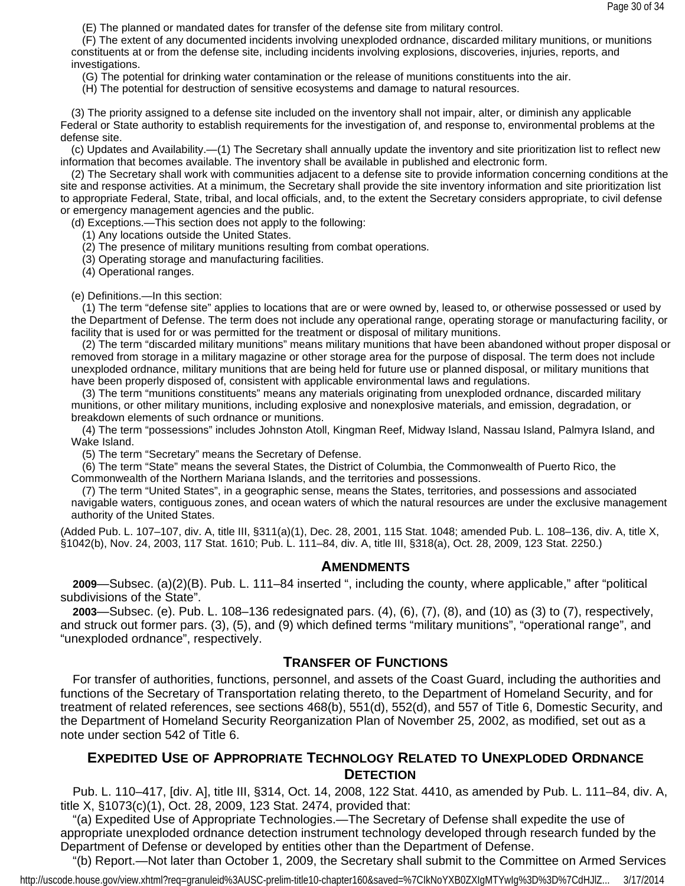(E) The planned or mandated dates for transfer of the defense site from military control.

(F) The extent of any documented incidents involving unexploded ordnance, discarded military munitions, or munitions constituents at or from the defense site, including incidents involving explosions, discoveries, injuries, reports, and investigations.

- (G) The potential for drinking water contamination or the release of munitions constituents into the air.
- (H) The potential for destruction of sensitive ecosystems and damage to natural resources.

(3) The priority assigned to a defense site included on the inventory shall not impair, alter, or diminish any applicable Federal or State authority to establish requirements for the investigation of, and response to, environmental problems at the defense site.

(c) Updates and Availability.—(1) The Secretary shall annually update the inventory and site prioritization list to reflect new information that becomes available. The inventory shall be available in published and electronic form.

(2) The Secretary shall work with communities adjacent to a defense site to provide information concerning conditions at the site and response activities. At a minimum, the Secretary shall provide the site inventory information and site prioritization list to appropriate Federal, State, tribal, and local officials, and, to the extent the Secretary considers appropriate, to civil defense or emergency management agencies and the public.

(d) Exceptions.—This section does not apply to the following:

- (1) Any locations outside the United States.
- (2) The presence of military munitions resulting from combat operations.
- (3) Operating storage and manufacturing facilities.
- (4) Operational ranges.

#### (e) Definitions.—In this section:

(1) The term "defense site" applies to locations that are or were owned by, leased to, or otherwise possessed or used by the Department of Defense. The term does not include any operational range, operating storage or manufacturing facility, or facility that is used for or was permitted for the treatment or disposal of military munitions.

(2) The term "discarded military munitions" means military munitions that have been abandoned without proper disposal or removed from storage in a military magazine or other storage area for the purpose of disposal. The term does not include unexploded ordnance, military munitions that are being held for future use or planned disposal, or military munitions that have been properly disposed of, consistent with applicable environmental laws and regulations.

(3) The term "munitions constituents" means any materials originating from unexploded ordnance, discarded military munitions, or other military munitions, including explosive and nonexplosive materials, and emission, degradation, or breakdown elements of such ordnance or munitions.

(4) The term "possessions" includes Johnston Atoll, Kingman Reef, Midway Island, Nassau Island, Palmyra Island, and Wake Island.

(5) The term "Secretary" means the Secretary of Defense.

(6) The term "State" means the several States, the District of Columbia, the Commonwealth of Puerto Rico, the

Commonwealth of the Northern Mariana Islands, and the territories and possessions.

(7) The term "United States", in a geographic sense, means the States, territories, and possessions and associated navigable waters, contiguous zones, and ocean waters of which the natural resources are under the exclusive management authority of the United States.

(Added Pub. L. 107–107, div. A, title III, §311(a)(1), Dec. 28, 2001, 115 Stat. 1048; amended Pub. L. 108–136, div. A, title X, §1042(b), Nov. 24, 2003, 117 Stat. 1610; Pub. L. 111–84, div. A, title III, §318(a), Oct. 28, 2009, 123 Stat. 2250.)

#### **AMENDMENTS**

**2009**—Subsec. (a)(2)(B). Pub. L. 111–84 inserted ", including the county, where applicable," after "political subdivisions of the State".

**2003**—Subsec. (e). Pub. L. 108–136 redesignated pars. (4), (6), (7), (8), and (10) as (3) to (7), respectively, and struck out former pars. (3), (5), and (9) which defined terms "military munitions", "operational range", and "unexploded ordnance", respectively.

#### **TRANSFER OF FUNCTIONS**

For transfer of authorities, functions, personnel, and assets of the Coast Guard, including the authorities and functions of the Secretary of Transportation relating thereto, to the Department of Homeland Security, and for treatment of related references, see sections 468(b), 551(d), 552(d), and 557 of Title 6, Domestic Security, and the Department of Homeland Security Reorganization Plan of November 25, 2002, as modified, set out as a note under section 542 of Title 6.

#### **EXPEDITED USE OF APPROPRIATE TECHNOLOGY RELATED TO UNEXPLODED ORDNANCE DETECTION**

Pub. L. 110–417, [div. A], title III, §314, Oct. 14, 2008, 122 Stat. 4410, as amended by Pub. L. 111–84, div. A, title X, §1073(c)(1), Oct. 28, 2009, 123 Stat. 2474, provided that:

"(a) Expedited Use of Appropriate Technologies.—The Secretary of Defense shall expedite the use of appropriate unexploded ordnance detection instrument technology developed through research funded by the Department of Defense or developed by entities other than the Department of Defense.

"(b) Report.—Not later than October 1, 2009, the Secretary shall submit to the Committee on Armed Services

http://uscode.house.gov/view.xhtml?req=granuleid%3AUSC-prelim-title10-chapter160&saved=%7CIkNoYXB0ZXIgMTYwIg%3D%3D%7CdHJlZ... 3/17/2014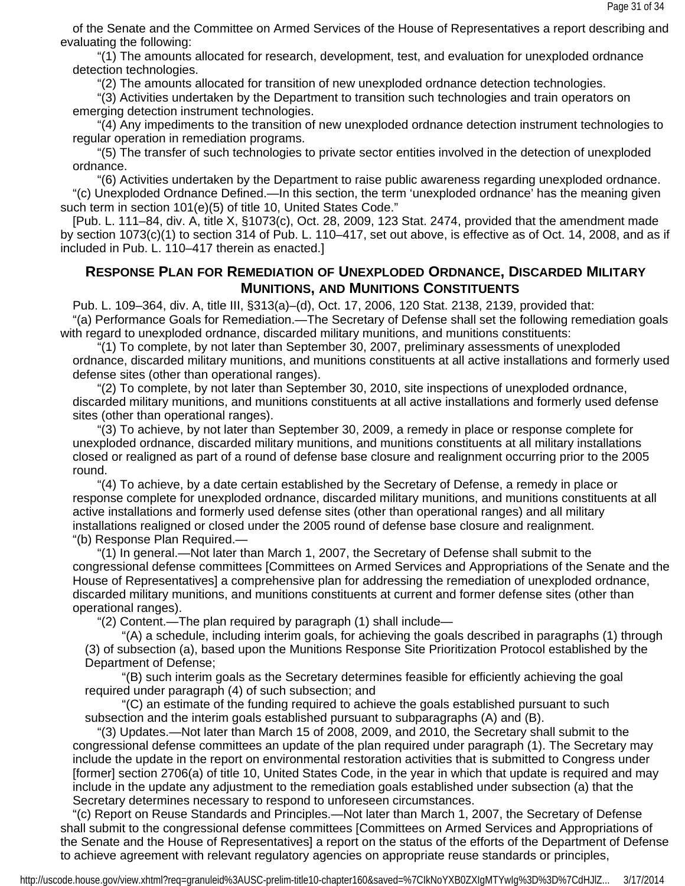of the Senate and the Committee on Armed Services of the House of Representatives a report describing and evaluating the following:

"(1) The amounts allocated for research, development, test, and evaluation for unexploded ordnance detection technologies.

"(2) The amounts allocated for transition of new unexploded ordnance detection technologies.

"(3) Activities undertaken by the Department to transition such technologies and train operators on emerging detection instrument technologies.

"(4) Any impediments to the transition of new unexploded ordnance detection instrument technologies to regular operation in remediation programs.

"(5) The transfer of such technologies to private sector entities involved in the detection of unexploded ordnance.

"(6) Activities undertaken by the Department to raise public awareness regarding unexploded ordnance. "(c) Unexploded Ordnance Defined.—In this section, the term 'unexploded ordnance' has the meaning given such term in section 101(e)(5) of title 10, United States Code."

[Pub. L. 111–84, div. A, title X, §1073(c), Oct. 28, 2009, 123 Stat. 2474, provided that the amendment made by section 1073(c)(1) to section 314 of Pub. L. 110–417, set out above, is effective as of Oct. 14, 2008, and as if included in Pub. L. 110–417 therein as enacted.]

# **RESPONSE PLAN FOR REMEDIATION OF UNEXPLODED ORDNANCE, DISCARDED MILITARY MUNITIONS, AND MUNITIONS CONSTITUENTS**

Pub. L. 109–364, div. A, title III, §313(a)–(d), Oct. 17, 2006, 120 Stat. 2138, 2139, provided that: "(a) Performance Goals for Remediation.—The Secretary of Defense shall set the following remediation goals with regard to unexploded ordnance, discarded military munitions, and munitions constituents:

"(1) To complete, by not later than September 30, 2007, preliminary assessments of unexploded ordnance, discarded military munitions, and munitions constituents at all active installations and formerly used defense sites (other than operational ranges).

"(2) To complete, by not later than September 30, 2010, site inspections of unexploded ordnance, discarded military munitions, and munitions constituents at all active installations and formerly used defense sites (other than operational ranges).

"(3) To achieve, by not later than September 30, 2009, a remedy in place or response complete for unexploded ordnance, discarded military munitions, and munitions constituents at all military installations closed or realigned as part of a round of defense base closure and realignment occurring prior to the 2005 round.

"(4) To achieve, by a date certain established by the Secretary of Defense, a remedy in place or response complete for unexploded ordnance, discarded military munitions, and munitions constituents at all active installations and formerly used defense sites (other than operational ranges) and all military installations realigned or closed under the 2005 round of defense base closure and realignment. "(b) Response Plan Required.—

"(1) In general.—Not later than March 1, 2007, the Secretary of Defense shall submit to the congressional defense committees [Committees on Armed Services and Appropriations of the Senate and the House of Representatives] a comprehensive plan for addressing the remediation of unexploded ordnance, discarded military munitions, and munitions constituents at current and former defense sites (other than operational ranges).

"(2) Content.—The plan required by paragraph (1) shall include—

"(A) a schedule, including interim goals, for achieving the goals described in paragraphs (1) through (3) of subsection (a), based upon the Munitions Response Site Prioritization Protocol established by the Department of Defense;

"(B) such interim goals as the Secretary determines feasible for efficiently achieving the goal required under paragraph (4) of such subsection; and

"(C) an estimate of the funding required to achieve the goals established pursuant to such subsection and the interim goals established pursuant to subparagraphs (A) and (B).

"(3) Updates.—Not later than March 15 of 2008, 2009, and 2010, the Secretary shall submit to the congressional defense committees an update of the plan required under paragraph (1). The Secretary may include the update in the report on environmental restoration activities that is submitted to Congress under [former] section 2706(a) of title 10, United States Code, in the year in which that update is required and may include in the update any adjustment to the remediation goals established under subsection (a) that the Secretary determines necessary to respond to unforeseen circumstances.

"(c) Report on Reuse Standards and Principles.—Not later than March 1, 2007, the Secretary of Defense shall submit to the congressional defense committees [Committees on Armed Services and Appropriations of the Senate and the House of Representatives] a report on the status of the efforts of the Department of Defense to achieve agreement with relevant regulatory agencies on appropriate reuse standards or principles,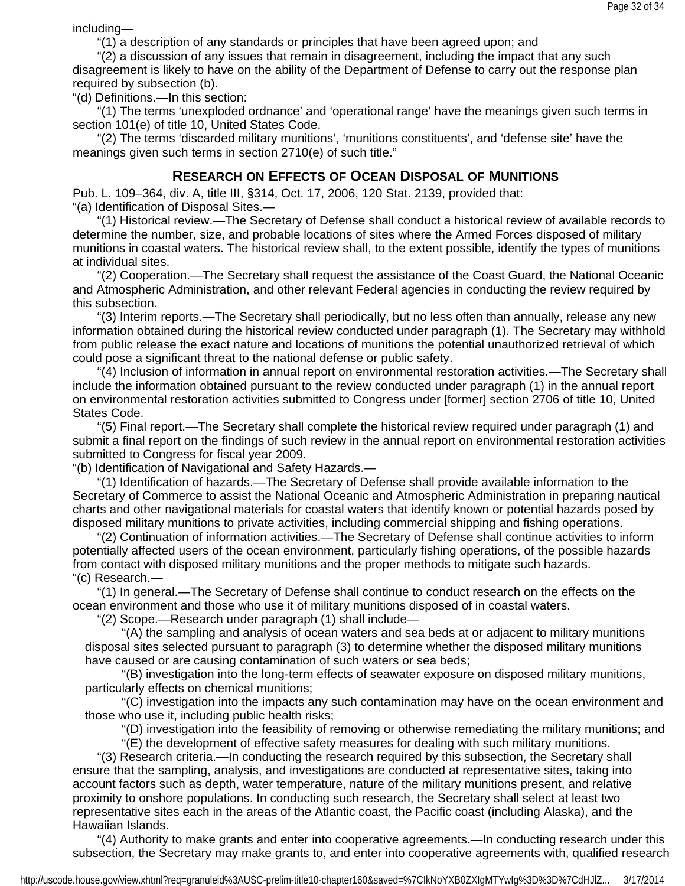including—

"(1) a description of any standards or principles that have been agreed upon; and

"(2) a discussion of any issues that remain in disagreement, including the impact that any such disagreement is likely to have on the ability of the Department of Defense to carry out the response plan required by subsection (b).

"(d) Definitions.—In this section:

"(1) The terms 'unexploded ordnance' and 'operational range' have the meanings given such terms in section 101(e) of title 10, United States Code.

"(2) The terms 'discarded military munitions', 'munitions constituents', and 'defense site' have the meanings given such terms in section 2710(e) of such title."

### **RESEARCH ON EFFECTS OF OCEAN DISPOSAL OF MUNITIONS**

Pub. L. 109–364, div. A, title III, §314, Oct. 17, 2006, 120 Stat. 2139, provided that: "(a) Identification of Disposal Sites.—

"(1) Historical review.—The Secretary of Defense shall conduct a historical review of available records to determine the number, size, and probable locations of sites where the Armed Forces disposed of military munitions in coastal waters. The historical review shall, to the extent possible, identify the types of munitions at individual sites.

"(2) Cooperation.—The Secretary shall request the assistance of the Coast Guard, the National Oceanic and Atmospheric Administration, and other relevant Federal agencies in conducting the review required by this subsection.

"(3) Interim reports.—The Secretary shall periodically, but no less often than annually, release any new information obtained during the historical review conducted under paragraph (1). The Secretary may withhold from public release the exact nature and locations of munitions the potential unauthorized retrieval of which could pose a significant threat to the national defense or public safety.

"(4) Inclusion of information in annual report on environmental restoration activities.—The Secretary shall include the information obtained pursuant to the review conducted under paragraph (1) in the annual report on environmental restoration activities submitted to Congress under [former] section 2706 of title 10, United States Code.

"(5) Final report.—The Secretary shall complete the historical review required under paragraph (1) and submit a final report on the findings of such review in the annual report on environmental restoration activities submitted to Congress for fiscal year 2009.

"(b) Identification of Navigational and Safety Hazards.—

"(1) Identification of hazards.—The Secretary of Defense shall provide available information to the Secretary of Commerce to assist the National Oceanic and Atmospheric Administration in preparing nautical charts and other navigational materials for coastal waters that identify known or potential hazards posed by disposed military munitions to private activities, including commercial shipping and fishing operations.

"(2) Continuation of information activities.—The Secretary of Defense shall continue activities to inform potentially affected users of the ocean environment, particularly fishing operations, of the possible hazards from contact with disposed military munitions and the proper methods to mitigate such hazards. "(c) Research.—

"(1) In general.—The Secretary of Defense shall continue to conduct research on the effects on the ocean environment and those who use it of military munitions disposed of in coastal waters.

"(2) Scope.—Research under paragraph (1) shall include—

"(A) the sampling and analysis of ocean waters and sea beds at or adjacent to military munitions disposal sites selected pursuant to paragraph (3) to determine whether the disposed military munitions have caused or are causing contamination of such waters or sea beds;

"(B) investigation into the long-term effects of seawater exposure on disposed military munitions, particularly effects on chemical munitions;

"(C) investigation into the impacts any such contamination may have on the ocean environment and those who use it, including public health risks;

"(D) investigation into the feasibility of removing or otherwise remediating the military munitions; and

"(E) the development of effective safety measures for dealing with such military munitions.

"(3) Research criteria.—In conducting the research required by this subsection, the Secretary shall ensure that the sampling, analysis, and investigations are conducted at representative sites, taking into account factors such as depth, water temperature, nature of the military munitions present, and relative proximity to onshore populations. In conducting such research, the Secretary shall select at least two representative sites each in the areas of the Atlantic coast, the Pacific coast (including Alaska), and the Hawaiian Islands.

"(4) Authority to make grants and enter into cooperative agreements.—In conducting research under this subsection, the Secretary may make grants to, and enter into cooperative agreements with, qualified research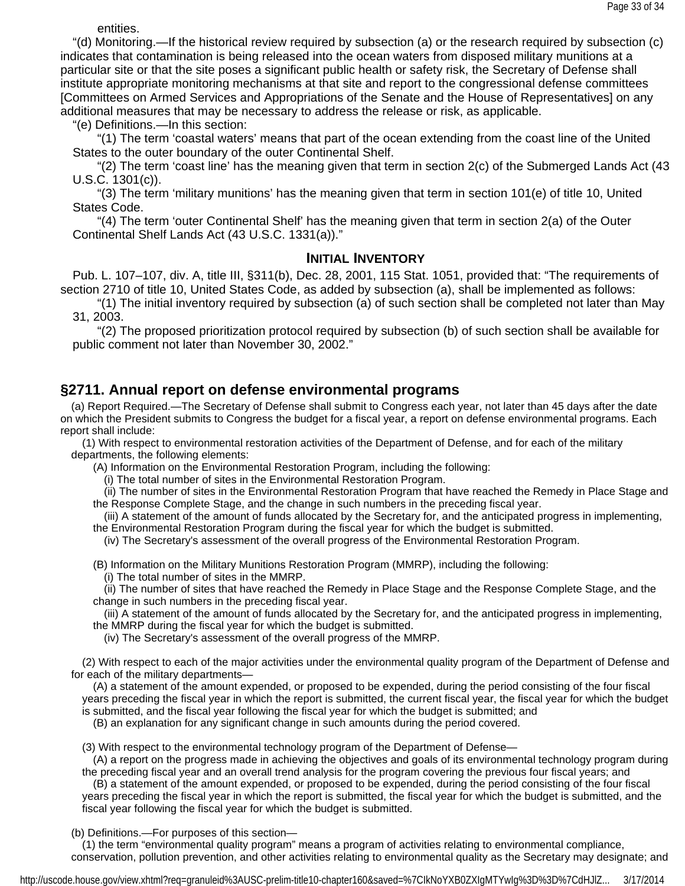entities.

"(d) Monitoring.—If the historical review required by subsection (a) or the research required by subsection (c) indicates that contamination is being released into the ocean waters from disposed military munitions at a particular site or that the site poses a significant public health or safety risk, the Secretary of Defense shall institute appropriate monitoring mechanisms at that site and report to the congressional defense committees [Committees on Armed Services and Appropriations of the Senate and the House of Representatives] on any additional measures that may be necessary to address the release or risk, as applicable.

"(e) Definitions.—In this section:

"(1) The term 'coastal waters' means that part of the ocean extending from the coast line of the United States to the outer boundary of the outer Continental Shelf.

"(2) The term 'coast line' has the meaning given that term in section 2(c) of the Submerged Lands Act (43 U.S.C. 1301(c)).

"(3) The term 'military munitions' has the meaning given that term in section 101(e) of title 10, United States Code.

"(4) The term 'outer Continental Shelf' has the meaning given that term in section 2(a) of the Outer Continental Shelf Lands Act (43 U.S.C. 1331(a))."

#### **INITIAL INVENTORY**

Pub. L. 107–107, div. A, title III, §311(b), Dec. 28, 2001, 115 Stat. 1051, provided that: "The requirements of section 2710 of title 10, United States Code, as added by subsection (a), shall be implemented as follows:

"(1) The initial inventory required by subsection (a) of such section shall be completed not later than May 31, 2003.

"(2) The proposed prioritization protocol required by subsection (b) of such section shall be available for public comment not later than November 30, 2002."

# **§2711. Annual report on defense environmental programs**

(a) Report Required.—The Secretary of Defense shall submit to Congress each year, not later than 45 days after the date on which the President submits to Congress the budget for a fiscal year, a report on defense environmental programs. Each report shall include:

(1) With respect to environmental restoration activities of the Department of Defense, and for each of the military departments, the following elements:

(A) Information on the Environmental Restoration Program, including the following:

(i) The total number of sites in the Environmental Restoration Program.

(ii) The number of sites in the Environmental Restoration Program that have reached the Remedy in Place Stage and the Response Complete Stage, and the change in such numbers in the preceding fiscal year.

(iii) A statement of the amount of funds allocated by the Secretary for, and the anticipated progress in implementing, the Environmental Restoration Program during the fiscal year for which the budget is submitted.

(iv) The Secretary's assessment of the overall progress of the Environmental Restoration Program.

(B) Information on the Military Munitions Restoration Program (MMRP), including the following:

(i) The total number of sites in the MMRP.

(ii) The number of sites that have reached the Remedy in Place Stage and the Response Complete Stage, and the change in such numbers in the preceding fiscal year.

(iii) A statement of the amount of funds allocated by the Secretary for, and the anticipated progress in implementing, the MMRP during the fiscal year for which the budget is submitted.

(iv) The Secretary's assessment of the overall progress of the MMRP.

(2) With respect to each of the major activities under the environmental quality program of the Department of Defense and for each of the military departments—

(A) a statement of the amount expended, or proposed to be expended, during the period consisting of the four fiscal years preceding the fiscal year in which the report is submitted, the current fiscal year, the fiscal year for which the budget is submitted, and the fiscal year following the fiscal year for which the budget is submitted; and

(B) an explanation for any significant change in such amounts during the period covered.

(3) With respect to the environmental technology program of the Department of Defense—

(A) a report on the progress made in achieving the objectives and goals of its environmental technology program during the preceding fiscal year and an overall trend analysis for the program covering the previous four fiscal years; and

(B) a statement of the amount expended, or proposed to be expended, during the period consisting of the four fiscal years preceding the fiscal year in which the report is submitted, the fiscal year for which the budget is submitted, and the fiscal year following the fiscal year for which the budget is submitted.

(b) Definitions.—For purposes of this section—

(1) the term "environmental quality program" means a program of activities relating to environmental compliance, conservation, pollution prevention, and other activities relating to environmental quality as the Secretary may designate; and